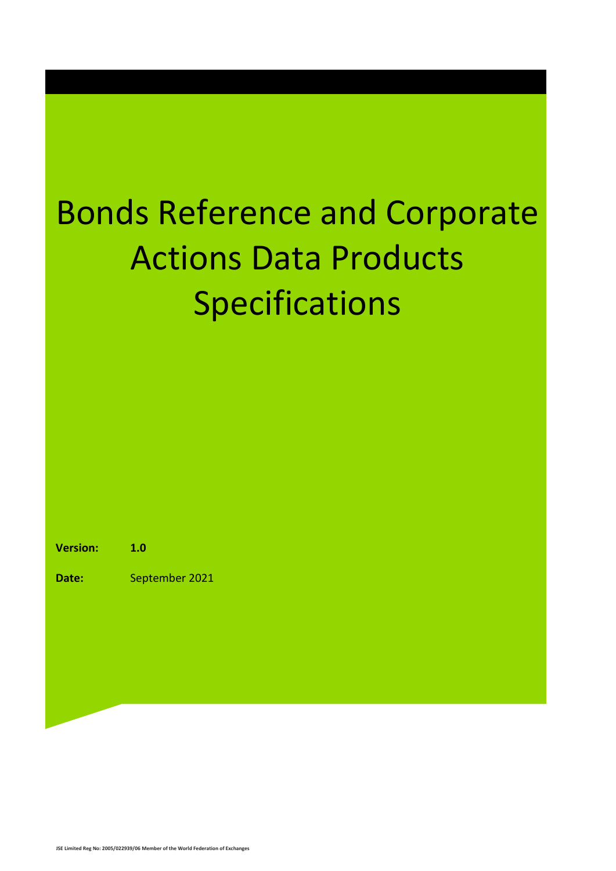### Bonds Reference and Corporate Actions Data Products Specifications

**Version: 1.0**

**Date:** September 2021

**JSE Limited Reg No: 2005/022939/06 Member of the World Federation of Exchanges**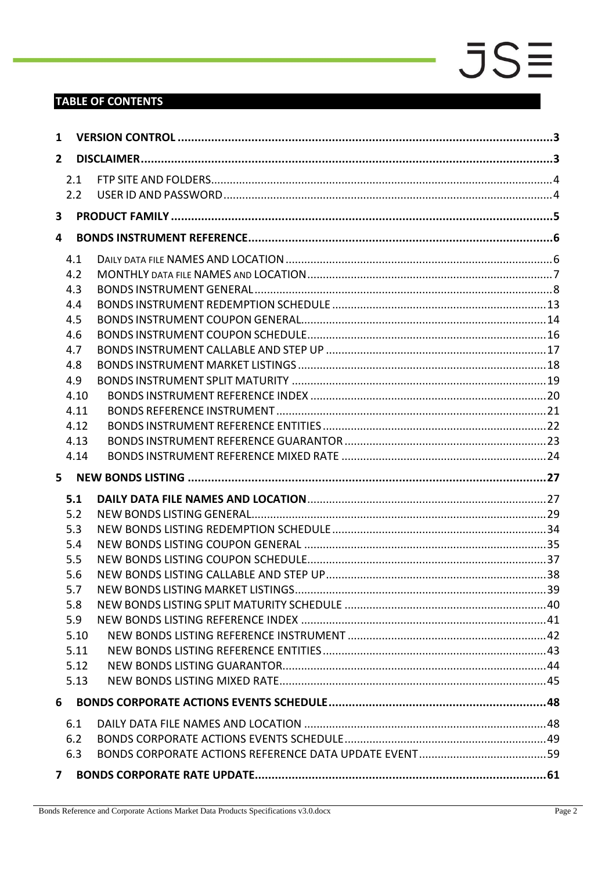### **TABLE OF CONTENTS**

| 1                       |      |  |
|-------------------------|------|--|
| $\overline{2}$          |      |  |
|                         | 2.1  |  |
|                         | 2.2  |  |
| $\overline{\mathbf{3}}$ |      |  |
| 4                       |      |  |
|                         | 4.1  |  |
|                         | 4.2  |  |
|                         | 4.3  |  |
|                         | 4.4  |  |
|                         | 4.5  |  |
|                         | 4.6  |  |
|                         | 4.7  |  |
|                         | 4.8  |  |
|                         | 4.9  |  |
|                         | 4.10 |  |
|                         | 4.11 |  |
|                         | 4.12 |  |
|                         | 4.13 |  |
|                         | 4.14 |  |
| 5                       |      |  |
|                         | 5.1  |  |
|                         | 5.2  |  |
|                         | 5.3  |  |
|                         | 5.4  |  |
|                         | 5.5  |  |
|                         | 5.6  |  |
|                         | 5.7  |  |
|                         | 5.8  |  |
|                         | 5.9  |  |
|                         | 5.10 |  |
|                         | 5.11 |  |
|                         | 5.12 |  |
|                         | 5.13 |  |
| 6                       |      |  |
|                         | 6.1  |  |
|                         | 6.2  |  |
|                         | 6.3  |  |
| $\mathbf{7}$            |      |  |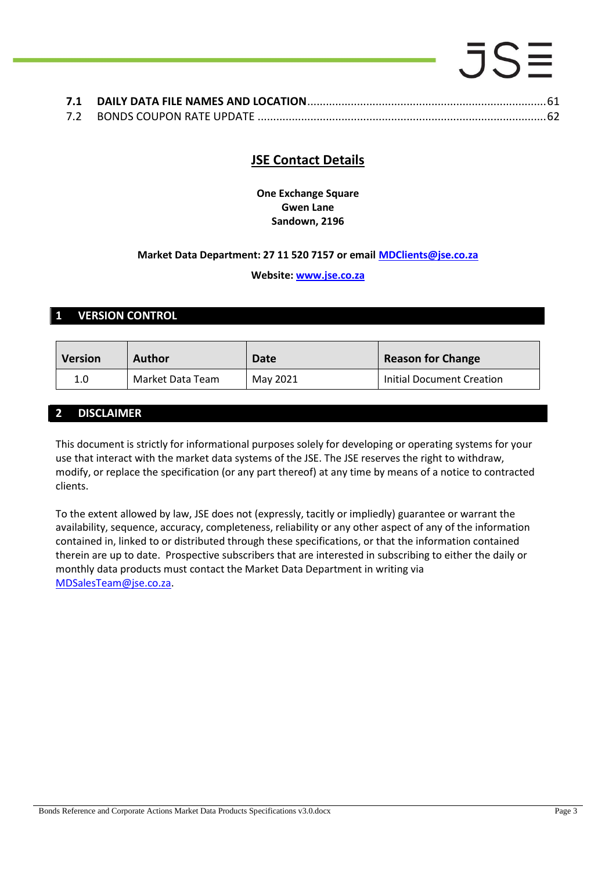### $.5S\equiv$ **7.1 DAILY DATA FILE NAMES AND LOCATION**[.............................................................................61](#page-60-1)

|--|--|--|

### **JSE Contact Details**

**One Exchange Square Gwen Lane Sandown, 2196**

### **Market Data Department: 27 11 520 7157 or email [MDClients@jse.co.za](mailto:MDClients@jse.co.za)**

### **Website: [www.jse.co.za](http://www.jse.co.za/)**

### <span id="page-2-0"></span>**1 VERSION CONTROL**

| <b>Version</b><br><b>Author</b> |                  | Date     | <b>Reason for Change</b>  |  |
|---------------------------------|------------------|----------|---------------------------|--|
| 1.0                             | Market Data Team | May 2021 | Initial Document Creation |  |

### <span id="page-2-1"></span>**2 DISCLAIMER**

This document is strictly for informational purposes solely for developing or operating systems for your use that interact with the market data systems of the JSE. The JSE reserves the right to withdraw, modify, or replace the specification (or any part thereof) at any time by means of a notice to contracted clients.

<span id="page-2-2"></span>To the extent allowed by law, JSE does not (expressly, tacitly or impliedly) guarantee or warrant the availability, sequence, accuracy, completeness, reliability or any other aspect of any of the information contained in, linked to or distributed through these specifications, or that the information contained therein are up to date. Prospective subscribers that are interested in subscribing to either the daily or monthly data products must contact the Market Data Department in writing via [MDSalesTeam@jse.co.za.](mailto:MDSalesTeam@jse.co.za)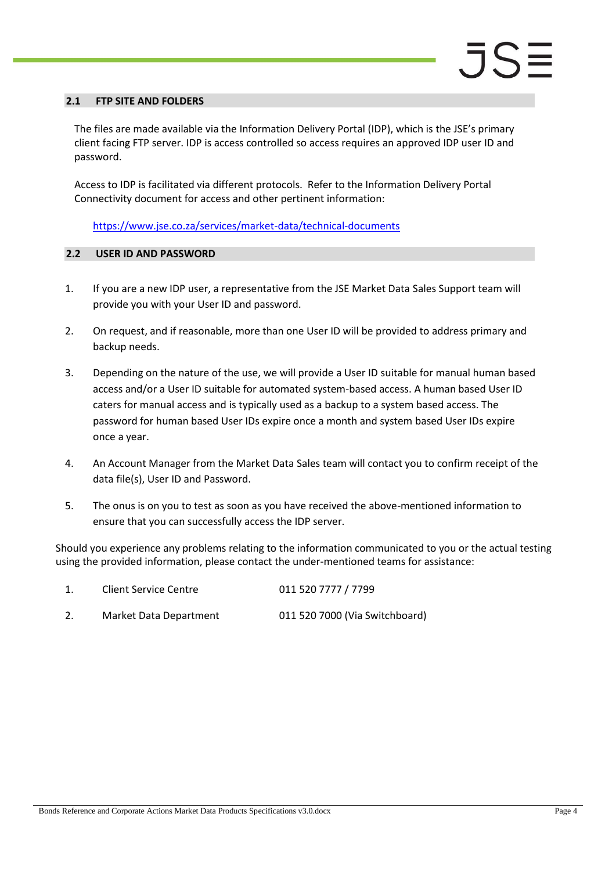#### **2.1 FTP SITE AND FOLDERS**

The files are made available via the Information Delivery Portal (IDP), which is the JSE's primary client facing FTP server. IDP is access controlled so access requires an approved IDP user ID and password.

Access to IDP is facilitated via different protocols. Refer to the Information Delivery Portal Connectivity document for access and other pertinent information:

<https://www.jse.co.za/services/market-data/technical-documents>

#### <span id="page-3-0"></span>**2.2 USER ID AND PASSWORD**

- 1. If you are a new IDP user, a representative from the JSE Market Data Sales Support team will provide you with your User ID and password.
- 2. On request, and if reasonable, more than one User ID will be provided to address primary and backup needs.
- 3. Depending on the nature of the use, we will provide a User ID suitable for manual human based access and/or a User ID suitable for automated system-based access. A human based User ID caters for manual access and is typically used as a backup to a system based access. The password for human based User IDs expire once a month and system based User IDs expire once a year.
- 4. An Account Manager from the Market Data Sales team will contact you to confirm receipt of the data file(s), User ID and Password.
- 5. The onus is on you to test as soon as you have received the above-mentioned information to ensure that you can successfully access the IDP server.

Should you experience any problems relating to the information communicated to you or the actual testing using the provided information, please contact the under-mentioned teams for assistance:

| <b>Client Service Centre</b> | 011 520 7777 / 7799            |
|------------------------------|--------------------------------|
| Market Data Department       | 011 520 7000 (Via Switchboard) |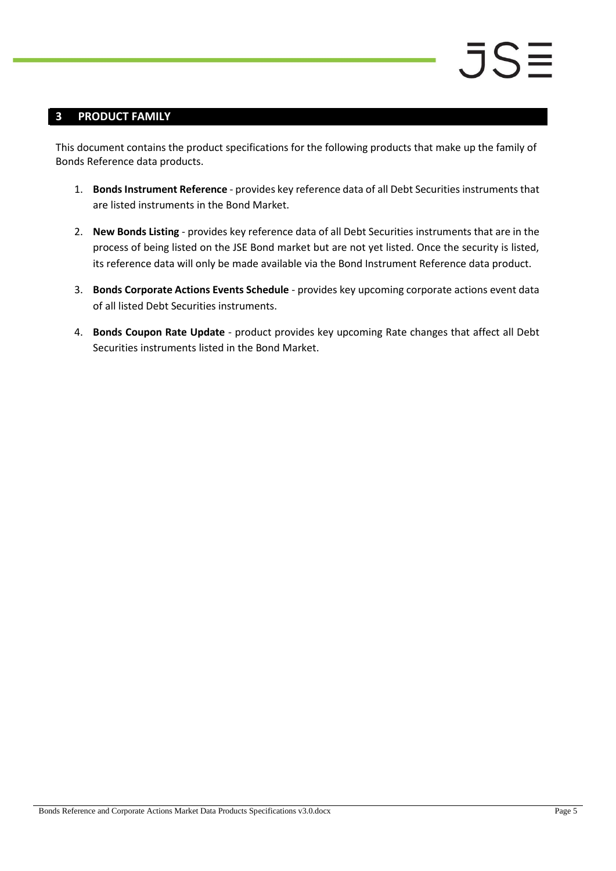### <span id="page-4-0"></span>**3 PRODUCT FAMILY**

This document contains the product specifications for the following products that make up the family of Bonds Reference data products.

- 1. **Bonds Instrument Reference** provides key reference data of all Debt Securities instruments that are listed instruments in the Bond Market.
- 2. **New Bonds Listing** provides key reference data of all Debt Securities instruments that are in the process of being listed on the JSE Bond market but are not yet listed. Once the security is listed, its reference data will only be made available via the Bond Instrument Reference data product.
- 3. **Bonds Corporate Actions Events Schedule** provides key upcoming corporate actions event data of all listed Debt Securities instruments.
- 4. **Bonds Coupon Rate Update** product provides key upcoming Rate changes that affect all Debt Securities instruments listed in the Bond Market.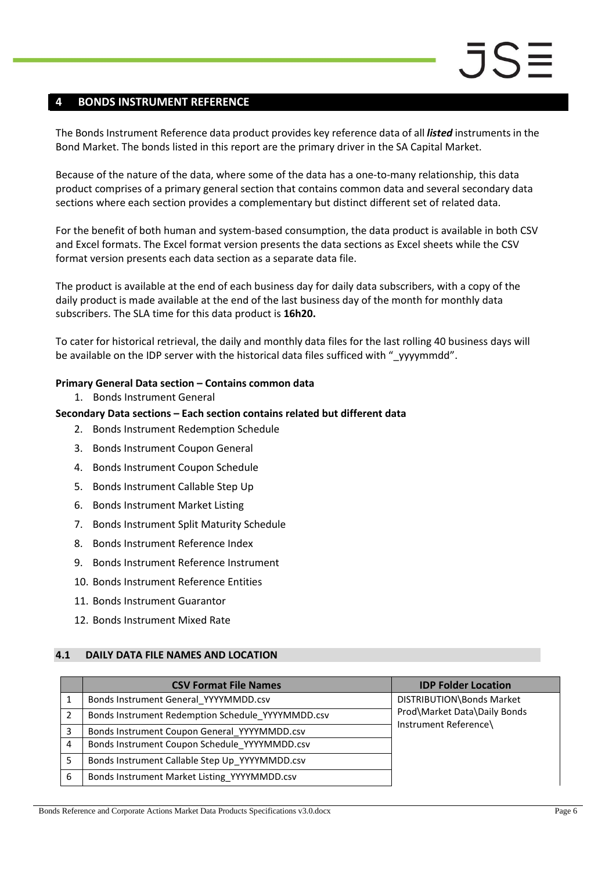#### <span id="page-5-0"></span>**4 BONDS INSTRUMENT REFERENCE**

The Bonds Instrument Reference data product provides key reference data of all *listed* instruments in the Bond Market. The bonds listed in this report are the primary driver in the SA Capital Market.

Because of the nature of the data, where some of the data has a one-to-many relationship, this data product comprises of a primary general section that contains common data and several secondary data sections where each section provides a complementary but distinct different set of related data.

For the benefit of both human and system-based consumption, the data product is available in both CSV and Excel formats. The Excel format version presents the data sections as Excel sheets while the CSV format version presents each data section as a separate data file.

The product is available at the end of each business day for daily data subscribers, with a copy of the daily product is made available at the end of the last business day of the month for monthly data subscribers. The SLA time for this data product is **16h20.**

To cater for historical retrieval, the daily and monthly data files for the last rolling 40 business days will be available on the IDP server with the historical data files sufficed with "\_yyyymmdd".

#### **Primary General Data section – Contains common data**

1. Bonds Instrument General

#### **Secondary Data sections – Each section contains related but different data**

- 2. Bonds Instrument Redemption Schedule
- 3. Bonds Instrument Coupon General
- 4. Bonds Instrument Coupon Schedule
- 5. Bonds Instrument Callable Step Up
- 6. Bonds Instrument Market Listing
- 7. Bonds Instrument Split Maturity Schedule
- 8. Bonds Instrument Reference Index
- 9. Bonds Instrument Reference Instrument
- 10. Bonds Instrument Reference Entities
- 11. Bonds Instrument Guarantor
- 12. Bonds Instrument Mixed Rate

#### <span id="page-5-1"></span>**4.1 DAILY DATA FILE NAMES AND LOCATION**

|   | <b>CSV Format File Names</b>                      | <b>IDP Folder Location</b>   |
|---|---------------------------------------------------|------------------------------|
|   | Bonds Instrument General YYYYMMDD.csv             | DISTRIBUTION\Bonds Market    |
|   | Bonds Instrument Redemption Schedule YYYYMMDD.csv | Prod\Market Data\Daily Bonds |
| 3 | Bonds Instrument Coupon General YYYYMMDD.csv      | Instrument Reference\        |
| 4 | Bonds Instrument Coupon Schedule YYYYMMDD.csv     |                              |
| 5 | Bonds Instrument Callable Step Up YYYYMMDD.csv    |                              |
| 6 | Bonds Instrument Market Listing YYYYMMDD.csv      |                              |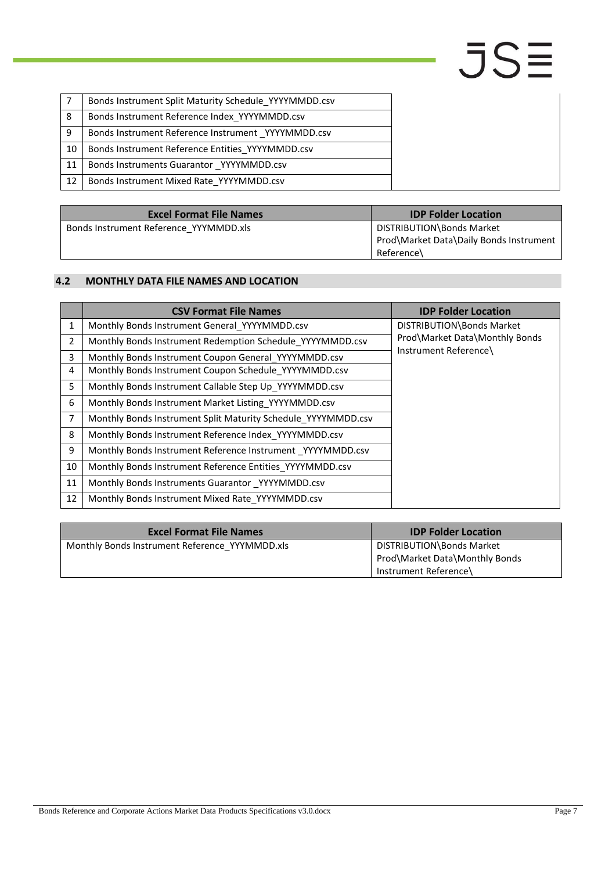|    | Bonds Instrument Split Maturity Schedule YYYYMMDD.csv |
|----|-------------------------------------------------------|
| 8  | Bonds Instrument Reference Index YYYYMMDD.csv         |
| 9  | Bonds Instrument Reference Instrument YYYYMMDD.csv    |
| 10 | Bonds Instrument Reference Entities YYYYMMDD.csv      |
| 11 | Bonds Instruments Guarantor YYYYMMDD.csv              |
| 12 | Bonds Instrument Mixed Rate YYYYMMDD.csv              |

| <b>Excel Format File Names</b>         | <b>IDP Folder Location</b>              |
|----------------------------------------|-----------------------------------------|
| Bonds Instrument Reference YYYMMDD.xls | DISTRIBUTION\Bonds Market               |
|                                        | Prod\Market Data\Daily Bonds Instrument |
|                                        | Reference\                              |

#### <span id="page-6-0"></span>**4.2 MONTHLY DATA FILE NAMES AND LOCATION**

|                | <b>CSV Format File Names</b>                                  | <b>IDP Folder Location</b>     |  |  |
|----------------|---------------------------------------------------------------|--------------------------------|--|--|
| $\mathbf{1}$   | Monthly Bonds Instrument General YYYYMMDD.csv                 | DISTRIBUTION\Bonds Market      |  |  |
| $\overline{2}$ | Monthly Bonds Instrument Redemption Schedule YYYYMMDD.csv     | Prod\Market Data\Monthly Bonds |  |  |
| 3              | Monthly Bonds Instrument Coupon General YYYYMMDD.csv          | Instrument Reference\          |  |  |
| 4              | Monthly Bonds Instrument Coupon Schedule YYYYMMDD.csv         |                                |  |  |
| 5              | Monthly Bonds Instrument Callable Step Up YYYYMMDD.csv        |                                |  |  |
| 6              | Monthly Bonds Instrument Market Listing YYYYMMDD.csv          |                                |  |  |
| $\overline{7}$ | Monthly Bonds Instrument Split Maturity Schedule YYYYMMDD.csv |                                |  |  |
| 8              | Monthly Bonds Instrument Reference Index YYYYMMDD.csv         |                                |  |  |
| 9              | Monthly Bonds Instrument Reference Instrument YYYYMMDD.csv    |                                |  |  |
| 10             | Monthly Bonds Instrument Reference Entities YYYYMMDD.csv      |                                |  |  |
| 11             | Monthly Bonds Instruments Guarantor YYYYMMDD.csv              |                                |  |  |
| 12             | Monthly Bonds Instrument Mixed Rate YYYYMMDD.csv              |                                |  |  |

| <b>Excel Format File Names</b>                 | <b>IDP Folder Location</b>                                  |
|------------------------------------------------|-------------------------------------------------------------|
| Monthly Bonds Instrument Reference YYYMMDD.xls | DISTRIBUTION\Bonds Market<br>Prod\Market Data\Monthly Bonds |
|                                                | Instrument Reference\                                       |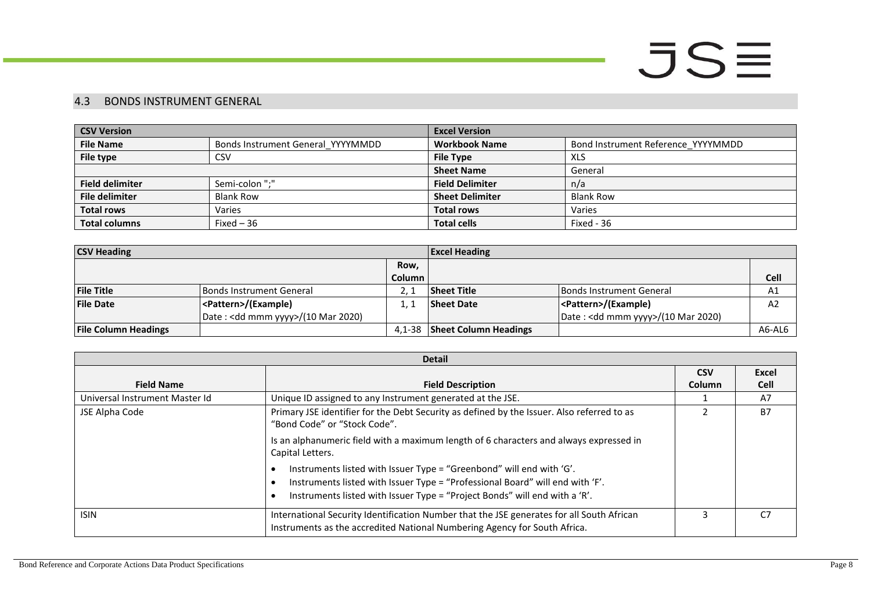### 4.3 BONDS INSTRUMENT GENERAL

| <b>CSV Version</b>                                    |                  | <b>Excel Version</b>                       |                                    |  |
|-------------------------------------------------------|------------------|--------------------------------------------|------------------------------------|--|
| <b>File Name</b><br>Bonds Instrument General YYYYMMDD |                  | <b>Workbook Name</b>                       | Bond Instrument Reference YYYYMMDD |  |
| File type                                             | <b>CSV</b>       | <b>File Type</b>                           | XLS                                |  |
|                                                       |                  | <b>Sheet Name</b><br>General               |                                    |  |
| <b>Field delimiter</b>                                | Semi-colon ";"   | <b>Field Delimiter</b>                     | n/a                                |  |
| <b>File delimiter</b>                                 | <b>Blank Row</b> | <b>Sheet Delimiter</b><br><b>Blank Row</b> |                                    |  |
| <b>Total rows</b><br>Varies                           |                  | <b>Total rows</b><br>Varies                |                                    |  |
| <b>Total columns</b>                                  | Fixed $-36$      | <b>Total cells</b>                         | Fixed - 36                         |  |

| <b>CSV Heading</b>          |                                              | <b>Excel Heading</b> |                              |                                    |                |
|-----------------------------|----------------------------------------------|----------------------|------------------------------|------------------------------------|----------------|
|                             |                                              | Row,                 |                              |                                    |                |
|                             |                                              | Column i             |                              |                                    | <b>Cell</b>    |
| <b>File Title</b>           | <b>Bonds Instrument General</b>              |                      | <b>Sheet Title</b>           | <b>Bonds Instrument General</b>    | A1             |
| <b>File Date</b>            | <pattern>/(Example)</pattern>                |                      | <b>Sheet Date</b>            | <pattern>/(Example)</pattern>      | A <sub>2</sub> |
|                             | Date: <dd mmm="" yyyy="">/(10 Mar 2020)</dd> |                      |                              | Date: < dd mmm yyyy>/(10 Mar 2020) |                |
| <b>File Column Headings</b> |                                              | 4.1-38               | <b>Sheet Column Headings</b> |                                    | A6-AL6         |

<span id="page-7-0"></span>

| <b>Detail</b>                  |                                                                                                                                                                                                                                     |        |             |  |
|--------------------------------|-------------------------------------------------------------------------------------------------------------------------------------------------------------------------------------------------------------------------------------|--------|-------------|--|
|                                | <b>CSV</b>                                                                                                                                                                                                                          | Excel  |             |  |
| <b>Field Name</b>              | <b>Field Description</b>                                                                                                                                                                                                            | Column | <b>Cell</b> |  |
| Universal Instrument Master Id | Unique ID assigned to any Instrument generated at the JSE.                                                                                                                                                                          |        | A7          |  |
| JSE Alpha Code                 | Primary JSE identifier for the Debt Security as defined by the Issuer. Also referred to as<br>"Bond Code" or "Stock Code".                                                                                                          |        | <b>B7</b>   |  |
|                                | Is an alphanumeric field with a maximum length of 6 characters and always expressed in<br>Capital Letters.                                                                                                                          |        |             |  |
|                                | Instruments listed with Issuer Type = "Greenbond" will end with 'G'.<br>Instruments listed with Issuer Type = "Professional Board" will end with 'F'.<br>Instruments listed with Issuer Type = "Project Bonds" will end with a 'R'. |        |             |  |
| <b>ISIN</b>                    | International Security Identification Number that the JSE generates for all South African<br>Instruments as the accredited National Numbering Agency for South Africa.                                                              |        | C7          |  |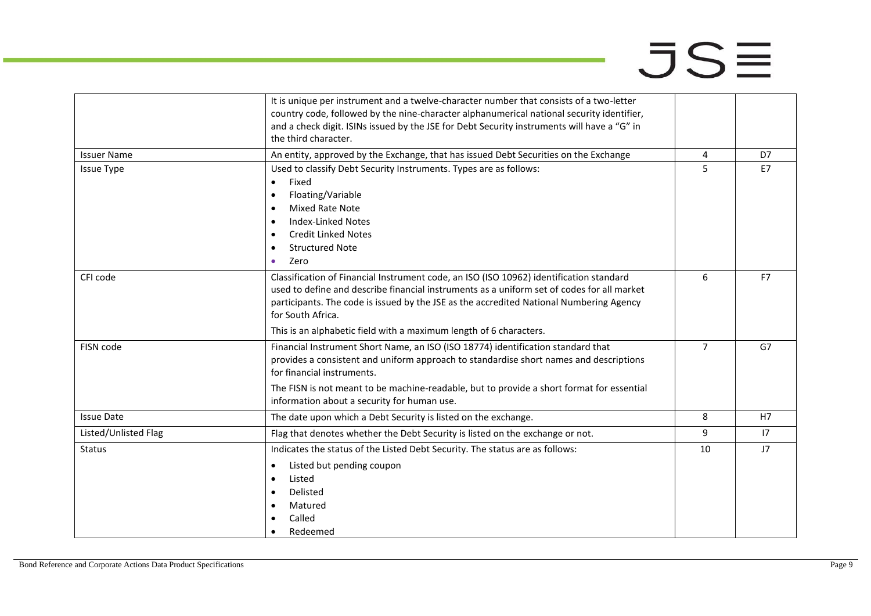цý.

|                      | It is unique per instrument and a twelve-character number that consists of a two-letter<br>country code, followed by the nine-character alphanumerical national security identifier,<br>and a check digit. ISINs issued by the JSE for Debt Security instruments will have a "G" in<br>the third character.                                                                 |                |    |
|----------------------|-----------------------------------------------------------------------------------------------------------------------------------------------------------------------------------------------------------------------------------------------------------------------------------------------------------------------------------------------------------------------------|----------------|----|
| <b>Issuer Name</b>   | An entity, approved by the Exchange, that has issued Debt Securities on the Exchange                                                                                                                                                                                                                                                                                        | 4              | D7 |
| <b>Issue Type</b>    | Used to classify Debt Security Instruments. Types are as follows:<br>Fixed<br>$\bullet$<br>Floating/Variable<br>$\bullet$<br><b>Mixed Rate Note</b><br>$\bullet$<br><b>Index-Linked Notes</b><br>$\bullet$<br><b>Credit Linked Notes</b><br><b>Structured Note</b><br>Zero<br>$\bullet$                                                                                     | 5              | E7 |
| CFI code             | Classification of Financial Instrument code, an ISO (ISO 10962) identification standard<br>used to define and describe financial instruments as a uniform set of codes for all market<br>participants. The code is issued by the JSE as the accredited National Numbering Agency<br>for South Africa.<br>This is an alphabetic field with a maximum length of 6 characters. | 6              | F7 |
| FISN code            | Financial Instrument Short Name, an ISO (ISO 18774) identification standard that<br>provides a consistent and uniform approach to standardise short names and descriptions<br>for financial instruments.<br>The FISN is not meant to be machine-readable, but to provide a short format for essential<br>information about a security for human use.                        | $\overline{7}$ | G7 |
| <b>Issue Date</b>    | The date upon which a Debt Security is listed on the exchange.                                                                                                                                                                                                                                                                                                              | 8              | H7 |
| Listed/Unlisted Flag | Flag that denotes whether the Debt Security is listed on the exchange or not.                                                                                                                                                                                                                                                                                               | 9              | 17 |
| <b>Status</b>        | Indicates the status of the Listed Debt Security. The status are as follows:<br>Listed but pending coupon<br>$\bullet$<br>Listed<br>Delisted<br>Matured<br>Called<br>Redeemed                                                                                                                                                                                               | 10             | J7 |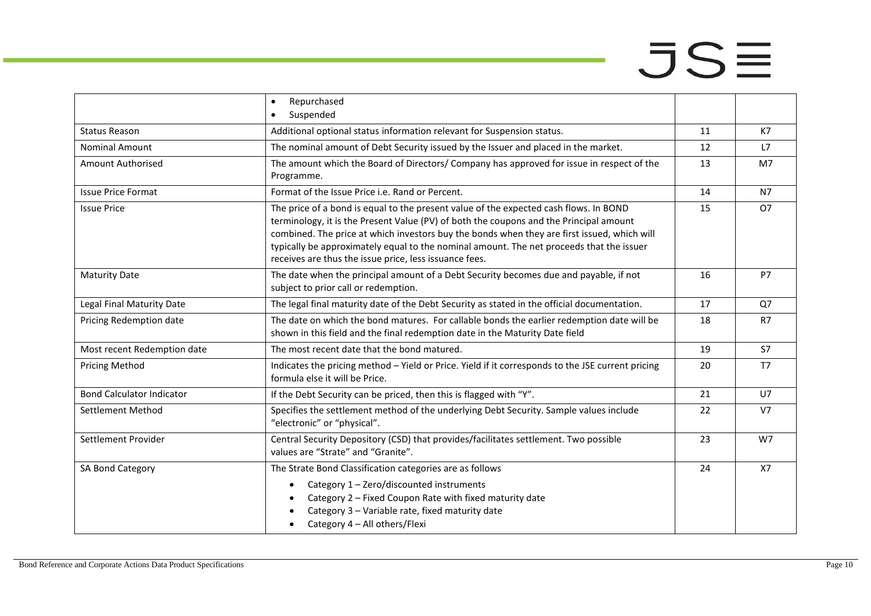|                                  | Repurchased<br>$\bullet$                                                                                                                                                                                                                                                                                                                                                                                                             |    |                |
|----------------------------------|--------------------------------------------------------------------------------------------------------------------------------------------------------------------------------------------------------------------------------------------------------------------------------------------------------------------------------------------------------------------------------------------------------------------------------------|----|----------------|
|                                  | Suspended<br>$\bullet$                                                                                                                                                                                                                                                                                                                                                                                                               |    |                |
| <b>Status Reason</b>             | Additional optional status information relevant for Suspension status.                                                                                                                                                                                                                                                                                                                                                               | 11 | K7             |
| <b>Nominal Amount</b>            | The nominal amount of Debt Security issued by the Issuer and placed in the market.                                                                                                                                                                                                                                                                                                                                                   | 12 | L7             |
| <b>Amount Authorised</b>         | The amount which the Board of Directors/ Company has approved for issue in respect of the<br>Programme.                                                                                                                                                                                                                                                                                                                              | 13 | M7             |
| <b>Issue Price Format</b>        | Format of the Issue Price i.e. Rand or Percent.                                                                                                                                                                                                                                                                                                                                                                                      | 14 | <b>N7</b>      |
| <b>Issue Price</b>               | The price of a bond is equal to the present value of the expected cash flows. In BOND<br>terminology, it is the Present Value (PV) of both the coupons and the Principal amount<br>combined. The price at which investors buy the bonds when they are first issued, which will<br>typically be approximately equal to the nominal amount. The net proceeds that the issuer<br>receives are thus the issue price, less issuance fees. | 15 | <b>O7</b>      |
| <b>Maturity Date</b>             | The date when the principal amount of a Debt Security becomes due and payable, if not<br>subject to prior call or redemption.                                                                                                                                                                                                                                                                                                        | 16 | P7             |
| Legal Final Maturity Date        | The legal final maturity date of the Debt Security as stated in the official documentation.                                                                                                                                                                                                                                                                                                                                          | 17 | Q7             |
| Pricing Redemption date          | The date on which the bond matures. For callable bonds the earlier redemption date will be<br>shown in this field and the final redemption date in the Maturity Date field                                                                                                                                                                                                                                                           | 18 | R7             |
| Most recent Redemption date      | The most recent date that the bond matured.                                                                                                                                                                                                                                                                                                                                                                                          | 19 | <b>S7</b>      |
| <b>Pricing Method</b>            | Indicates the pricing method - Yield or Price. Yield if it corresponds to the JSE current pricing<br>formula else it will be Price.                                                                                                                                                                                                                                                                                                  | 20 | T7             |
| <b>Bond Calculator Indicator</b> | If the Debt Security can be priced, then this is flagged with "Y".                                                                                                                                                                                                                                                                                                                                                                   | 21 | U7             |
| Settlement Method                | Specifies the settlement method of the underlying Debt Security. Sample values include<br>"electronic" or "physical".                                                                                                                                                                                                                                                                                                                | 22 | V <sub>7</sub> |
| Settlement Provider              | Central Security Depository (CSD) that provides/facilitates settlement. Two possible<br>values are "Strate" and "Granite".                                                                                                                                                                                                                                                                                                           | 23 | W7             |
| SA Bond Category                 | The Strate Bond Classification categories are as follows<br>Category 1 - Zero/discounted instruments<br>$\bullet$<br>Category 2 - Fixed Coupon Rate with fixed maturity date<br>Category 3 - Variable rate, fixed maturity date<br>Category 4 - All others/Flexi                                                                                                                                                                     | 24 | <b>X7</b>      |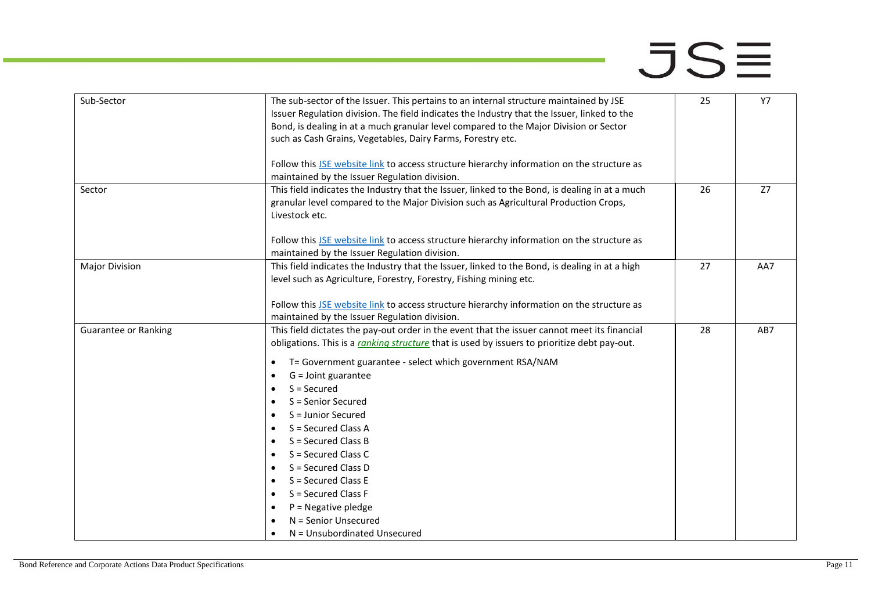| Sub-Sector                  | The sub-sector of the Issuer. This pertains to an internal structure maintained by JSE<br>Issuer Regulation division. The field indicates the Industry that the Issuer, linked to the<br>Bond, is dealing in at a much granular level compared to the Major Division or Sector<br>such as Cash Grains, Vegetables, Dairy Farms, Forestry etc.                                                                                                                                                                                                                                                                                                                                                                          | 25 | <b>Y7</b> |
|-----------------------------|------------------------------------------------------------------------------------------------------------------------------------------------------------------------------------------------------------------------------------------------------------------------------------------------------------------------------------------------------------------------------------------------------------------------------------------------------------------------------------------------------------------------------------------------------------------------------------------------------------------------------------------------------------------------------------------------------------------------|----|-----------|
|                             | Follow this JSE website link to access structure hierarchy information on the structure as<br>maintained by the Issuer Regulation division.                                                                                                                                                                                                                                                                                                                                                                                                                                                                                                                                                                            |    |           |
| Sector                      | This field indicates the Industry that the Issuer, linked to the Bond, is dealing in at a much<br>granular level compared to the Major Division such as Agricultural Production Crops,<br>Livestock etc.                                                                                                                                                                                                                                                                                                                                                                                                                                                                                                               | 26 | Z7        |
|                             | Follow this JSE website link to access structure hierarchy information on the structure as<br>maintained by the Issuer Regulation division.                                                                                                                                                                                                                                                                                                                                                                                                                                                                                                                                                                            |    |           |
| <b>Major Division</b>       | This field indicates the Industry that the Issuer, linked to the Bond, is dealing in at a high<br>level such as Agriculture, Forestry, Forestry, Fishing mining etc.<br>Follow this JSE website link to access structure hierarchy information on the structure as<br>maintained by the Issuer Regulation division.                                                                                                                                                                                                                                                                                                                                                                                                    | 27 | AA7       |
| <b>Guarantee or Ranking</b> | This field dictates the pay-out order in the event that the issuer cannot meet its financial<br>obligations. This is a ranking structure that is used by issuers to prioritize debt pay-out.<br>T= Government guarantee - select which government RSA/NAM<br>٠<br>G = Joint guarantee<br>٠<br>$S =$ Secured<br>$\bullet$<br>S = Senior Secured<br>$\bullet$<br>S = Junior Secured<br>$\bullet$<br>S = Secured Class A<br>$\bullet$<br>$S =$ Secured Class B<br>$\bullet$<br>S = Secured Class C<br>$\bullet$<br>S = Secured Class D<br>$\bullet$<br>S = Secured Class E<br>$\bullet$<br>S = Secured Class F<br>$\bullet$<br>$P = Negative$ pledge<br>$\bullet$<br>N = Senior Unsecured<br>N = Unsubordinated Unsecured | 28 | AB7       |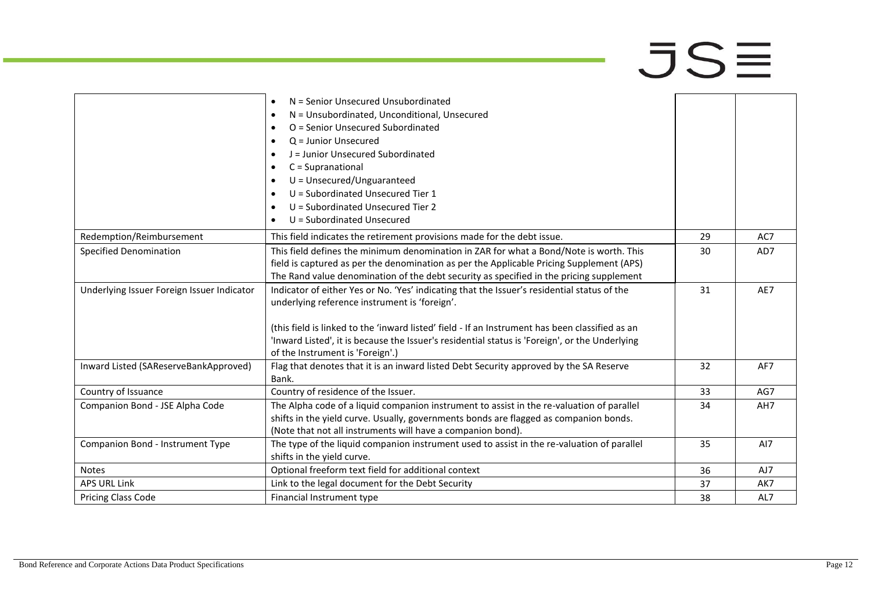# $\overline{\mathsf{J}}\mathsf{S}\overline{\equiv}$

|                                            | N = Senior Unsecured Unsubordinated<br>$\bullet$                                                |    |     |
|--------------------------------------------|-------------------------------------------------------------------------------------------------|----|-----|
|                                            | N = Unsubordinated, Unconditional, Unsecured<br>$\bullet$                                       |    |     |
|                                            | O = Senior Unsecured Subordinated<br>$\bullet$                                                  |    |     |
|                                            | $Q =$ Junior Unsecured<br>$\bullet$                                                             |    |     |
|                                            | J = Junior Unsecured Subordinated<br>$\bullet$                                                  |    |     |
|                                            | C = Supranational<br>$\bullet$                                                                  |    |     |
|                                            | U = Unsecured/Unguaranteed<br>$\bullet$                                                         |    |     |
|                                            | U = Subordinated Unsecured Tier 1<br>$\bullet$                                                  |    |     |
|                                            | U = Subordinated Unsecured Tier 2<br>$\bullet$                                                  |    |     |
|                                            | U = Subordinated Unsecured<br>$\bullet$                                                         |    |     |
| Redemption/Reimbursement                   | This field indicates the retirement provisions made for the debt issue.                         | 29 | AC7 |
| <b>Specified Denomination</b>              | This field defines the minimum denomination in ZAR for what a Bond/Note is worth. This          | 30 | AD7 |
|                                            | field is captured as per the denomination as per the Applicable Pricing Supplement (APS)        |    |     |
|                                            | The Rand value denomination of the debt security as specified in the pricing supplement         |    |     |
| Underlying Issuer Foreign Issuer Indicator | Indicator of either Yes or No. 'Yes' indicating that the Issuer's residential status of the     | 31 | AE7 |
|                                            | underlying reference instrument is 'foreign'.                                                   |    |     |
|                                            |                                                                                                 |    |     |
|                                            | (this field is linked to the 'inward listed' field - If an Instrument has been classified as an |    |     |
|                                            | 'Inward Listed', it is because the Issuer's residential status is 'Foreign', or the Underlying  |    |     |
|                                            | of the Instrument is 'Foreign'.)                                                                |    |     |
| Inward Listed (SAReserveBankApproved)      | Flag that denotes that it is an inward listed Debt Security approved by the SA Reserve          | 32 | AF7 |
|                                            | Bank.                                                                                           |    |     |
| Country of Issuance                        | Country of residence of the Issuer.                                                             | 33 | AG7 |
| Companion Bond - JSE Alpha Code            | The Alpha code of a liquid companion instrument to assist in the re-valuation of parallel       | 34 | AH7 |
|                                            | shifts in the yield curve. Usually, governments bonds are flagged as companion bonds.           |    |     |
|                                            | (Note that not all instruments will have a companion bond).                                     |    |     |
| Companion Bond - Instrument Type           | The type of the liquid companion instrument used to assist in the re-valuation of parallel      | 35 | AI7 |
|                                            | shifts in the yield curve.                                                                      |    |     |
| <b>Notes</b>                               | Optional freeform text field for additional context                                             | 36 | AJ7 |
| <b>APS URL Link</b>                        | Link to the legal document for the Debt Security                                                | 37 | AK7 |
| Pricing Class Code                         | Financial Instrument type                                                                       | 38 | AL7 |
|                                            |                                                                                                 |    |     |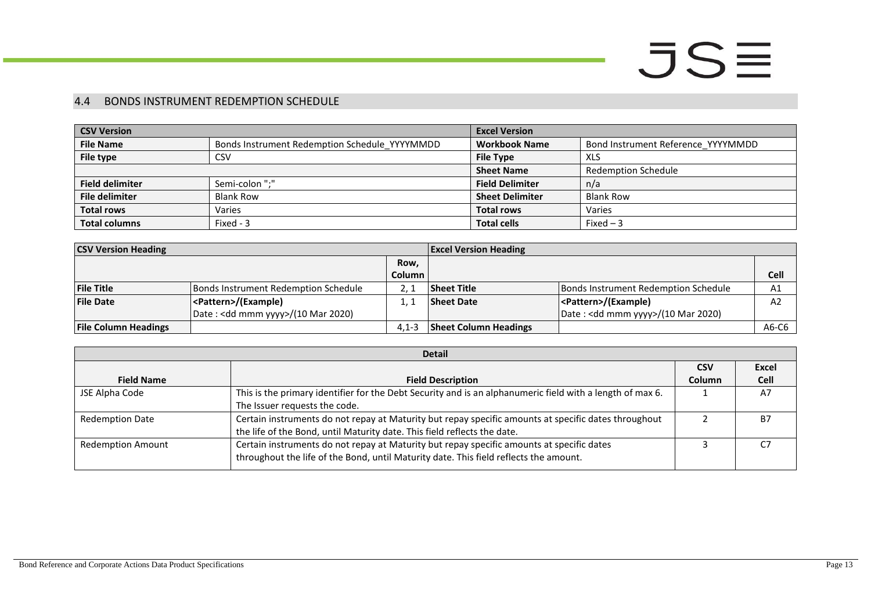### 4.4 BONDS INSTRUMENT REDEMPTION SCHEDULE

| <b>CSV Version</b>     |                                               | <b>Excel Version</b>   |                                    |  |
|------------------------|-----------------------------------------------|------------------------|------------------------------------|--|
| <b>File Name</b>       | Bonds Instrument Redemption Schedule_YYYYMMDD | <b>Workbook Name</b>   | Bond Instrument Reference YYYYMMDD |  |
| File type              | CSV                                           | <b>File Type</b>       | <b>XLS</b>                         |  |
|                        |                                               | <b>Sheet Name</b>      | <b>Redemption Schedule</b>         |  |
| <b>Field delimiter</b> | Semi-colon ":"                                | <b>Field Delimiter</b> | n/a                                |  |
| <b>File delimiter</b>  | <b>Blank Row</b>                              | <b>Sheet Delimiter</b> | <b>Blank Row</b>                   |  |
| <b>Total rows</b>      | Varies                                        | <b>Total rows</b>      | Varies                             |  |
| <b>Total columns</b>   | Fixed - 3                                     | <b>Total cells</b>     | Fixed $-3$                         |  |

| <b>CSV Version Heading</b>  |                                              |               | <b>Excel Version Heading</b> |                                              |                |
|-----------------------------|----------------------------------------------|---------------|------------------------------|----------------------------------------------|----------------|
|                             |                                              | Row,          |                              |                                              |                |
|                             |                                              | <b>Column</b> |                              |                                              | <b>Cell</b>    |
| <b>File Title</b>           | Bonds Instrument Redemption Schedule         |               | <b>Sheet Title</b>           | Bonds Instrument Redemption Schedule         | A <sub>1</sub> |
| <b>File Date</b>            | <pattern>/(Example)</pattern>                |               | <b>Sheet Date</b>            | <pattern>/(Example)</pattern>                | A <sub>2</sub> |
|                             | Date: <dd mmm="" yyyy="">/(10 Mar 2020)</dd> |               |                              | Date: <dd mmm="" yyyy="">/(10 Mar 2020)</dd> |                |
| <b>File Column Headings</b> |                                              | $4.1 - 3$     | <b>Sheet Column Headings</b> |                                              | A6-C6          |

<span id="page-12-0"></span>

| <b>Detail</b>            |                                                                                                           |            |           |  |
|--------------------------|-----------------------------------------------------------------------------------------------------------|------------|-----------|--|
|                          |                                                                                                           | <b>CSV</b> | Excel     |  |
| <b>Field Name</b>        | <b>Field Description</b>                                                                                  | Column     | Cell      |  |
| JSE Alpha Code           | This is the primary identifier for the Debt Security and is an alphanumeric field with a length of max 6. |            | A7        |  |
|                          | The Issuer requests the code.                                                                             |            |           |  |
| <b>Redemption Date</b>   | Certain instruments do not repay at Maturity but repay specific amounts at specific dates throughout      |            | <b>B7</b> |  |
|                          | the life of the Bond, until Maturity date. This field reflects the date.                                  |            |           |  |
| <b>Redemption Amount</b> | Certain instruments do not repay at Maturity but repay specific amounts at specific dates                 |            | C7        |  |
|                          | throughout the life of the Bond, until Maturity date. This field reflects the amount.                     |            |           |  |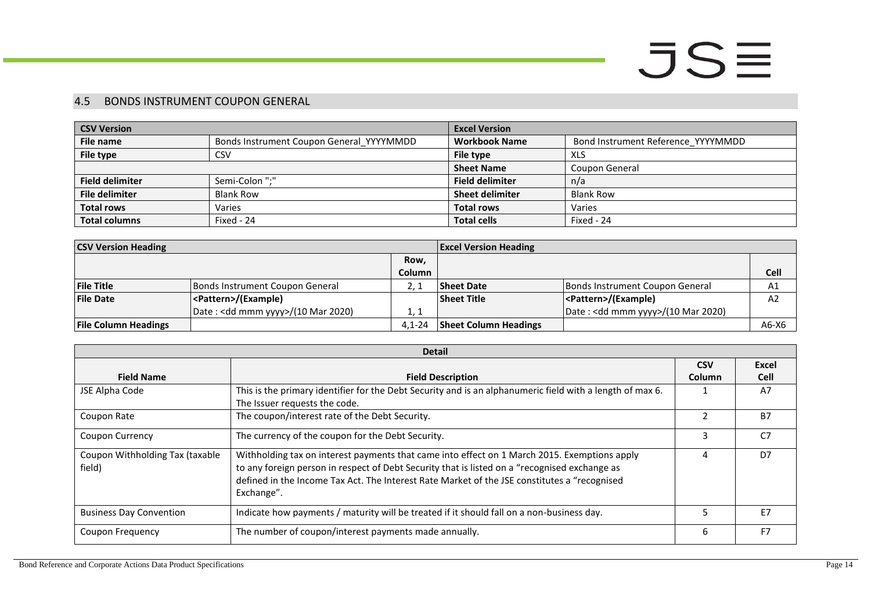### 4.5 BONDS INSTRUMENT COUPON GENERAL

| <b>CSV Version</b>     |                                          | <b>Excel Version</b>   |                                    |  |
|------------------------|------------------------------------------|------------------------|------------------------------------|--|
| File name              | Bonds Instrument Coupon General YYYYMMDD | <b>Workbook Name</b>   | Bond Instrument Reference YYYYMMDD |  |
| File type              | <b>CSV</b>                               | File type              | XLS                                |  |
|                        |                                          | <b>Sheet Name</b>      | Coupon General                     |  |
| <b>Field delimiter</b> | Semi-Colon ";"                           | <b>Field delimiter</b> | n/a                                |  |
| <b>File delimiter</b>  | <b>Blank Row</b>                         | <b>Sheet delimiter</b> | Blank Row                          |  |
| <b>Total rows</b>      | Varies                                   | <b>Total rows</b>      | Varies                             |  |
| <b>Total columns</b>   | Fixed - 24                               | <b>Total cells</b>     | Fixed - 24                         |  |

| <b>CSV Version Heading</b>  |                                    |               | <b>Excel Version Heading</b> |                                              |         |
|-----------------------------|------------------------------------|---------------|------------------------------|----------------------------------------------|---------|
|                             |                                    | Row,          |                              |                                              |         |
|                             |                                    | <b>Column</b> |                              |                                              | Cell    |
| <b>File Title</b>           | Bonds Instrument Coupon General    |               | <b>Sheet Date</b>            | Bonds Instrument Coupon General              | A1      |
| <b>File Date</b>            | <pattern>/(Example)</pattern>      |               | <b>Sheet Title</b>           | <pattern>/(Example)</pattern>                | A2      |
|                             | Date: < dd mmm yyyy>/(10 Mar 2020) | 1, 1          |                              | Date: <dd mmm="" yyyy="">/(10 Mar 2020)</dd> |         |
| <b>File Column Headings</b> |                                    | $4.1 - 24$    | <b>Sheet Column Headings</b> |                                              | $A6-X6$ |

<span id="page-13-0"></span>

| <b>Detail</b>                             |                                                                                                                                                                                                                                                                                                             |            |                |
|-------------------------------------------|-------------------------------------------------------------------------------------------------------------------------------------------------------------------------------------------------------------------------------------------------------------------------------------------------------------|------------|----------------|
|                                           |                                                                                                                                                                                                                                                                                                             | <b>CSV</b> | Excel          |
| <b>Field Name</b>                         | <b>Field Description</b>                                                                                                                                                                                                                                                                                    | Column     | <b>Cell</b>    |
| JSE Alpha Code                            | This is the primary identifier for the Debt Security and is an alphanumeric field with a length of max 6.<br>The Issuer requests the code.                                                                                                                                                                  |            | A7             |
| Coupon Rate                               | The coupon/interest rate of the Debt Security.                                                                                                                                                                                                                                                              |            | <b>B7</b>      |
| <b>Coupon Currency</b>                    | The currency of the coupon for the Debt Security.                                                                                                                                                                                                                                                           | 3          | C <sub>7</sub> |
| Coupon Withholding Tax (taxable<br>field) | Withholding tax on interest payments that came into effect on 1 March 2015. Exemptions apply<br>to any foreign person in respect of Debt Security that is listed on a "recognised exchange as<br>defined in the Income Tax Act. The Interest Rate Market of the JSE constitutes a "recognised<br>Exchange". |            | D7             |
| <b>Business Day Convention</b>            | Indicate how payments / maturity will be treated if it should fall on a non-business day.                                                                                                                                                                                                                   | 5          | F7             |
| Coupon Frequency                          | The number of coupon/interest payments made annually.                                                                                                                                                                                                                                                       | 6          | F <sub>7</sub> |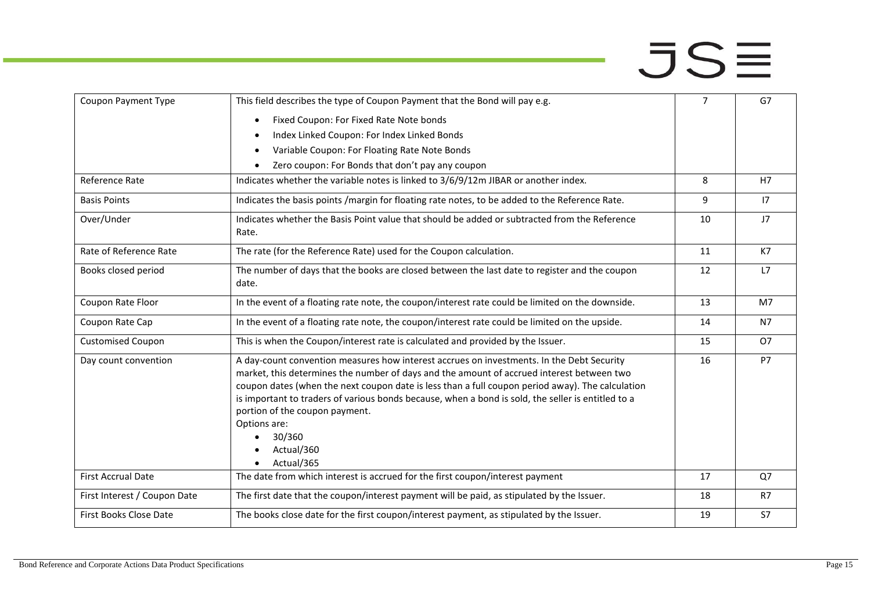| Coupon Payment Type          | This field describes the type of Coupon Payment that the Bond will pay e.g.                                                                                                                                                                                                                                                                                                                                                                                                              | $\overline{7}$ | G7             |
|------------------------------|------------------------------------------------------------------------------------------------------------------------------------------------------------------------------------------------------------------------------------------------------------------------------------------------------------------------------------------------------------------------------------------------------------------------------------------------------------------------------------------|----------------|----------------|
|                              | Fixed Coupon: For Fixed Rate Note bonds<br>$\bullet$                                                                                                                                                                                                                                                                                                                                                                                                                                     |                |                |
|                              | Index Linked Coupon: For Index Linked Bonds                                                                                                                                                                                                                                                                                                                                                                                                                                              |                |                |
|                              | Variable Coupon: For Floating Rate Note Bonds                                                                                                                                                                                                                                                                                                                                                                                                                                            |                |                |
|                              | Zero coupon: For Bonds that don't pay any coupon<br>$\bullet$                                                                                                                                                                                                                                                                                                                                                                                                                            |                |                |
| Reference Rate               | Indicates whether the variable notes is linked to 3/6/9/12m JIBAR or another index.                                                                                                                                                                                                                                                                                                                                                                                                      | 8              | H7             |
| <b>Basis Points</b>          | Indicates the basis points /margin for floating rate notes, to be added to the Reference Rate.                                                                                                                                                                                                                                                                                                                                                                                           | 9              | 17             |
| Over/Under                   | Indicates whether the Basis Point value that should be added or subtracted from the Reference<br>Rate.                                                                                                                                                                                                                                                                                                                                                                                   | 10             | J7             |
| Rate of Reference Rate       | The rate (for the Reference Rate) used for the Coupon calculation.                                                                                                                                                                                                                                                                                                                                                                                                                       | 11             | K7             |
| Books closed period          | The number of days that the books are closed between the last date to register and the coupon<br>date.                                                                                                                                                                                                                                                                                                                                                                                   | 12             | L7             |
| Coupon Rate Floor            | In the event of a floating rate note, the coupon/interest rate could be limited on the downside.                                                                                                                                                                                                                                                                                                                                                                                         | 13             | M7             |
| Coupon Rate Cap              | In the event of a floating rate note, the coupon/interest rate could be limited on the upside.                                                                                                                                                                                                                                                                                                                                                                                           | 14             | <b>N7</b>      |
| <b>Customised Coupon</b>     | This is when the Coupon/interest rate is calculated and provided by the Issuer.                                                                                                                                                                                                                                                                                                                                                                                                          | 15             | O <sub>7</sub> |
| Day count convention         | A day-count convention measures how interest accrues on investments. In the Debt Security<br>market, this determines the number of days and the amount of accrued interest between two<br>coupon dates (when the next coupon date is less than a full coupon period away). The calculation<br>is important to traders of various bonds because, when a bond is sold, the seller is entitled to a<br>portion of the coupon payment.<br>Options are:<br>30/360<br>Actual/360<br>Actual/365 | 16             | P7             |
| <b>First Accrual Date</b>    | The date from which interest is accrued for the first coupon/interest payment                                                                                                                                                                                                                                                                                                                                                                                                            | 17             | Q7             |
| First Interest / Coupon Date | The first date that the coupon/interest payment will be paid, as stipulated by the Issuer.                                                                                                                                                                                                                                                                                                                                                                                               | 18             | R7             |
| First Books Close Date       | The books close date for the first coupon/interest payment, as stipulated by the Issuer.                                                                                                                                                                                                                                                                                                                                                                                                 | 19             | <b>S7</b>      |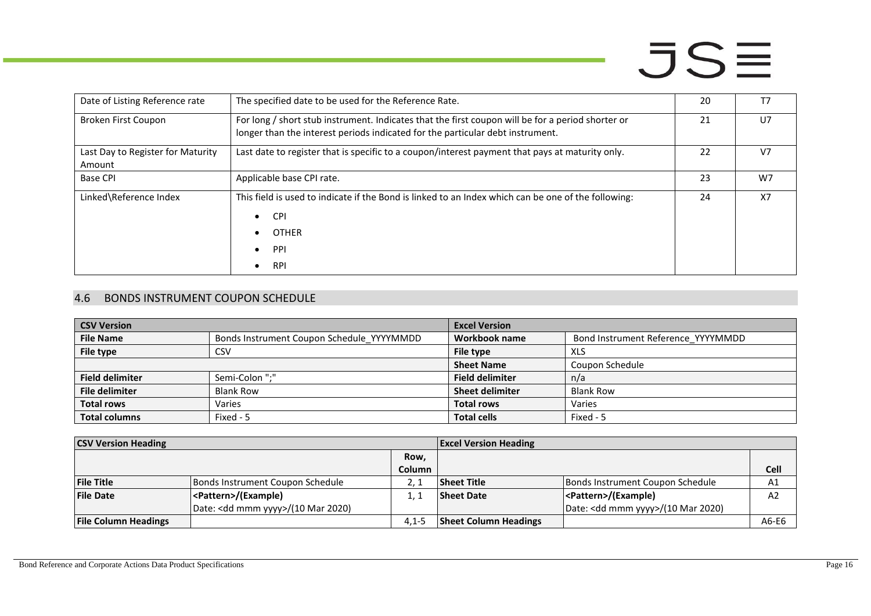| Date of Listing Reference rate    | The specified date to be used for the Reference Rate.                                                                                                                               | 20 | T7             |
|-----------------------------------|-------------------------------------------------------------------------------------------------------------------------------------------------------------------------------------|----|----------------|
| Broken First Coupon               | For long / short stub instrument. Indicates that the first coupon will be for a period shorter or<br>longer than the interest periods indicated for the particular debt instrument. | 21 | U <sub>7</sub> |
| Last Day to Register for Maturity | Last date to register that is specific to a coupon/interest payment that pays at maturity only.                                                                                     | 22 | V <sub>7</sub> |
| Amount                            |                                                                                                                                                                                     |    |                |
| <b>Base CPI</b>                   | Applicable base CPI rate.                                                                                                                                                           | 23 | W7             |
| Linked\Reference Index            | This field is used to indicate if the Bond is linked to an Index which can be one of the following:<br><b>CPI</b><br>$\bullet$<br><b>OTHER</b><br>PPI<br><b>RPI</b>                 | 24 | <b>X7</b>      |

### 4.6 BONDS INSTRUMENT COUPON SCHEDULE

| <b>CSV Version</b>     |                                           | <b>Excel Version</b>   |                                    |
|------------------------|-------------------------------------------|------------------------|------------------------------------|
| <b>File Name</b>       | Bonds Instrument Coupon Schedule_YYYYMMDD | Workbook name          | Bond Instrument Reference YYYYMMDD |
| File type              | <b>CSV</b>                                | File type              | <b>XLS</b>                         |
|                        |                                           | <b>Sheet Name</b>      | Coupon Schedule                    |
| <b>Field delimiter</b> | Semi-Colon ":"                            | <b>Field delimiter</b> | n/a                                |
| <b>File delimiter</b>  | <b>Blank Row</b>                          | <b>Sheet delimiter</b> | <b>Blank Row</b>                   |
| <b>Total rows</b>      | Varies                                    | <b>Total rows</b>      | Varies                             |
| <b>Total columns</b>   | Fixed - 5                                 | <b>Total cells</b>     | Fixed - 5                          |

<span id="page-15-0"></span>

| <b>CSV Version Heading</b>  |                                              | <b>Excel Version Heading</b> |                              |                                              |       |
|-----------------------------|----------------------------------------------|------------------------------|------------------------------|----------------------------------------------|-------|
|                             |                                              | Row,                         |                              |                                              |       |
|                             |                                              | <b>Column</b>                |                              |                                              | Cell  |
| <b>File Title</b>           | Bonds Instrument Coupon Schedule             |                              | <b>Sheet Title</b>           | Bonds Instrument Coupon Schedule             | A1    |
| <b>File Date</b>            | <pattern>/(Example)</pattern>                |                              | <b>Sheet Date</b>            | <pattern>/(Example)</pattern>                | A2    |
|                             | Date: <dd mmm="" yyyy="">/(10 Mar 2020)</dd> |                              |                              | Date: <dd mmm="" yyyy="">/(10 Mar 2020)</dd> |       |
| <b>File Column Headings</b> |                                              | $4.1 - 5$                    | <b>Sheet Column Headings</b> |                                              | A6-E6 |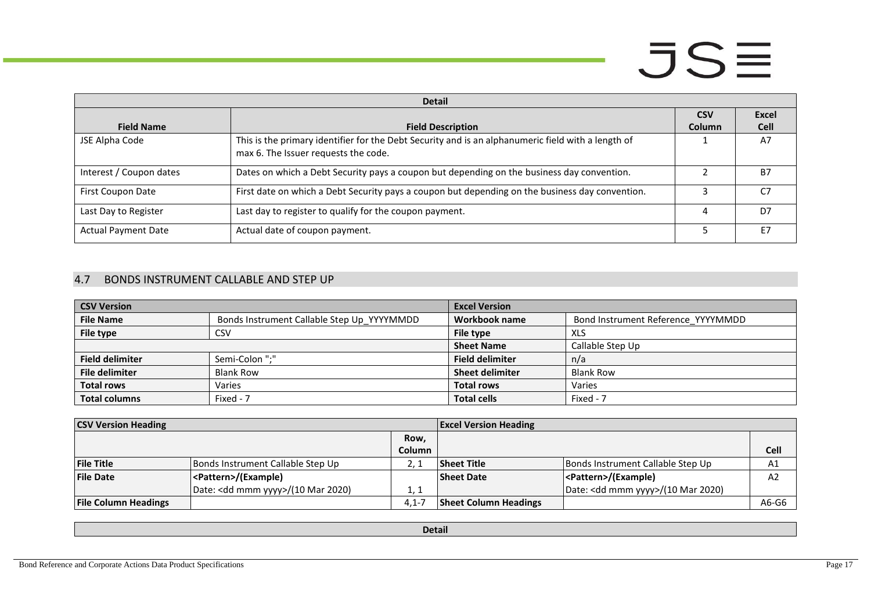| <b>Detail</b>              |                                                                                                                                            |               |             |  |
|----------------------------|--------------------------------------------------------------------------------------------------------------------------------------------|---------------|-------------|--|
|                            |                                                                                                                                            | <b>CSV</b>    | Excel       |  |
| <b>Field Name</b>          | <b>Field Description</b>                                                                                                                   | <b>Column</b> | <b>Cell</b> |  |
| JSE Alpha Code             | This is the primary identifier for the Debt Security and is an alphanumeric field with a length of<br>max 6. The Issuer requests the code. |               | A7          |  |
| Interest / Coupon dates    | Dates on which a Debt Security pays a coupon but depending on the business day convention.                                                 |               | <b>B7</b>   |  |
| First Coupon Date          | First date on which a Debt Security pays a coupon but depending on the business day convention.                                            |               | ۲7          |  |
| Last Day to Register       | Last day to register to qualify for the coupon payment.                                                                                    | Δ             | D7          |  |
| <b>Actual Payment Date</b> | Actual date of coupon payment.                                                                                                             |               | F7          |  |

### 4.7 BONDS INSTRUMENT CALLABLE AND STEP UP

| <b>CSV Version</b>     |                                            | <b>Excel Version</b>   |                                    |
|------------------------|--------------------------------------------|------------------------|------------------------------------|
| <b>File Name</b>       | Bonds Instrument Callable Step Up YYYYMMDD | Workbook name          | Bond Instrument Reference YYYYMMDD |
| <b>File type</b>       | CSV                                        | File type              | XLS                                |
|                        |                                            | <b>Sheet Name</b>      | Callable Step Up                   |
| <b>Field delimiter</b> | Semi-Colon ":"                             | <b>Field delimiter</b> | n/a                                |
| <b>File delimiter</b>  | <b>Blank Row</b>                           | <b>Sheet delimiter</b> | <b>Blank Row</b>                   |
| <b>Total rows</b>      | Varies                                     | <b>Total rows</b>      | Varies                             |
| <b>Total columns</b>   | Fixed - 7                                  | <b>Total cells</b>     | Fixed - 7                          |

<span id="page-16-0"></span>

| <b>CSV Version Heading</b>  |                                              | <b>Excel Version Heading</b> |                              |                                              |                |
|-----------------------------|----------------------------------------------|------------------------------|------------------------------|----------------------------------------------|----------------|
|                             |                                              | Row,                         |                              |                                              |                |
|                             |                                              | Column                       |                              |                                              | <b>Cell</b>    |
| <b>File Title</b>           | Bonds Instrument Callable Step Up            |                              | <b>Sheet Title</b>           | Bonds Instrument Callable Step Up            | A1             |
| <b>File Date</b>            | <pattern>/(Example)</pattern>                |                              | <b>Sheet Date</b>            | <pattern>/(Example)</pattern>                | A <sub>2</sub> |
|                             | Date: <dd mmm="" yyyy="">/(10 Mar 2020)</dd> | 1, 1                         |                              | Date: <dd mmm="" yyyy="">/(10 Mar 2020)</dd> |                |
| <b>File Column Headings</b> |                                              | $4.1 - 7$                    | <b>Sheet Column Headings</b> |                                              | A6-G6          |

**Detail**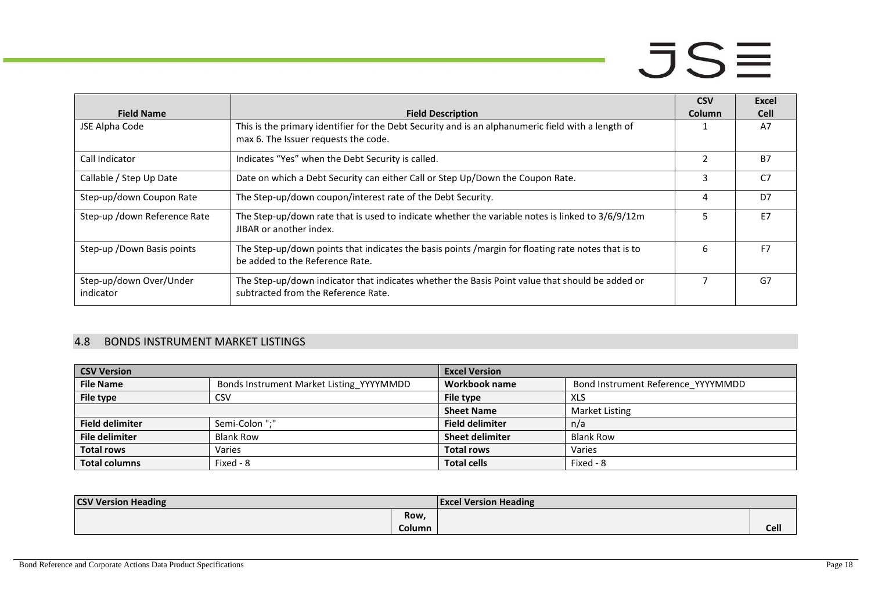|                                      |                                                                                                                                        | <b>CSV</b> | Excel          |
|--------------------------------------|----------------------------------------------------------------------------------------------------------------------------------------|------------|----------------|
| <b>Field Name</b>                    | <b>Field Description</b>                                                                                                               | Column     | <b>Cell</b>    |
| JSE Alpha Code                       | This is the primary identifier for the Debt Security and is an alphanumeric field with a length of                                     |            | A7             |
|                                      | max 6. The Issuer requests the code.                                                                                                   |            |                |
| Call Indicator                       | Indicates "Yes" when the Debt Security is called.                                                                                      |            | B <sub>7</sub> |
| Callable / Step Up Date              | Date on which a Debt Security can either Call or Step Up/Down the Coupon Rate.                                                         | 3          | C7             |
| Step-up/down Coupon Rate             | The Step-up/down coupon/interest rate of the Debt Security.                                                                            | 4          | D7             |
| Step-up /down Reference Rate         | The Step-up/down rate that is used to indicate whether the variable notes is linked to 3/6/9/12m<br>JIBAR or another index.            |            | F7             |
| Step-up / Down Basis points          | The Step-up/down points that indicates the basis points /margin for floating rate notes that is to<br>be added to the Reference Rate.  | 6          | F7             |
| Step-up/down Over/Under<br>indicator | The Step-up/down indicator that indicates whether the Basis Point value that should be added or<br>subtracted from the Reference Rate. |            | G7             |

#### 4.8 BONDS INSTRUMENT MARKET LISTINGS

| <b>CSV Version</b>     |                                          | <b>Excel Version</b>   |                                    |
|------------------------|------------------------------------------|------------------------|------------------------------------|
| <b>File Name</b>       | Bonds Instrument Market Listing YYYYMMDD | Workbook name          | Bond Instrument Reference YYYYMMDD |
| File type              | CSV                                      | File type              | XLS                                |
|                        |                                          | <b>Sheet Name</b>      | <b>Market Listing</b>              |
| <b>Field delimiter</b> | Semi-Colon ":"                           | <b>Field delimiter</b> | n/a                                |
| <b>File delimiter</b>  | <b>Blank Row</b>                         | <b>Sheet delimiter</b> | <b>Blank Row</b>                   |
| <b>Total rows</b>      | Varies                                   | <b>Total rows</b>      | Varies                             |
| <b>Total columns</b>   | Fixed - 8                                | <b>Total cells</b>     | Fixed - 8                          |

<span id="page-17-0"></span>

| <b>CSV Version Heading</b> |        | <b>Excel Version Heading</b> |      |
|----------------------------|--------|------------------------------|------|
|                            | Row,   |                              |      |
|                            | Column |                              | Cell |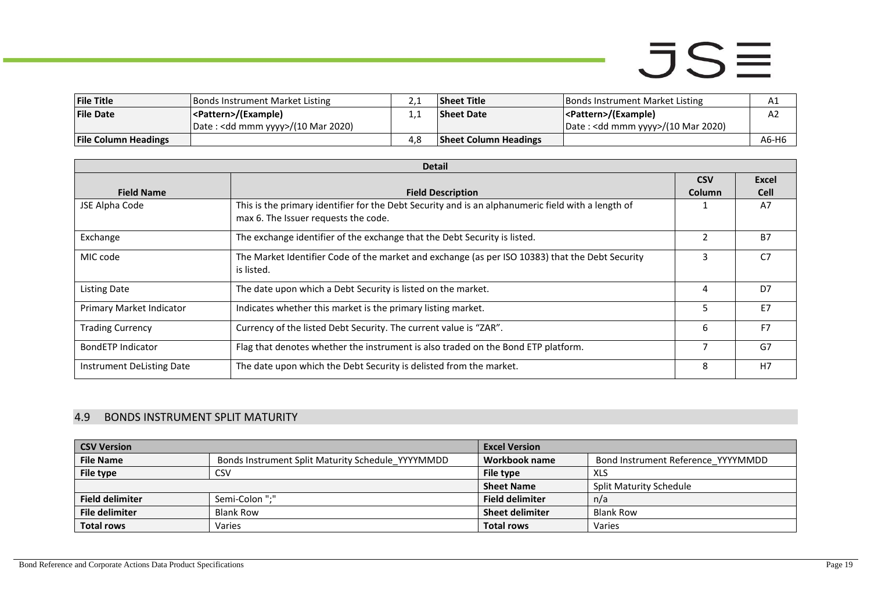| <b>File Title</b>           | <b>Bonds Instrument Market Listing</b>       | <u>.</u> | <b>Sheet Title</b>           | Bonds Instrument Market Listing              | Αı    |
|-----------------------------|----------------------------------------------|----------|------------------------------|----------------------------------------------|-------|
| <b>File Date</b>            | <pattern>/(Example)</pattern>                |          | <b>Sheet Date</b>            | <pattern>/(Example)</pattern>                | Az    |
|                             | Date: <dd mmm="" yyyy="">/(10 Mar 2020)</dd> |          |                              | Date: <dd mmm="" yyyy="">/(10 Mar 2020)</dd> |       |
| <b>File Column Headings</b> |                                              | 4.8      | <b>Sheet Column Headings</b> |                                              | A6-H6 |

|                           | <b>Detail</b>                                                                                      |                |                |  |  |
|---------------------------|----------------------------------------------------------------------------------------------------|----------------|----------------|--|--|
|                           |                                                                                                    | <b>CSV</b>     | Excel          |  |  |
| <b>Field Name</b>         | <b>Field Description</b>                                                                           | Column         | <b>Cell</b>    |  |  |
| JSE Alpha Code            | This is the primary identifier for the Debt Security and is an alphanumeric field with a length of |                | A7             |  |  |
|                           | max 6. The Issuer requests the code.                                                               |                |                |  |  |
| Exchange                  | The exchange identifier of the exchange that the Debt Security is listed.                          | $\overline{2}$ | <b>B7</b>      |  |  |
| MIC code                  | The Market Identifier Code of the market and exchange (as per ISO 10383) that the Debt Security    | 3              | C <sub>7</sub> |  |  |
|                           | is listed.                                                                                         |                |                |  |  |
| <b>Listing Date</b>       | The date upon which a Debt Security is listed on the market.                                       | 4              | D7             |  |  |
| Primary Market Indicator  | Indicates whether this market is the primary listing market.                                       | 5              | F7             |  |  |
| <b>Trading Currency</b>   | Currency of the listed Debt Security. The current value is "ZAR".                                  | 6              | F7             |  |  |
| <b>BondETP Indicator</b>  | Flag that denotes whether the instrument is also traded on the Bond ETP platform.                  |                | G7             |  |  |
| Instrument DeListing Date | The date upon which the Debt Security is delisted from the market.                                 | 8              | H7             |  |  |

### 4.9 BONDS INSTRUMENT SPLIT MATURITY

<span id="page-18-0"></span>

| <b>CSV Version</b>     |                                                   | <b>Excel Version</b>   |                                    |
|------------------------|---------------------------------------------------|------------------------|------------------------------------|
| <b>File Name</b>       | Bonds Instrument Split Maturity Schedule YYYYMMDD | Workbook name          | Bond Instrument Reference YYYYMMDD |
| File type              | <b>CSV</b>                                        | File type              | <b>XLS</b>                         |
|                        |                                                   | <b>Sheet Name</b>      | <b>Split Maturity Schedule</b>     |
| <b>Field delimiter</b> | Semi-Colon ":"                                    | <b>Field delimiter</b> | n/a                                |
| <b>File delimiter</b>  | <b>Blank Row</b>                                  | <b>Sheet delimiter</b> | <b>Blank Row</b>                   |
| <b>Total rows</b>      | Varies                                            | <b>Total rows</b>      | Varies                             |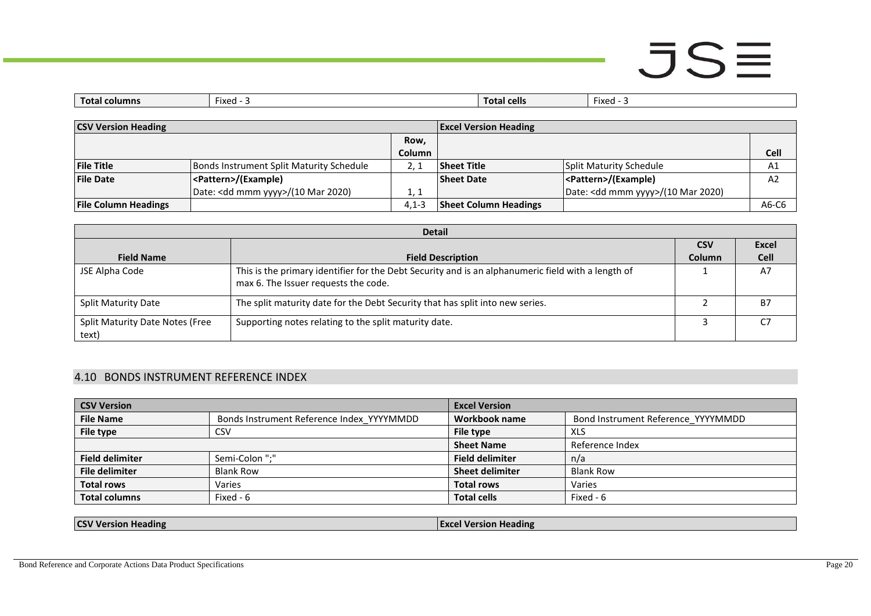| columns<br>Total | <b>Fixed</b> | <b>Total cells</b> | $\cdots$<br>⊤x⊷<br> |
|------------------|--------------|--------------------|---------------------|
|                  |              |                    |                     |

| <b>CSV Version Heading</b>  |                                              | <b>Excel Version Heading</b> |                              |                                              |                |
|-----------------------------|----------------------------------------------|------------------------------|------------------------------|----------------------------------------------|----------------|
|                             |                                              | Row.                         |                              |                                              |                |
|                             |                                              | <b>Column</b>                |                              |                                              | <b>Cell</b>    |
| <b>File Title</b>           | Bonds Instrument Split Maturity Schedule     |                              | Sheet Title                  | Split Maturity Schedule                      | A1             |
| <b>File Date</b>            | <pattern>/(Example)</pattern>                |                              | <b>Sheet Date</b>            | <pattern>/(Example)</pattern>                | A <sub>2</sub> |
|                             | Date: <dd mmm="" yyyy="">/(10 Mar 2020)</dd> | 1, 1                         |                              | Date: <dd mmm="" yyyy="">/(10 Mar 2020)</dd> |                |
| <b>File Column Headings</b> |                                              | $4.1 - 3$                    | <b>Sheet Column Headings</b> |                                              | A6-C6          |

|                                          | <b>Detail</b>                                                                                                                              |               |              |
|------------------------------------------|--------------------------------------------------------------------------------------------------------------------------------------------|---------------|--------------|
|                                          |                                                                                                                                            | <b>CSV</b>    | <b>Excel</b> |
| <b>Field Name</b>                        | <b>Field Description</b>                                                                                                                   | <b>Column</b> | <b>Cell</b>  |
| JSE Alpha Code                           | This is the primary identifier for the Debt Security and is an alphanumeric field with a length of<br>max 6. The Issuer requests the code. |               | A7           |
| <b>Split Maturity Date</b>               | The split maturity date for the Debt Security that has split into new series.                                                              |               | <b>B7</b>    |
| Split Maturity Date Notes (Free<br>text) | Supporting notes relating to the split maturity date.                                                                                      |               |              |

### 4.10 BONDS INSTRUMENT REFERENCE INDEX

| <b>CSV Version</b>     |                                           | <b>Excel Version</b>   |                                    |
|------------------------|-------------------------------------------|------------------------|------------------------------------|
| <b>File Name</b>       | Bonds Instrument Reference Index YYYYMMDD | Workbook name          | Bond Instrument Reference YYYYMMDD |
| File type              | <b>CSV</b>                                | File type              | XLS                                |
|                        |                                           | <b>Sheet Name</b>      | Reference Index                    |
| <b>Field delimiter</b> | Semi-Colon ";"                            | <b>Field delimiter</b> | n/a                                |
| <b>File delimiter</b>  | <b>Blank Row</b>                          | <b>Sheet delimiter</b> | <b>Blank Row</b>                   |
| <b>Total rows</b>      | Varies                                    | <b>Total rows</b>      | Varies                             |
| <b>Total columns</b>   | Fixed - 6                                 | <b>Total cells</b>     | Fixed - 6                          |

<span id="page-19-0"></span>

| . leading<br>.leading<br>a la v<br>.ion<br>w<br>``<br>зюг<br>.<br>. |
|---------------------------------------------------------------------|
|---------------------------------------------------------------------|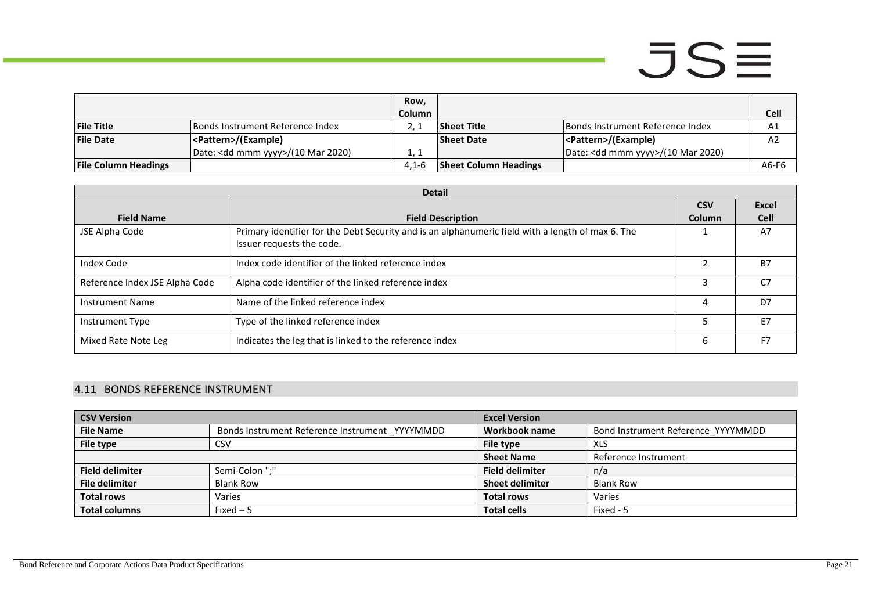|                             |                                              | Row,          |                              |                                              |                |
|-----------------------------|----------------------------------------------|---------------|------------------------------|----------------------------------------------|----------------|
|                             |                                              | <b>Column</b> |                              |                                              | Cell           |
| <b>File Title</b>           | Bonds Instrument Reference Index             |               | Sheet Title                  | Bonds Instrument Reference Index             | A1             |
| <b>File Date</b>            | <pattern>/(Example)</pattern>                |               | <b>Sheet Date</b>            | <pattern>/(Example)</pattern>                | A <sub>2</sub> |
|                             | Date: <dd mmm="" yyyy="">/(10 Mar 2020)</dd> |               |                              | Date: <dd mmm="" yyyy="">/(10 Mar 2020)</dd> |                |
| <b>File Column Headings</b> |                                              | $4.1 - 6$     | <b>Sheet Column Headings</b> |                                              | A6-F6          |

|                                | <b>Detail</b>                                                                                     |               |                |
|--------------------------------|---------------------------------------------------------------------------------------------------|---------------|----------------|
|                                |                                                                                                   | <b>CSV</b>    | <b>Excel</b>   |
| <b>Field Name</b>              | <b>Field Description</b>                                                                          | <b>Column</b> | <b>Cell</b>    |
| JSE Alpha Code                 | Primary identifier for the Debt Security and is an alphanumeric field with a length of max 6. The |               | A7             |
|                                | Issuer requests the code.                                                                         |               |                |
| Index Code                     | Index code identifier of the linked reference index                                               | $\mathfrak z$ | <b>B7</b>      |
| Reference Index JSE Alpha Code | Alpha code identifier of the linked reference index                                               | 3             | C <sub>7</sub> |
| <b>Instrument Name</b>         | Name of the linked reference index                                                                | 4             | D7             |
| Instrument Type                | Type of the linked reference index                                                                |               | E7             |
| Mixed Rate Note Leg            | Indicates the leg that is linked to the reference index                                           | 6             | F <sub>7</sub> |

### 4.11 BONDS REFERENCE INSTRUMENT

<span id="page-20-0"></span>

| <b>CSV Version</b>     |                                                | <b>Excel Version</b>   |                                    |
|------------------------|------------------------------------------------|------------------------|------------------------------------|
| <b>File Name</b>       | Bonds Instrument Reference Instrument YYYYMMDD | Workbook name          | Bond Instrument Reference YYYYMMDD |
| File type              | <b>CSV</b>                                     | File type              | XLS                                |
|                        |                                                | <b>Sheet Name</b>      | Reference Instrument               |
| <b>Field delimiter</b> | Semi-Colon ";"                                 | <b>Field delimiter</b> | n/a                                |
| <b>File delimiter</b>  | <b>Blank Row</b>                               | <b>Sheet delimiter</b> | <b>Blank Row</b>                   |
| <b>Total rows</b>      | Varies                                         | <b>Total rows</b>      | Varies                             |
| <b>Total columns</b>   | $Fixed-5$                                      | <b>Total cells</b>     | Fixed - 5                          |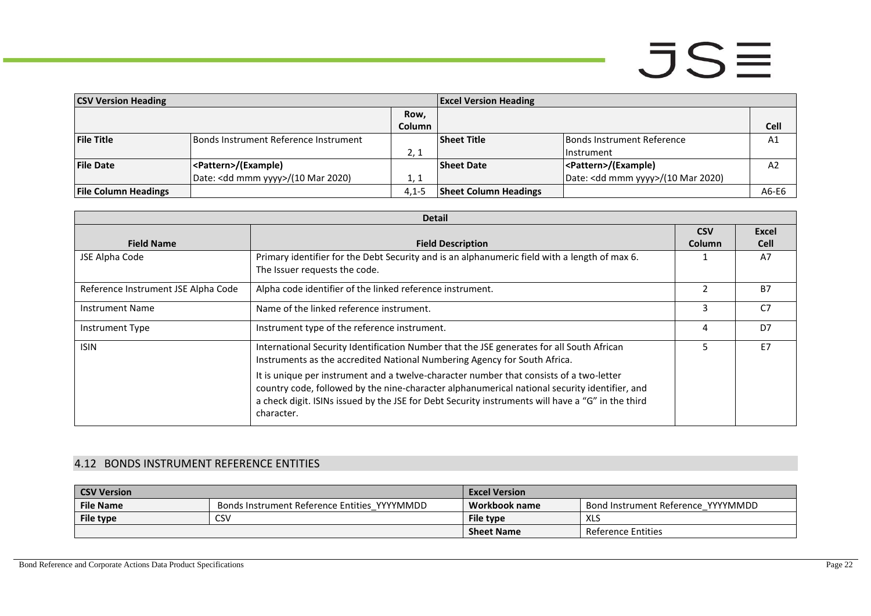| <b>CSV Version Heading</b>  |                                              |               | <b>Excel Version Heading</b> |                                              |                |
|-----------------------------|----------------------------------------------|---------------|------------------------------|----------------------------------------------|----------------|
|                             |                                              | Row,          |                              |                                              |                |
|                             |                                              | <b>Column</b> |                              |                                              | Cell           |
| <b>File Title</b>           | Bonds Instrument Reference Instrument        |               | <b>Sheet Title</b>           | <b>Bonds Instrument Reference</b>            | A1             |
|                             |                                              | 2, 1          |                              | l Instrument                                 |                |
| <b>File Date</b>            | <pattern>/(Example)</pattern>                |               | <b>Sheet Date</b>            | <pattern>/(Example)</pattern>                | A <sub>2</sub> |
|                             | Date: <dd mmm="" yyyy="">/(10 Mar 2020)</dd> | 1, 1          |                              | Date: <dd mmm="" yyyy="">/(10 Mar 2020)</dd> |                |
| <b>File Column Headings</b> |                                              | $4.1 - 5$     | <b>Sheet Column Headings</b> |                                              | A6-E6          |

|                                     | <b>Detail</b>                                                                                                                                                                                                                                                                                               |               |                |
|-------------------------------------|-------------------------------------------------------------------------------------------------------------------------------------------------------------------------------------------------------------------------------------------------------------------------------------------------------------|---------------|----------------|
|                                     |                                                                                                                                                                                                                                                                                                             | <b>CSV</b>    | Excel          |
| <b>Field Name</b>                   | <b>Field Description</b>                                                                                                                                                                                                                                                                                    | <b>Column</b> | <b>Cell</b>    |
| JSE Alpha Code                      | Primary identifier for the Debt Security and is an alphanumeric field with a length of max 6.                                                                                                                                                                                                               |               | A7             |
|                                     | The Issuer requests the code.                                                                                                                                                                                                                                                                               |               |                |
| Reference Instrument JSE Alpha Code | Alpha code identifier of the linked reference instrument.                                                                                                                                                                                                                                                   | $\mathfrak z$ | <b>B7</b>      |
| <b>Instrument Name</b>              | Name of the linked reference instrument.                                                                                                                                                                                                                                                                    | 3             | C <sub>7</sub> |
| Instrument Type                     | Instrument type of the reference instrument.                                                                                                                                                                                                                                                                | 4             | D7             |
| <b>ISIN</b>                         | International Security Identification Number that the JSE generates for all South African<br>Instruments as the accredited National Numbering Agency for South Africa.                                                                                                                                      |               | E7             |
|                                     | It is unique per instrument and a twelve-character number that consists of a two-letter<br>country code, followed by the nine-character alphanumerical national security identifier, and<br>a check digit. ISINs issued by the JSE for Debt Security instruments will have a "G" in the third<br>character. |               |                |

### 4.12 BONDS INSTRUMENT REFERENCE ENTITIES

<span id="page-21-0"></span>

| <b>CSV Version</b> |                                              | <b>Excel Version</b> |                                    |
|--------------------|----------------------------------------------|----------------------|------------------------------------|
| <b>File Name</b>   | Bonds Instrument Reference Entities YYYYMMDD | Workbook name        | Bond Instrument Reference YYYYMMDD |
| File type          | CSV                                          | File type            | XLS                                |
|                    |                                              | <b>Sheet Name</b>    | Reference Entities                 |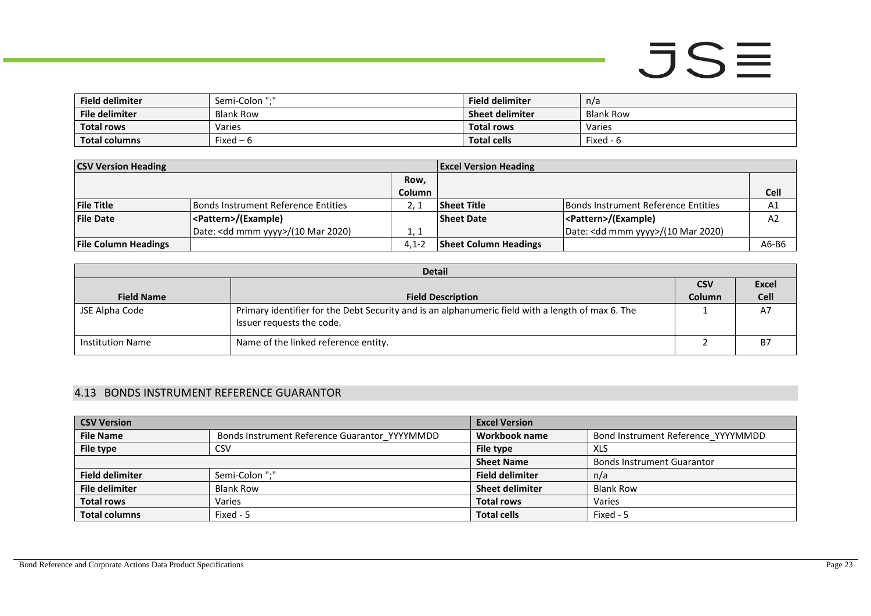| <b>Field delimiter</b> | Semi-Colon ":" | <b>Field delimiter</b> | n/a              |
|------------------------|----------------|------------------------|------------------|
| File delimiter         | Blank Row      | <b>Sheet delimiter</b> | <b>Blank Row</b> |
| <b>Total rows</b>      | Varies         | <b>Total rows</b>      | Varies           |
| <b>Total columns</b>   | Fixed $-6$     | <b>Total cells</b>     | Fixed - 6        |

| <b>CSV Version Heading</b>  |                                              |               | <b>Excel Version Heading</b> |                                              |                |
|-----------------------------|----------------------------------------------|---------------|------------------------------|----------------------------------------------|----------------|
|                             |                                              | Row,          |                              |                                              |                |
|                             |                                              | <b>Column</b> |                              |                                              | <b>Cell</b>    |
| <b>File Title</b>           | Bonds Instrument Reference Entities          |               | <b>Sheet Title</b>           | Bonds Instrument Reference Entities          | A1             |
| <b>File Date</b>            | <pattern>/(Example)</pattern>                |               | <b>Sheet Date</b>            | <pattern>/(Example)</pattern>                | A <sub>2</sub> |
|                             | Date: <dd mmm="" yyyy="">/(10 Mar 2020)</dd> | 1, 1          |                              | Date: <dd mmm="" yyyy="">/(10 Mar 2020)</dd> |                |
| <b>File Column Headings</b> |                                              | $4.1 - 2$     | <b>Sheet Column Headings</b> |                                              | A6-B6          |

| <b>Detail</b>           |                                                                                                                                |            |              |  |
|-------------------------|--------------------------------------------------------------------------------------------------------------------------------|------------|--------------|--|
|                         |                                                                                                                                | <b>CSV</b> | <b>Excel</b> |  |
| <b>Field Name</b>       | <b>Field Description</b>                                                                                                       | Column     | <b>Cell</b>  |  |
| JSE Alpha Code          | Primary identifier for the Debt Security and is an alphanumeric field with a length of max 6. The<br>Issuer requests the code. |            | A7           |  |
| <b>Institution Name</b> | Name of the linked reference entity.                                                                                           |            | B7           |  |

### 4.13 BONDS INSTRUMENT REFERENCE GUARANTOR

<span id="page-22-0"></span>

| <b>CSV Version</b>     |                                               | <b>Excel Version</b>                                |                                   |
|------------------------|-----------------------------------------------|-----------------------------------------------------|-----------------------------------|
| <b>File Name</b>       | Bonds Instrument Reference Guarantor YYYYMMDD | Workbook name<br>Bond Instrument Reference YYYYMMDD |                                   |
| File type              | CSV                                           | File type                                           | <b>XLS</b>                        |
|                        |                                               | <b>Sheet Name</b>                                   | <b>Bonds Instrument Guarantor</b> |
| <b>Field delimiter</b> | Semi-Colon ";"                                | <b>Field delimiter</b>                              | n/a                               |
| <b>File delimiter</b>  | <b>Blank Row</b>                              | <b>Sheet delimiter</b>                              | <b>Blank Row</b>                  |
| <b>Total rows</b>      | Varies                                        | <b>Total rows</b>                                   | Varies                            |
| <b>Total columns</b>   | Fixed - 5                                     | <b>Total cells</b>                                  | Fixed - 5                         |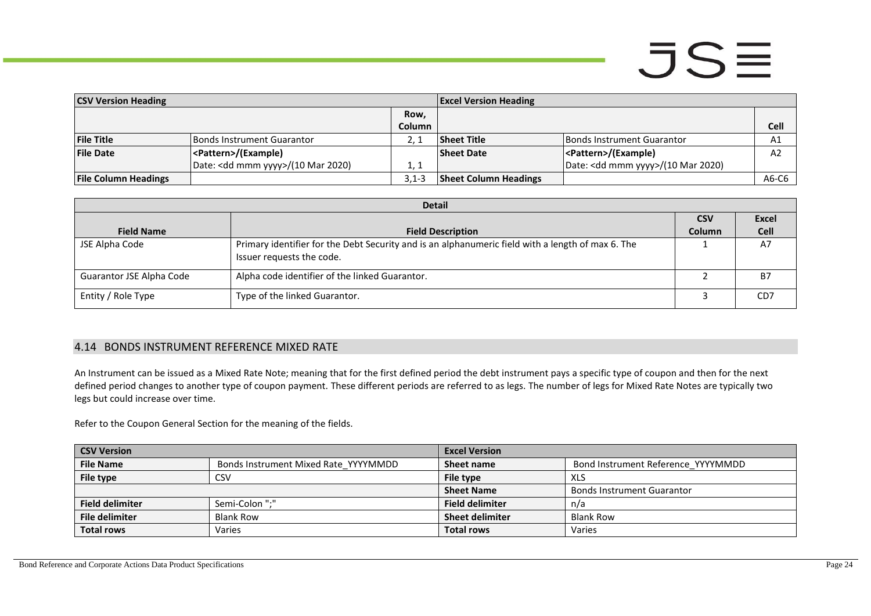## $JSE$

| <b>CSV Version Heading</b>  |                                              |           | <b>Excel Version Heading</b> |                                              |                |
|-----------------------------|----------------------------------------------|-----------|------------------------------|----------------------------------------------|----------------|
|                             |                                              | Row,      |                              |                                              |                |
|                             |                                              | Column    |                              |                                              | <b>Cell</b>    |
| <b>File Title</b>           | Bonds Instrument Guarantor                   |           | <b>Sheet Title</b>           | Bonds Instrument Guarantor                   | A1             |
| <b>File Date</b>            | <pattern>/(Example)</pattern>                |           | <b>Sheet Date</b>            | <pattern>/(Example)</pattern>                | A <sub>2</sub> |
|                             | Date: <dd mmm="" yyyy="">/(10 Mar 2020)</dd> | 1, 1      |                              | Date: <dd mmm="" yyyy="">/(10 Mar 2020)</dd> |                |
| <b>File Column Headings</b> |                                              | $3.1 - 3$ | <b>Sheet Column Headings</b> |                                              | $A6-C6$        |

| <b>Detail</b>            |                                                                                                                                |               |                  |
|--------------------------|--------------------------------------------------------------------------------------------------------------------------------|---------------|------------------|
|                          |                                                                                                                                | <b>CSV</b>    | <b>Excel</b>     |
| <b>Field Name</b>        | <b>Field Description</b>                                                                                                       | <b>Column</b> | <b>Cell</b>      |
| JSE Alpha Code           | Primary identifier for the Debt Security and is an alphanumeric field with a length of max 6. The<br>Issuer requests the code. |               | A7               |
| Guarantor JSE Alpha Code | Alpha code identifier of the linked Guarantor.                                                                                 |               | B7               |
| Entity / Role Type       | Type of the linked Guarantor.                                                                                                  |               | C <sub>D</sub> 7 |

#### 4.14 BONDS INSTRUMENT REFERENCE MIXED RATE

An Instrument can be issued as a Mixed Rate Note; meaning that for the first defined period the debt instrument pays a specific type of coupon and then for the next defined period changes to another type of coupon payment. These different periods are referred to as legs. The number of legs for Mixed Rate Notes are typically two legs but could increase over time.

Refer to the Coupon General Section for the meaning of the fields.

<span id="page-23-0"></span>

| <b>CSV Version</b>     |                                      | <b>Excel Version</b>   |                                    |
|------------------------|--------------------------------------|------------------------|------------------------------------|
| <b>File Name</b>       | Bonds Instrument Mixed Rate YYYYMMDD | Sheet name             | Bond Instrument Reference YYYYMMDD |
| File type              | <b>CSV</b>                           | File type              | XLS                                |
|                        |                                      | <b>Sheet Name</b>      | <b>Bonds Instrument Guarantor</b>  |
| <b>Field delimiter</b> | Semi-Colon ":"                       | <b>Field delimiter</b> | n/a                                |
| File delimiter         | <b>Blank Row</b>                     | <b>Sheet delimiter</b> | <b>Blank Row</b>                   |
| <b>Total rows</b>      | Varies                               | <b>Total rows</b>      | Varies                             |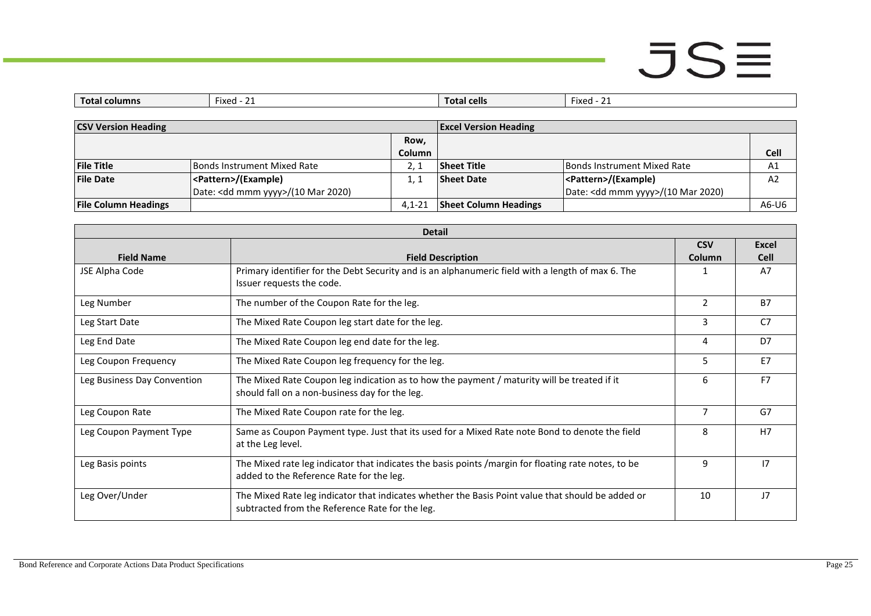## $JSE$

| Total<br>columns | $\overline{\phantom{a}}$<br>$\sim$<br>hevi-<br>ואכט<br><u>. .</u> | cells<br>. тота. | 1120<br>1 X H U<br>. . |
|------------------|-------------------------------------------------------------------|------------------|------------------------|

| <b>CSV Version Heading</b>  |                                              |               | <b>Excel Version Heading</b> |                                              |                |
|-----------------------------|----------------------------------------------|---------------|------------------------------|----------------------------------------------|----------------|
|                             |                                              | Row,          |                              |                                              |                |
|                             |                                              | <b>Column</b> |                              |                                              | <b>Cell</b>    |
| <b>File Title</b>           | Bonds Instrument Mixed Rate                  |               | <b>Sheet Title</b>           | <b>IBonds Instrument Mixed Rate</b>          | A1             |
| <b>File Date</b>            | <pattern>/(Example)</pattern>                |               | <b>Sheet Date</b>            | <pattern>/(Example)</pattern>                | A <sub>2</sub> |
|                             | Date: <dd mmm="" yyyy="">/(10 Mar 2020)</dd> |               |                              | Date: <dd mmm="" yyyy="">/(10 Mar 2020)</dd> |                |
| <b>File Column Headings</b> |                                              | $4.1 - 21$    | <b>Sheet Column Headings</b> |                                              | A6-U6          |

| <b>Detail</b>               |                                                                                                                                                      |                |                |
|-----------------------------|------------------------------------------------------------------------------------------------------------------------------------------------------|----------------|----------------|
|                             |                                                                                                                                                      | <b>CSV</b>     | <b>Excel</b>   |
| <b>Field Name</b>           | <b>Field Description</b>                                                                                                                             | Column         | <b>Cell</b>    |
| JSE Alpha Code              | Primary identifier for the Debt Security and is an alphanumeric field with a length of max 6. The<br>Issuer requests the code.                       |                | A7             |
| Leg Number                  | The number of the Coupon Rate for the leg.                                                                                                           | 2              | <b>B7</b>      |
| Leg Start Date              | The Mixed Rate Coupon leg start date for the leg.                                                                                                    | 3              | C <sub>7</sub> |
| Leg End Date                | The Mixed Rate Coupon leg end date for the leg.                                                                                                      | 4              | D7             |
| Leg Coupon Frequency        | The Mixed Rate Coupon leg frequency for the leg.                                                                                                     | 5              | E7             |
| Leg Business Day Convention | The Mixed Rate Coupon leg indication as to how the payment / maturity will be treated if it<br>should fall on a non-business day for the leg.        | 6              | F <sub>7</sub> |
| Leg Coupon Rate             | The Mixed Rate Coupon rate for the leg.                                                                                                              | $\overline{7}$ | G7             |
| Leg Coupon Payment Type     | Same as Coupon Payment type. Just that its used for a Mixed Rate note Bond to denote the field<br>at the Leg level.                                  | 8              | H7             |
| Leg Basis points            | The Mixed rate leg indicator that indicates the basis points / margin for floating rate notes, to be<br>added to the Reference Rate for the leg.     | 9              | 17             |
| Leg Over/Under              | The Mixed Rate leg indicator that indicates whether the Basis Point value that should be added or<br>subtracted from the Reference Rate for the leg. | 10             | 17             |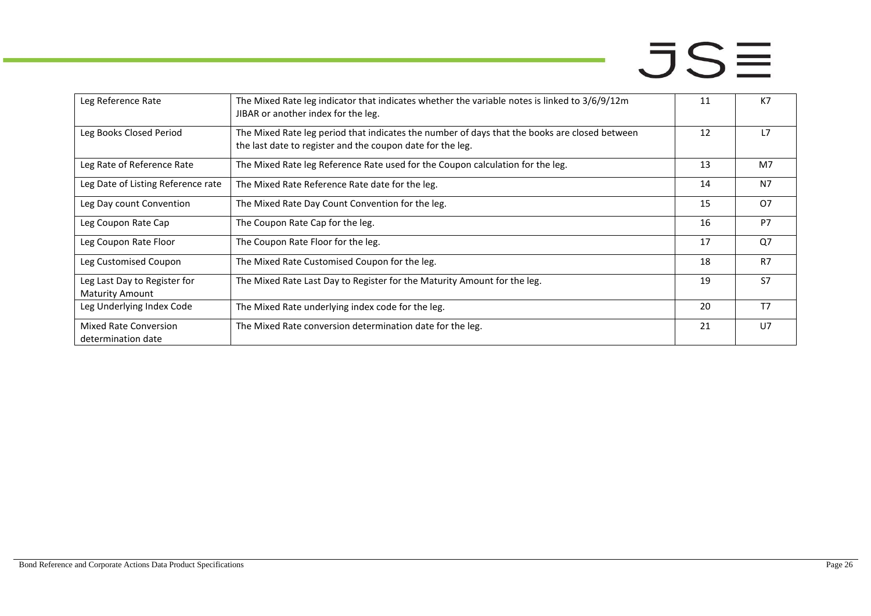| Leg Reference Rate                                     | The Mixed Rate leg indicator that indicates whether the variable notes is linked to $3/6/9/12m$<br>JIBAR or another index for the leg.                      | 11 | K7             |
|--------------------------------------------------------|-------------------------------------------------------------------------------------------------------------------------------------------------------------|----|----------------|
| Leg Books Closed Period                                | The Mixed Rate leg period that indicates the number of days that the books are closed between<br>the last date to register and the coupon date for the leg. | 12 | L7             |
| Leg Rate of Reference Rate                             | The Mixed Rate leg Reference Rate used for the Coupon calculation for the leg.                                                                              | 13 | M <sub>7</sub> |
| Leg Date of Listing Reference rate                     | The Mixed Rate Reference Rate date for the leg.                                                                                                             | 14 | N <sub>7</sub> |
| Leg Day count Convention                               | The Mixed Rate Day Count Convention for the leg.                                                                                                            | 15 | <b>O7</b>      |
| Leg Coupon Rate Cap                                    | The Coupon Rate Cap for the leg.                                                                                                                            | 16 | P7             |
| Leg Coupon Rate Floor                                  | The Coupon Rate Floor for the leg.                                                                                                                          | 17 | Q <sub>7</sub> |
| Leg Customised Coupon                                  | The Mixed Rate Customised Coupon for the leg.                                                                                                               | 18 | R7             |
| Leg Last Day to Register for<br><b>Maturity Amount</b> | The Mixed Rate Last Day to Register for the Maturity Amount for the leg.                                                                                    | 19 | S7             |
| Leg Underlying Index Code                              | The Mixed Rate underlying index code for the leg.                                                                                                           | 20 | T <sub>7</sub> |
| Mixed Rate Conversion<br>determination date            | The Mixed Rate conversion determination date for the leg.                                                                                                   | 21 | U <sub>7</sub> |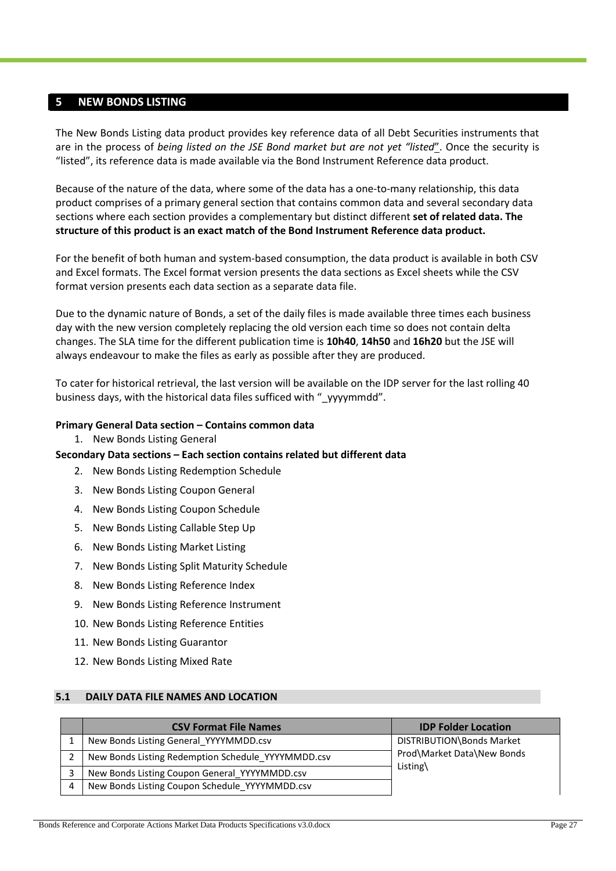#### <span id="page-26-0"></span>**5 NEW BONDS LISTING**

The New Bonds Listing data product provides key reference data of all Debt Securities instruments that are in the process of *being listed on the JSE Bond market but are not yet "listed*". Once the security is "listed", its reference data is made available via the Bond Instrument Reference data product.

Because of the nature of the data, where some of the data has a one-to-many relationship, this data product comprises of a primary general section that contains common data and several secondary data sections where each section provides a complementary but distinct different **set of related data. The structure of this product is an exact match of the Bond Instrument Reference data product.**

For the benefit of both human and system-based consumption, the data product is available in both CSV and Excel formats. The Excel format version presents the data sections as Excel sheets while the CSV format version presents each data section as a separate data file.

Due to the dynamic nature of Bonds, a set of the daily files is made available three times each business day with the new version completely replacing the old version each time so does not contain delta changes. The SLA time for the different publication time is **10h40**, **14h50** and **16h20** but the JSE will always endeavour to make the files as early as possible after they are produced.

To cater for historical retrieval, the last version will be available on the IDP server for the last rolling 40 business days, with the historical data files sufficed with " yyyymmdd".

#### **Primary General Data section – Contains common data**

1. New Bonds Listing General

#### **Secondary Data sections – Each section contains related but different data**

- 2. New Bonds Listing Redemption Schedule
- 3. New Bonds Listing Coupon General
- 4. New Bonds Listing Coupon Schedule
- 5. New Bonds Listing Callable Step Up
- 6. New Bonds Listing Market Listing
- 7. New Bonds Listing Split Maturity Schedule
- 8. New Bonds Listing Reference Index
- 9. New Bonds Listing Reference Instrument
- 10. New Bonds Listing Reference Entities
- 11. New Bonds Listing Guarantor
- 12. New Bonds Listing Mixed Rate

#### <span id="page-26-1"></span>**5.1 DAILY DATA FILE NAMES AND LOCATION**

|   | <b>CSV Format File Names</b>                       | <b>IDP Folder Location</b> |
|---|----------------------------------------------------|----------------------------|
|   | New Bonds Listing General YYYYMMDD.csv             | DISTRIBUTION\Bonds Market  |
|   | New Bonds Listing Redemption Schedule YYYYMMDD.csv | Prod\Market Data\New Bonds |
|   | New Bonds Listing Coupon General YYYYMMDD.csv      | Listing $\langle$          |
| 4 | New Bonds Listing Coupon Schedule YYYYMMDD.csv     |                            |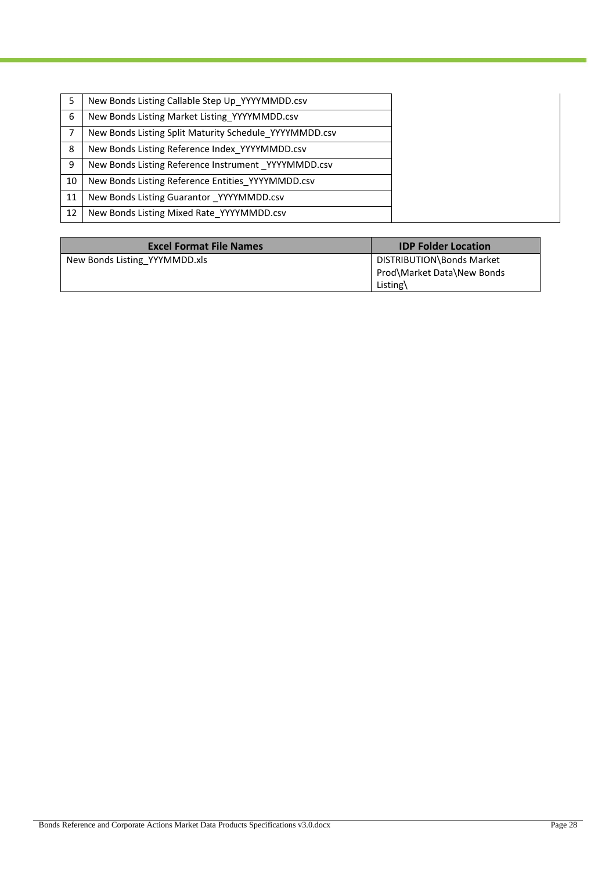|    | New Bonds Listing Callable Step Up YYYYMMDD.csv        |
|----|--------------------------------------------------------|
| 6  | New Bonds Listing Market Listing YYYYMMDD.csv          |
|    | New Bonds Listing Split Maturity Schedule YYYYMMDD.csv |
| 8  | New Bonds Listing Reference Index YYYYMMDD.csv         |
| 9  | New Bonds Listing Reference Instrument YYYYMMDD.csv    |
| 10 | New Bonds Listing Reference Entities YYYYMMDD.csv      |
| 11 | New Bonds Listing Guarantor YYYYMMDD.csv               |
| 12 | New Bonds Listing Mixed Rate YYYYMMDD.csv              |

| <b>Excel Format File Names</b> | <b>IDP Folder Location</b>                                          |
|--------------------------------|---------------------------------------------------------------------|
| New Bonds Listing YYYMMDD.xls  | DISTRIBUTION\Bonds Market<br>Prod\Market Data\New Bonds<br>Listing\ |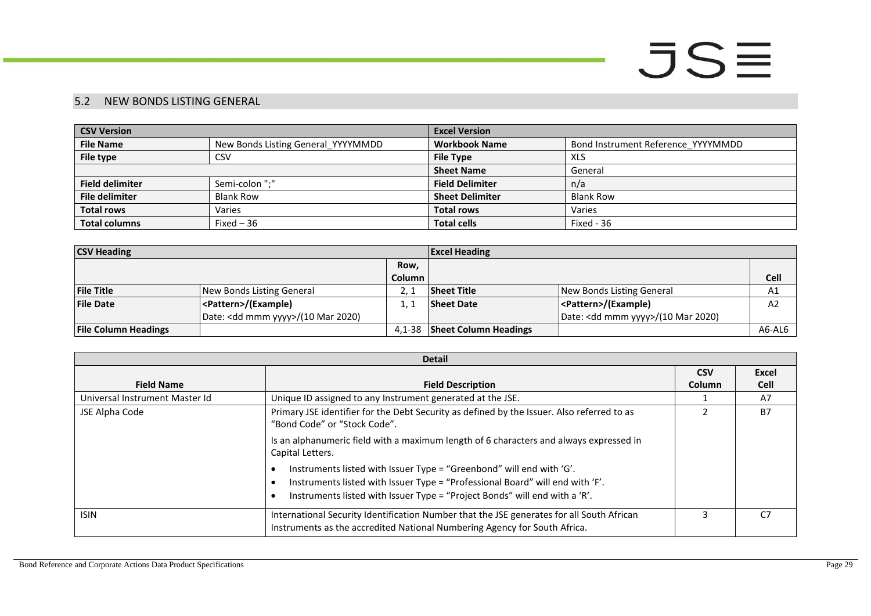### 5.2 NEW BONDS LISTING GENERAL

| <b>CSV Version</b>     |                                    | <b>Excel Version</b>   |                                    |  |
|------------------------|------------------------------------|------------------------|------------------------------------|--|
| <b>File Name</b>       | New Bonds Listing General_YYYYMMDD | <b>Workbook Name</b>   | Bond Instrument Reference YYYYMMDD |  |
| File type              | <b>CSV</b>                         | <b>File Type</b>       | XLS                                |  |
|                        |                                    | <b>Sheet Name</b>      | General                            |  |
| <b>Field delimiter</b> | Semi-colon ":"                     | <b>Field Delimiter</b> | n/a                                |  |
| <b>File delimiter</b>  | <b>Blank Row</b>                   | <b>Sheet Delimiter</b> | <b>Blank Row</b>                   |  |
| <b>Total rows</b>      | Varies                             | <b>Total rows</b>      | Varies                             |  |
| <b>Total columns</b>   | Fixed $-36$                        | <b>Total cells</b>     | Fixed - 36                         |  |

| <b>CSV Heading</b>          |                                              |        | <b>Excel Heading</b>         |                                              |                |
|-----------------------------|----------------------------------------------|--------|------------------------------|----------------------------------------------|----------------|
|                             |                                              | Row,   |                              |                                              |                |
|                             |                                              | Column |                              |                                              | Cell           |
| <b>File Title</b>           | New Bonds Listing General                    |        | <b>Sheet Title</b>           | New Bonds Listing General                    | A1             |
| <b>File Date</b>            | <pattern>/(Example)</pattern>                |        | <b>Sheet Date</b>            | <pattern>/(Example)</pattern>                | A <sub>2</sub> |
|                             | Date: <dd mmm="" yyyy="">/(10 Mar 2020)</dd> |        |                              | Date: <dd mmm="" yyyy="">/(10 Mar 2020)</dd> |                |
| <b>File Column Headings</b> |                                              | 4.1-38 | <b>Sheet Column Headings</b> |                                              | A6-AL6         |

<span id="page-28-0"></span>

| <b>Detail</b>                                                                                              |                                                                                                                                                                                                                                     |        |             |  |  |
|------------------------------------------------------------------------------------------------------------|-------------------------------------------------------------------------------------------------------------------------------------------------------------------------------------------------------------------------------------|--------|-------------|--|--|
|                                                                                                            |                                                                                                                                                                                                                                     |        |             |  |  |
| <b>Field Name</b>                                                                                          | <b>Field Description</b>                                                                                                                                                                                                            | Column | <b>Cell</b> |  |  |
| Universal Instrument Master Id                                                                             | Unique ID assigned to any Instrument generated at the JSE.                                                                                                                                                                          |        | A7          |  |  |
| JSE Alpha Code                                                                                             | Primary JSE identifier for the Debt Security as defined by the Issuer. Also referred to as<br>"Bond Code" or "Stock Code".                                                                                                          |        | <b>B7</b>   |  |  |
| Is an alphanumeric field with a maximum length of 6 characters and always expressed in<br>Capital Letters. |                                                                                                                                                                                                                                     |        |             |  |  |
|                                                                                                            | Instruments listed with Issuer Type = "Greenbond" will end with 'G'.<br>Instruments listed with Issuer Type = "Professional Board" will end with 'F'.<br>Instruments listed with Issuer Type = "Project Bonds" will end with a 'R'. |        |             |  |  |
| <b>ISIN</b>                                                                                                | International Security Identification Number that the JSE generates for all South African<br>Instruments as the accredited National Numbering Agency for South Africa.                                                              |        | C7          |  |  |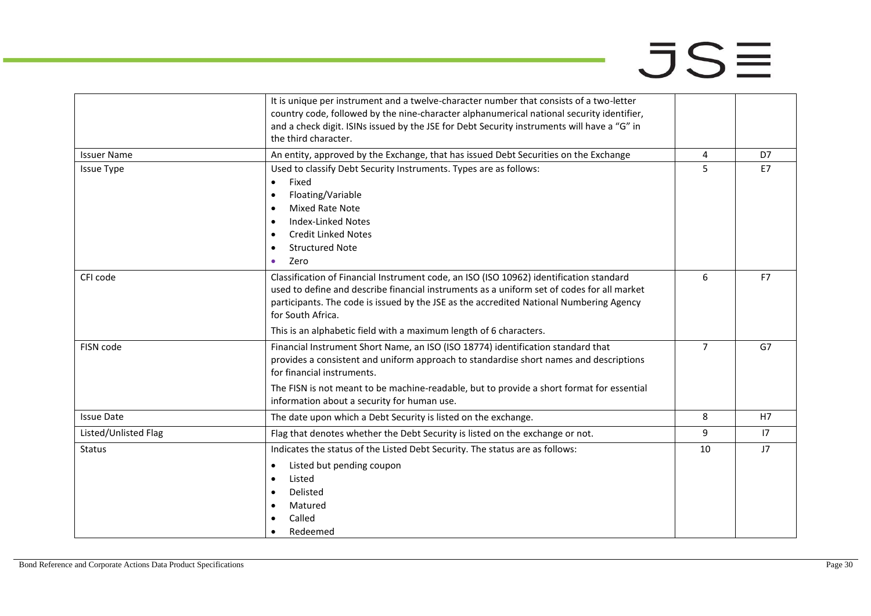|                      | It is unique per instrument and a twelve-character number that consists of a two-letter<br>country code, followed by the nine-character alphanumerical national security identifier,                                                                                                                                                                                        |                |           |
|----------------------|-----------------------------------------------------------------------------------------------------------------------------------------------------------------------------------------------------------------------------------------------------------------------------------------------------------------------------------------------------------------------------|----------------|-----------|
|                      | and a check digit. ISINs issued by the JSE for Debt Security instruments will have a "G" in<br>the third character.                                                                                                                                                                                                                                                         |                |           |
| <b>Issuer Name</b>   | An entity, approved by the Exchange, that has issued Debt Securities on the Exchange                                                                                                                                                                                                                                                                                        | 4              | D7        |
| <b>Issue Type</b>    | Used to classify Debt Security Instruments. Types are as follows:<br>Fixed<br>$\bullet$<br>Floating/Variable<br>Mixed Rate Note<br>$\bullet$<br><b>Index-Linked Notes</b><br>$\bullet$<br><b>Credit Linked Notes</b><br>$\bullet$<br><b>Structured Note</b><br>$\bullet$<br>Zero<br>$\bullet$                                                                               | 5              | <b>E7</b> |
| CFI code             | Classification of Financial Instrument code, an ISO (ISO 10962) identification standard<br>used to define and describe financial instruments as a uniform set of codes for all market<br>participants. The code is issued by the JSE as the accredited National Numbering Agency<br>for South Africa.<br>This is an alphabetic field with a maximum length of 6 characters. | 6              | F7        |
| FISN code            | Financial Instrument Short Name, an ISO (ISO 18774) identification standard that<br>provides a consistent and uniform approach to standardise short names and descriptions<br>for financial instruments.<br>The FISN is not meant to be machine-readable, but to provide a short format for essential<br>information about a security for human use.                        | $\overline{7}$ | G7        |
| <b>Issue Date</b>    | The date upon which a Debt Security is listed on the exchange.                                                                                                                                                                                                                                                                                                              | 8              | H7        |
| Listed/Unlisted Flag | Flag that denotes whether the Debt Security is listed on the exchange or not.                                                                                                                                                                                                                                                                                               | 9              | 17        |
| <b>Status</b>        | Indicates the status of the Listed Debt Security. The status are as follows:<br>Listed but pending coupon<br>$\bullet$<br>Listed<br>$\bullet$<br>Delisted<br>Matured<br>Called<br>Redeemed                                                                                                                                                                                  | 10             | J7        |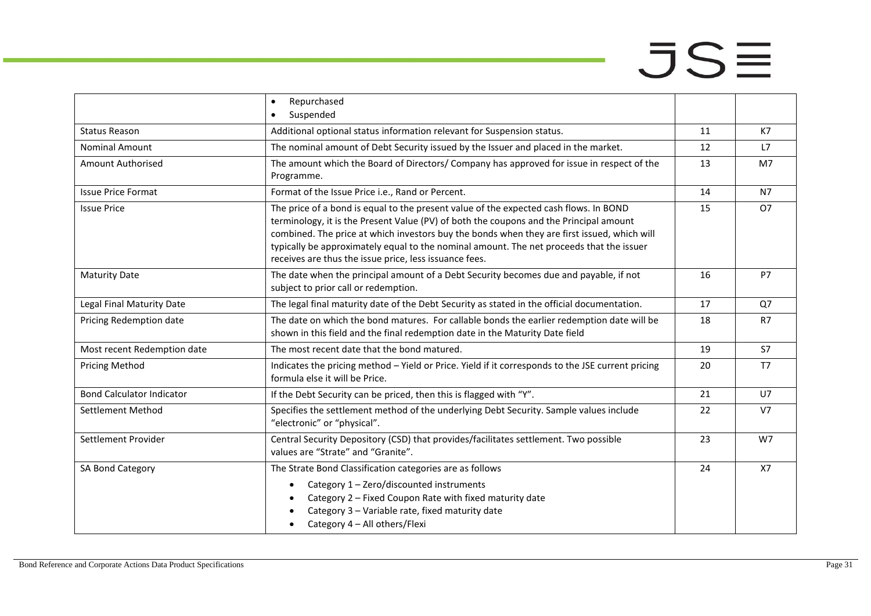|                                  | Repurchased<br>$\bullet$<br>Suspended<br>$\bullet$                                                                                                                                                                                                                                                                                                                                                                                   |    |                |
|----------------------------------|--------------------------------------------------------------------------------------------------------------------------------------------------------------------------------------------------------------------------------------------------------------------------------------------------------------------------------------------------------------------------------------------------------------------------------------|----|----------------|
| <b>Status Reason</b>             | Additional optional status information relevant for Suspension status.                                                                                                                                                                                                                                                                                                                                                               | 11 | K7             |
| <b>Nominal Amount</b>            | The nominal amount of Debt Security issued by the Issuer and placed in the market.                                                                                                                                                                                                                                                                                                                                                   | 12 | L7             |
| <b>Amount Authorised</b>         | The amount which the Board of Directors/ Company has approved for issue in respect of the<br>Programme.                                                                                                                                                                                                                                                                                                                              | 13 | M7             |
| <b>Issue Price Format</b>        | Format of the Issue Price i.e., Rand or Percent.                                                                                                                                                                                                                                                                                                                                                                                     | 14 | <b>N7</b>      |
| <b>Issue Price</b>               | The price of a bond is equal to the present value of the expected cash flows. In BOND<br>terminology, it is the Present Value (PV) of both the coupons and the Principal amount<br>combined. The price at which investors buy the bonds when they are first issued, which will<br>typically be approximately equal to the nominal amount. The net proceeds that the issuer<br>receives are thus the issue price, less issuance fees. |    | <b>O7</b>      |
| <b>Maturity Date</b>             | The date when the principal amount of a Debt Security becomes due and payable, if not<br>subject to prior call or redemption.                                                                                                                                                                                                                                                                                                        |    | P7             |
| Legal Final Maturity Date        | The legal final maturity date of the Debt Security as stated in the official documentation.                                                                                                                                                                                                                                                                                                                                          |    | Q7             |
| Pricing Redemption date          | The date on which the bond matures. For callable bonds the earlier redemption date will be<br>shown in this field and the final redemption date in the Maturity Date field                                                                                                                                                                                                                                                           |    | R7             |
| Most recent Redemption date      | The most recent date that the bond matured.                                                                                                                                                                                                                                                                                                                                                                                          |    | <b>S7</b>      |
| <b>Pricing Method</b>            | Indicates the pricing method - Yield or Price. Yield if it corresponds to the JSE current pricing<br>formula else it will be Price.                                                                                                                                                                                                                                                                                                  | 20 | T7             |
| <b>Bond Calculator Indicator</b> | If the Debt Security can be priced, then this is flagged with "Y".                                                                                                                                                                                                                                                                                                                                                                   | 21 | U7             |
| Settlement Method                | Specifies the settlement method of the underlying Debt Security. Sample values include<br>"electronic" or "physical".                                                                                                                                                                                                                                                                                                                |    | V <sub>7</sub> |
| Settlement Provider              | Central Security Depository (CSD) that provides/facilitates settlement. Two possible<br>values are "Strate" and "Granite".                                                                                                                                                                                                                                                                                                           | 23 | W7             |
| SA Bond Category                 | The Strate Bond Classification categories are as follows<br>Category 1 - Zero/discounted instruments<br>$\bullet$<br>Category 2 - Fixed Coupon Rate with fixed maturity date<br>Category 3 - Variable rate, fixed maturity date<br>Category 4 - All others/Flexi                                                                                                                                                                     | 24 | <b>X7</b>      |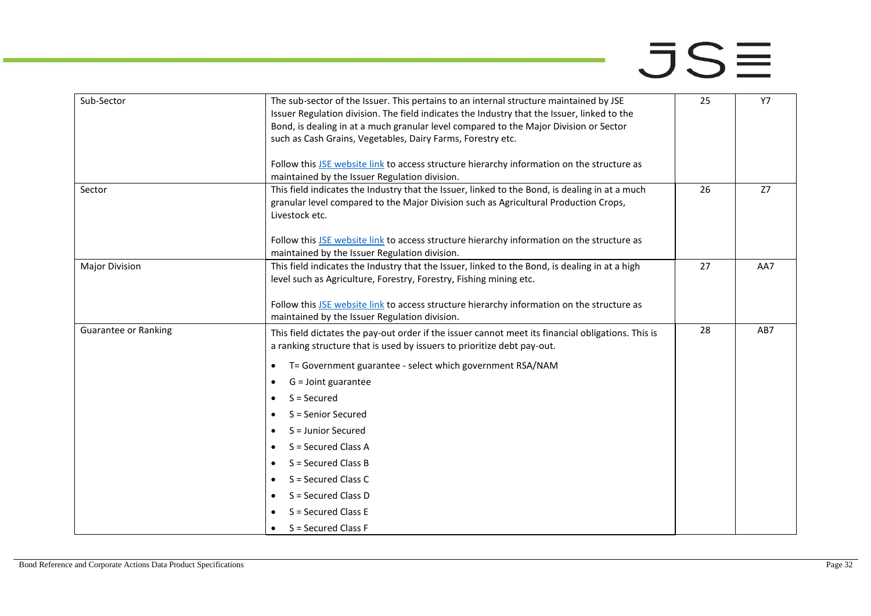| Sub-Sector                  | 25                                                                                                                                                                                   | <b>Y7</b> |     |
|-----------------------------|--------------------------------------------------------------------------------------------------------------------------------------------------------------------------------------|-----------|-----|
|                             | Issuer Regulation division. The field indicates the Industry that the Issuer, linked to the<br>Bond, is dealing in at a much granular level compared to the Major Division or Sector |           |     |
|                             | such as Cash Grains, Vegetables, Dairy Farms, Forestry etc.                                                                                                                          |           |     |
|                             |                                                                                                                                                                                      |           |     |
|                             | Follow this JSE website link to access structure hierarchy information on the structure as                                                                                           |           |     |
|                             | maintained by the Issuer Regulation division.                                                                                                                                        |           |     |
| Sector                      | This field indicates the Industry that the Issuer, linked to the Bond, is dealing in at a much                                                                                       | 26        | Z7  |
|                             | granular level compared to the Major Division such as Agricultural Production Crops,                                                                                                 |           |     |
|                             | Livestock etc.                                                                                                                                                                       |           |     |
|                             | Follow this JSE website link to access structure hierarchy information on the structure as                                                                                           |           |     |
|                             | maintained by the Issuer Regulation division.                                                                                                                                        |           |     |
| <b>Major Division</b>       | This field indicates the Industry that the Issuer, linked to the Bond, is dealing in at a high                                                                                       | 27        | AA7 |
|                             | level such as Agriculture, Forestry, Forestry, Fishing mining etc.                                                                                                                   |           |     |
|                             |                                                                                                                                                                                      |           |     |
|                             | Follow this JSE website link to access structure hierarchy information on the structure as<br>maintained by the Issuer Regulation division.                                          |           |     |
| <b>Guarantee or Ranking</b> | This field dictates the pay-out order if the issuer cannot meet its financial obligations. This is                                                                                   | 28        | AB7 |
|                             | a ranking structure that is used by issuers to prioritize debt pay-out.                                                                                                              |           |     |
|                             | T= Government guarantee - select which government RSA/NAM<br>٠                                                                                                                       |           |     |
|                             | $G =$ Joint guarantee                                                                                                                                                                |           |     |
|                             | $S =$ Secured                                                                                                                                                                        |           |     |
|                             | S = Senior Secured                                                                                                                                                                   |           |     |
|                             | S = Junior Secured                                                                                                                                                                   |           |     |
|                             | S = Secured Class A                                                                                                                                                                  |           |     |
|                             | $S =$ Secured Class B                                                                                                                                                                |           |     |
|                             | S = Secured Class C                                                                                                                                                                  |           |     |
|                             | S = Secured Class D                                                                                                                                                                  |           |     |
|                             | S = Secured Class E                                                                                                                                                                  |           |     |
|                             | S = Secured Class F                                                                                                                                                                  |           |     |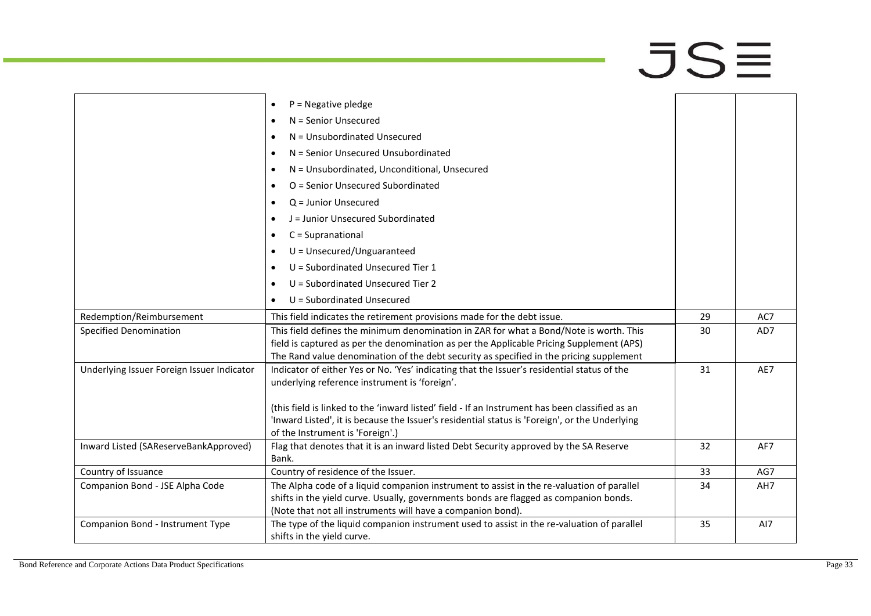# $\overline{\mathsf{J}}\mathsf{S}\overline{\equiv}$

|                                            | $P = Negative$ pledge<br>$\bullet$                                                              |    |     |
|--------------------------------------------|-------------------------------------------------------------------------------------------------|----|-----|
|                                            | N = Senior Unsecured<br>٠                                                                       |    |     |
|                                            | N = Unsubordinated Unsecured                                                                    |    |     |
|                                            | N = Senior Unsecured Unsubordinated<br>$\bullet$                                                |    |     |
|                                            | N = Unsubordinated, Unconditional, Unsecured                                                    |    |     |
|                                            | O = Senior Unsecured Subordinated                                                               |    |     |
|                                            |                                                                                                 |    |     |
|                                            | Q = Junior Unsecured                                                                            |    |     |
|                                            | J = Junior Unsecured Subordinated                                                               |    |     |
|                                            | C = Supranational                                                                               |    |     |
|                                            | $U =$ Unsecured/Unguaranteed                                                                    |    |     |
|                                            | U = Subordinated Unsecured Tier 1                                                               |    |     |
|                                            | U = Subordinated Unsecured Tier 2                                                               |    |     |
|                                            | U = Subordinated Unsecured<br>$\bullet$                                                         |    |     |
| Redemption/Reimbursement                   | This field indicates the retirement provisions made for the debt issue.                         | 29 | AC7 |
| <b>Specified Denomination</b>              | This field defines the minimum denomination in ZAR for what a Bond/Note is worth. This          | 30 | AD7 |
|                                            | field is captured as per the denomination as per the Applicable Pricing Supplement (APS)        |    |     |
|                                            | The Rand value denomination of the debt security as specified in the pricing supplement         |    |     |
| Underlying Issuer Foreign Issuer Indicator | Indicator of either Yes or No. 'Yes' indicating that the Issuer's residential status of the     | 31 | AE7 |
|                                            | underlying reference instrument is 'foreign'.                                                   |    |     |
|                                            | (this field is linked to the 'inward listed' field - If an Instrument has been classified as an |    |     |
|                                            | 'Inward Listed', it is because the Issuer's residential status is 'Foreign', or the Underlying  |    |     |
|                                            | of the Instrument is 'Foreign'.)                                                                |    |     |
| Inward Listed (SAReserveBankApproved)      | Flag that denotes that it is an inward listed Debt Security approved by the SA Reserve          | 32 | AF7 |
|                                            | Bank.                                                                                           |    |     |
| Country of Issuance                        | Country of residence of the Issuer.                                                             | 33 | AG7 |
| Companion Bond - JSE Alpha Code            | The Alpha code of a liquid companion instrument to assist in the re-valuation of parallel       | 34 | AH7 |
|                                            | shifts in the yield curve. Usually, governments bonds are flagged as companion bonds.           |    |     |
|                                            | (Note that not all instruments will have a companion bond).                                     |    |     |
| Companion Bond - Instrument Type           | The type of the liquid companion instrument used to assist in the re-valuation of parallel      | 35 | AI7 |
|                                            | shifts in the yield curve.                                                                      |    |     |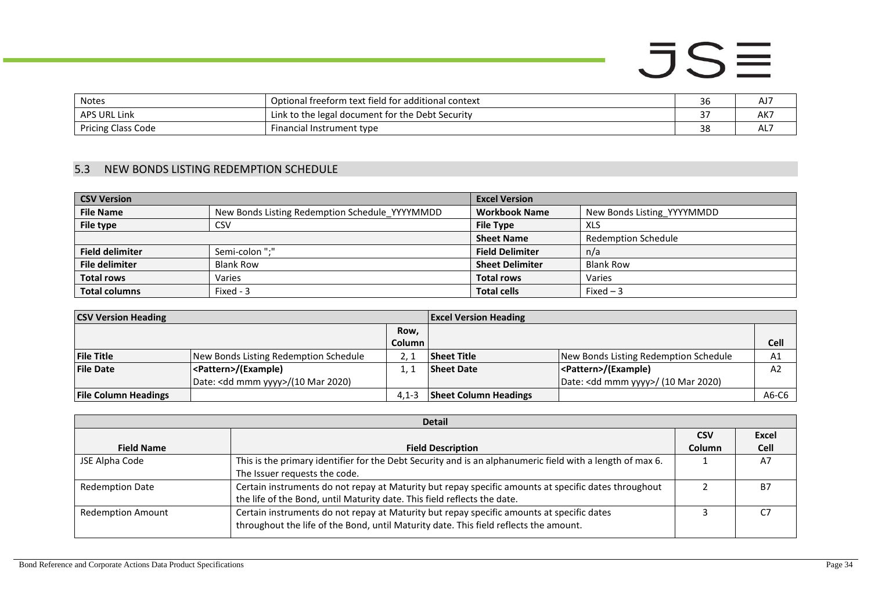| <b>Notes</b>       | Optional freeform text field for additional context | 36     | AJ <sup>-</sup> |
|--------------------|-----------------------------------------------------|--------|-----------------|
| APS URL Link       | Link to the legal document for the Debt Security    | $\sim$ | AK7             |
| Pricing Class Code | Financial Instrument type                           | 38     | AL.             |

### 5.3 NEW BONDS LISTING REDEMPTION SCHEDULE

| <b>CSV Version</b>     |                                                | <b>Excel Version</b>   |                            |
|------------------------|------------------------------------------------|------------------------|----------------------------|
| <b>File Name</b>       | New Bonds Listing Redemption Schedule YYYYMMDD | <b>Workbook Name</b>   | New Bonds Listing YYYYMMDD |
| File type              | CSV                                            | <b>File Type</b>       | <b>XLS</b>                 |
|                        |                                                | <b>Sheet Name</b>      | <b>Redemption Schedule</b> |
| <b>Field delimiter</b> | Semi-colon ":"                                 | <b>Field Delimiter</b> | n/a                        |
| <b>File delimiter</b>  | <b>Blank Row</b>                               | <b>Sheet Delimiter</b> | <b>Blank Row</b>           |
| <b>Total rows</b>      | Varies                                         | <b>Total rows</b>      | Varies                     |
| <b>Total columns</b>   | Fixed - 3                                      | <b>Total cells</b>     | Fixed $-3$                 |

| <b>CSV Version Heading</b>  | <b>Excel Version Heading</b>                 |                     |                              |                                               |                |
|-----------------------------|----------------------------------------------|---------------------|------------------------------|-----------------------------------------------|----------------|
|                             |                                              | Row,                |                              |                                               |                |
|                             |                                              | Column <sub>1</sub> |                              |                                               | <b>Cell</b>    |
| <b>File Title</b>           | New Bonds Listing Redemption Schedule        | 2. 1                | <b>Sheet Title</b>           | New Bonds Listing Redemption Schedule         | A1             |
| <b>File Date</b>            | <pattern>/(Example)</pattern>                |                     | <b>Sheet Date</b>            | <pattern>/(Example)</pattern>                 | A <sub>2</sub> |
|                             | Date: <dd mmm="" yyyy="">/(10 Mar 2020)</dd> |                     |                              | Date: <dd mmm="" yyyy="">/ (10 Mar 2020)</dd> |                |
| <b>File Column Headings</b> |                                              | $4.1 - 3$           | <b>Sheet Column Headings</b> |                                               | A6-C6          |

<span id="page-33-0"></span>

| <b>Detail</b>            |                                                                                                                                                                                    |               |              |  |  |
|--------------------------|------------------------------------------------------------------------------------------------------------------------------------------------------------------------------------|---------------|--------------|--|--|
|                          |                                                                                                                                                                                    | <b>CSV</b>    | <b>Excel</b> |  |  |
| <b>Field Name</b>        | <b>Field Description</b>                                                                                                                                                           | <b>Column</b> | Cell         |  |  |
| JSE Alpha Code           | This is the primary identifier for the Debt Security and is an alphanumeric field with a length of max 6.<br>The Issuer requests the code.                                         |               | A7           |  |  |
| <b>Redemption Date</b>   | Certain instruments do not repay at Maturity but repay specific amounts at specific dates throughout<br>the life of the Bond, until Maturity date. This field reflects the date.   |               | B7           |  |  |
| <b>Redemption Amount</b> | Certain instruments do not repay at Maturity but repay specific amounts at specific dates<br>throughout the life of the Bond, until Maturity date. This field reflects the amount. |               |              |  |  |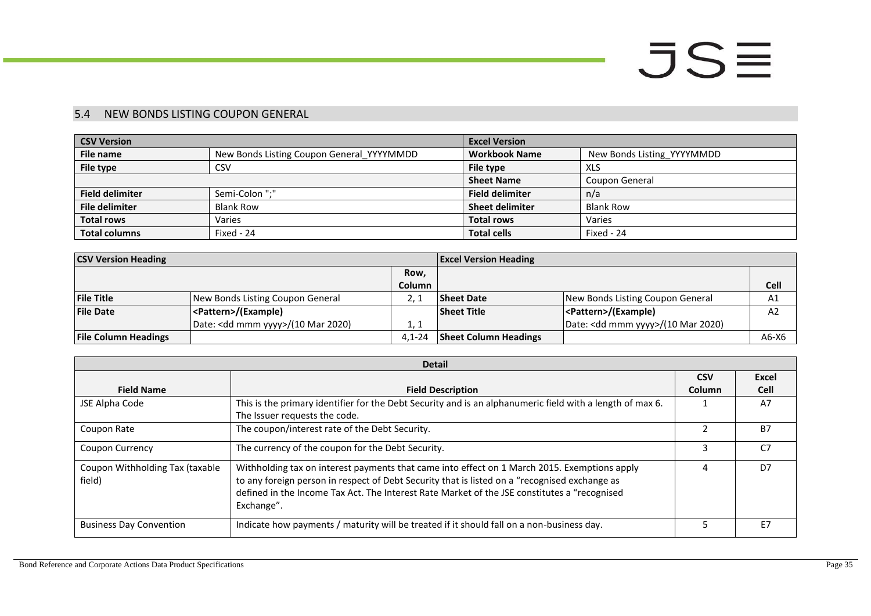### 5.4 NEW BONDS LISTING COUPON GENERAL

| <b>CSV Version</b>     |                                           | <b>Excel Version</b>   |                            |
|------------------------|-------------------------------------------|------------------------|----------------------------|
| File name              | New Bonds Listing Coupon General YYYYMMDD | <b>Workbook Name</b>   | New Bonds Listing YYYYMMDD |
| File type              | CSV                                       | File type              | <b>XLS</b>                 |
|                        |                                           | <b>Sheet Name</b>      | Coupon General             |
| <b>Field delimiter</b> | Semi-Colon ";"                            | <b>Field delimiter</b> | n/a                        |
| <b>File delimiter</b>  | <b>Blank Row</b>                          | <b>Sheet delimiter</b> | <b>Blank Row</b>           |
| <b>Total rows</b>      | Varies                                    | <b>Total rows</b>      | Varies                     |
| <b>Total columns</b>   | Fixed - 24                                | <b>Total cells</b>     | Fixed - 24                 |

| <b>CSV Version Heading</b>  |                                              | <b>Excel Version Heading</b> |                              |                                              |         |
|-----------------------------|----------------------------------------------|------------------------------|------------------------------|----------------------------------------------|---------|
|                             |                                              | Row.                         |                              |                                              |         |
|                             |                                              | <b>Column</b>                |                              |                                              | Cell    |
| <b>File Title</b>           | New Bonds Listing Coupon General             |                              | <b>Sheet Date</b>            | New Bonds Listing Coupon General             | A1      |
| <b>File Date</b>            | <pattern>/(Example)</pattern>                |                              | <b>Sheet Title</b>           | <pattern>/(Example)</pattern>                | A2      |
|                             | Date: <dd mmm="" yyyy="">/(10 Mar 2020)</dd> | 1, 1                         |                              | Date: <dd mmm="" yyyy="">/(10 Mar 2020)</dd> |         |
| <b>File Column Headings</b> |                                              | $4.1 - 24$                   | <b>Sheet Column Headings</b> |                                              | $A6-X6$ |

<span id="page-34-0"></span>

|                                           | <b>Detail</b>                                                                                                                                                                                                                                                                                               |            |              |
|-------------------------------------------|-------------------------------------------------------------------------------------------------------------------------------------------------------------------------------------------------------------------------------------------------------------------------------------------------------------|------------|--------------|
|                                           |                                                                                                                                                                                                                                                                                                             | <b>CSV</b> | <b>Excel</b> |
| <b>Field Name</b>                         | <b>Field Description</b>                                                                                                                                                                                                                                                                                    | Column     | <b>Cell</b>  |
| JSE Alpha Code                            | This is the primary identifier for the Debt Security and is an alphanumeric field with a length of max 6.                                                                                                                                                                                                   |            | A7           |
|                                           | The Issuer requests the code.                                                                                                                                                                                                                                                                               |            |              |
| Coupon Rate                               | The coupon/interest rate of the Debt Security.                                                                                                                                                                                                                                                              |            | <b>B7</b>    |
| <b>Coupon Currency</b>                    | The currency of the coupon for the Debt Security.                                                                                                                                                                                                                                                           |            | C7           |
| Coupon Withholding Tax (taxable<br>field) | Withholding tax on interest payments that came into effect on 1 March 2015. Exemptions apply<br>to any foreign person in respect of Debt Security that is listed on a "recognised exchange as<br>defined in the Income Tax Act. The Interest Rate Market of the JSE constitutes a "recognised<br>Exchange". |            | D7           |
| <b>Business Day Convention</b>            | Indicate how payments / maturity will be treated if it should fall on a non-business day.                                                                                                                                                                                                                   |            | E7           |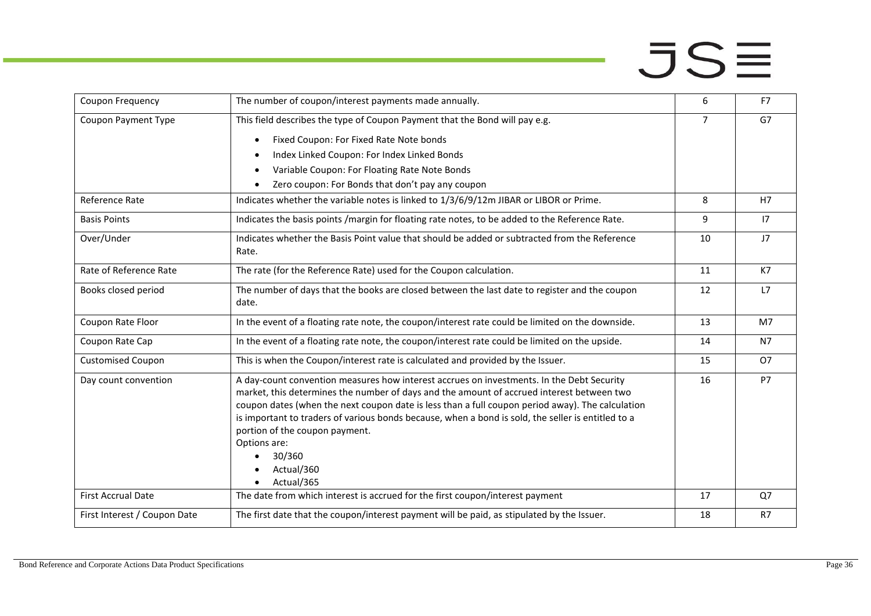| Coupon Frequency             | The number of coupon/interest payments made annually.                                                                                                                                                                                                                                                                                                                                                                                                                                    | 6              | F7        |
|------------------------------|------------------------------------------------------------------------------------------------------------------------------------------------------------------------------------------------------------------------------------------------------------------------------------------------------------------------------------------------------------------------------------------------------------------------------------------------------------------------------------------|----------------|-----------|
| Coupon Payment Type          | This field describes the type of Coupon Payment that the Bond will pay e.g.                                                                                                                                                                                                                                                                                                                                                                                                              | $\overline{7}$ | G7        |
|                              | Fixed Coupon: For Fixed Rate Note bonds                                                                                                                                                                                                                                                                                                                                                                                                                                                  |                |           |
|                              | Index Linked Coupon: For Index Linked Bonds                                                                                                                                                                                                                                                                                                                                                                                                                                              |                |           |
|                              | Variable Coupon: For Floating Rate Note Bonds                                                                                                                                                                                                                                                                                                                                                                                                                                            |                |           |
|                              | Zero coupon: For Bonds that don't pay any coupon                                                                                                                                                                                                                                                                                                                                                                                                                                         |                |           |
| Reference Rate               | Indicates whether the variable notes is linked to 1/3/6/9/12m JIBAR or LIBOR or Prime.                                                                                                                                                                                                                                                                                                                                                                                                   | 8              | H7        |
| <b>Basis Points</b>          | Indicates the basis points /margin for floating rate notes, to be added to the Reference Rate.                                                                                                                                                                                                                                                                                                                                                                                           | 9              | 17        |
| Over/Under                   | Indicates whether the Basis Point value that should be added or subtracted from the Reference<br>Rate.                                                                                                                                                                                                                                                                                                                                                                                   | 10             | J7        |
| Rate of Reference Rate       | The rate (for the Reference Rate) used for the Coupon calculation.                                                                                                                                                                                                                                                                                                                                                                                                                       | 11             | K7        |
| Books closed period          | The number of days that the books are closed between the last date to register and the coupon<br>date.                                                                                                                                                                                                                                                                                                                                                                                   | 12             | L7        |
| Coupon Rate Floor            | In the event of a floating rate note, the coupon/interest rate could be limited on the downside.                                                                                                                                                                                                                                                                                                                                                                                         | 13             | M7        |
| Coupon Rate Cap              | In the event of a floating rate note, the coupon/interest rate could be limited on the upside.                                                                                                                                                                                                                                                                                                                                                                                           | 14             | <b>N7</b> |
| <b>Customised Coupon</b>     | This is when the Coupon/interest rate is calculated and provided by the Issuer.                                                                                                                                                                                                                                                                                                                                                                                                          | 15             | <b>O7</b> |
| Day count convention         | A day-count convention measures how interest accrues on investments. In the Debt Security<br>market, this determines the number of days and the amount of accrued interest between two<br>coupon dates (when the next coupon date is less than a full coupon period away). The calculation<br>is important to traders of various bonds because, when a bond is sold, the seller is entitled to a<br>portion of the coupon payment.<br>Options are:<br>30/360<br>Actual/360<br>Actual/365 | 16             | P7        |
| <b>First Accrual Date</b>    | The date from which interest is accrued for the first coupon/interest payment                                                                                                                                                                                                                                                                                                                                                                                                            | 17             | Q7        |
| First Interest / Coupon Date | The first date that the coupon/interest payment will be paid, as stipulated by the Issuer.                                                                                                                                                                                                                                                                                                                                                                                               | 18             | R7        |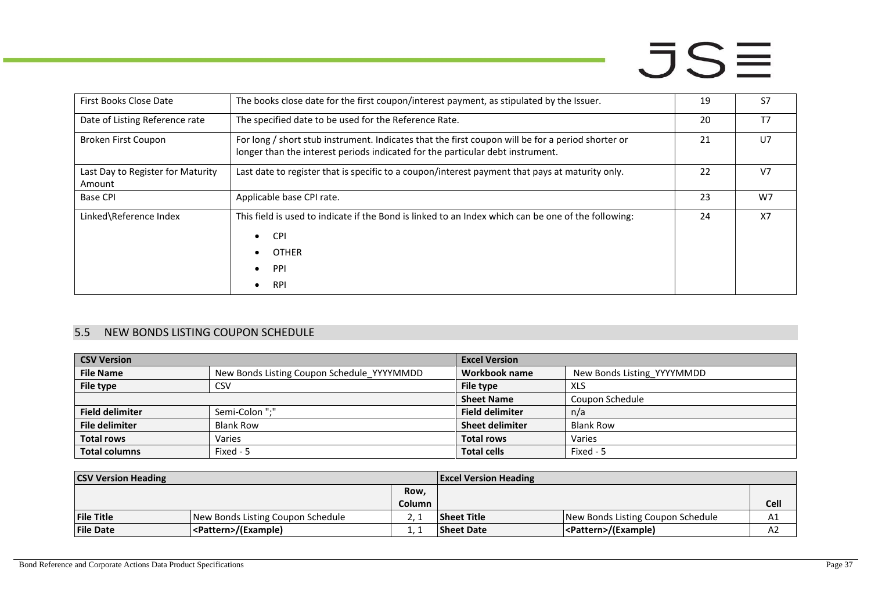| First Books Close Date                      | The books close date for the first coupon/interest payment, as stipulated by the Issuer.                                                                                            | 19 | S7             |
|---------------------------------------------|-------------------------------------------------------------------------------------------------------------------------------------------------------------------------------------|----|----------------|
| Date of Listing Reference rate              | The specified date to be used for the Reference Rate.                                                                                                                               | 20 | T7             |
| Broken First Coupon                         | For long / short stub instrument. Indicates that the first coupon will be for a period shorter or<br>longer than the interest periods indicated for the particular debt instrument. | 21 | U <sub>7</sub> |
| Last Day to Register for Maturity<br>Amount | Last date to register that is specific to a coupon/interest payment that pays at maturity only.                                                                                     | 22 | V <sub>7</sub> |
| <b>Base CPI</b>                             | Applicable base CPI rate.                                                                                                                                                           | 23 | W7             |
| Linked\Reference Index                      | This field is used to indicate if the Bond is linked to an Index which can be one of the following:<br><b>CPI</b><br>$\bullet$<br><b>OTHER</b><br>PPI<br><b>RPI</b>                 | 24 | <b>X7</b>      |

### 5.5 NEW BONDS LISTING COUPON SCHEDULE

| <b>CSV Version</b>     |                                            | <b>Excel Version</b>   |                            |
|------------------------|--------------------------------------------|------------------------|----------------------------|
| <b>File Name</b>       | New Bonds Listing Coupon Schedule YYYYMMDD | Workbook name          | New Bonds Listing YYYYMMDD |
| File type              | CSV                                        | File type              | XLS                        |
|                        |                                            | <b>Sheet Name</b>      | Coupon Schedule            |
| <b>Field delimiter</b> | Semi-Colon ";"                             | <b>Field delimiter</b> | n/a                        |
| <b>File delimiter</b>  | <b>Blank Row</b>                           | <b>Sheet delimiter</b> | <b>Blank Row</b>           |
| <b>Total rows</b>      | Varies                                     | <b>Total rows</b>      | Varies                     |
| <b>Total columns</b>   | Fixed - 5                                  | <b>Total cells</b>     | Fixed - 5                  |

<span id="page-36-0"></span>

| <b>CSV Version Heading</b> |                                   | <b>Excel Version Heading</b> |                    |                                   |             |
|----------------------------|-----------------------------------|------------------------------|--------------------|-----------------------------------|-------------|
|                            |                                   | Row,                         |                    |                                   |             |
|                            |                                   | Column                       |                    |                                   | <b>Cell</b> |
| <b>File Title</b>          | New Bonds Listing Coupon Schedule |                              | <b>Sheet Title</b> | New Bonds Listing Coupon Schedule | A1          |
| <b>File Date</b>           | <pattern>/(Example)</pattern>     |                              | <b>Sheet Date</b>  | <pattern>/(Example)</pattern>     | A2          |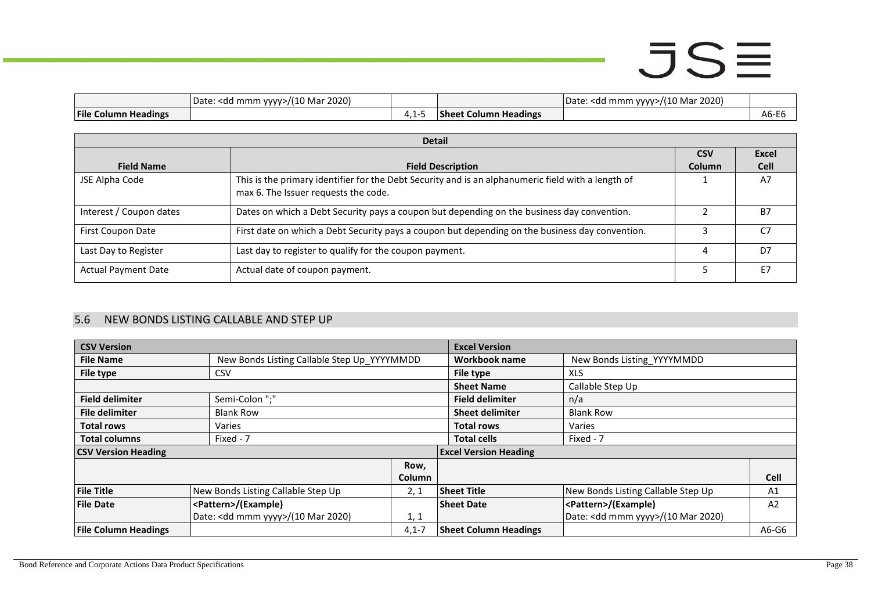|                             | 2020)<br>Date:<br>Mar<br><dd mmm="" vvvv=""></dd> |   |                                      | 2022<br>'10 Mai<br>l mmm vvvv>/(<br>Date:<br>kdd.<br>2020. |                               |
|-----------------------------|---------------------------------------------------|---|--------------------------------------|------------------------------------------------------------|-------------------------------|
| <b>File Column Headings</b> |                                                   | . | $\sim$<br>. Column Headings<br>-anee |                                                            | $\sim$ $\sim$ $\sim$<br>Ab-Eb |

|                            | <b>Detail</b>                                                                                                                              |                             |                             |
|----------------------------|--------------------------------------------------------------------------------------------------------------------------------------------|-----------------------------|-----------------------------|
| <b>Field Name</b>          | <b>Field Description</b>                                                                                                                   | <b>CSV</b><br><b>Column</b> | <b>Excel</b><br><b>Cell</b> |
| JSE Alpha Code             | This is the primary identifier for the Debt Security and is an alphanumeric field with a length of<br>max 6. The Issuer requests the code. |                             | A7                          |
| Interest / Coupon dates    | Dates on which a Debt Security pays a coupon but depending on the business day convention.                                                 |                             | <b>B7</b>                   |
| First Coupon Date          | First date on which a Debt Security pays a coupon but depending on the business day convention.                                            |                             | C7                          |
| Last Day to Register       | Last day to register to qualify for the coupon payment.                                                                                    |                             | D7                          |
| <b>Actual Payment Date</b> | Actual date of coupon payment.                                                                                                             |                             | E7                          |

### 5.6 NEW BONDS LISTING CALLABLE AND STEP UP

<span id="page-37-0"></span>

| <b>CSV Version</b>          |                                              |           | <b>Excel Version</b>         |                                    |                |
|-----------------------------|----------------------------------------------|-----------|------------------------------|------------------------------------|----------------|
| <b>File Name</b>            | New Bonds Listing Callable Step Up YYYYMMDD  |           | Workbook name                | New Bonds Listing YYYYMMDD         |                |
| <b>File type</b>            | <b>CSV</b>                                   |           | File type                    | <b>XLS</b>                         |                |
|                             |                                              |           | <b>Sheet Name</b>            | Callable Step Up                   |                |
| <b>Field delimiter</b>      | Semi-Colon ";"                               |           | <b>Field delimiter</b>       | n/a                                |                |
| <b>File delimiter</b>       | <b>Blank Row</b>                             |           | <b>Sheet delimiter</b>       | <b>Blank Row</b>                   |                |
| <b>Total rows</b>           | Varies                                       |           | <b>Total rows</b>            | Varies                             |                |
| <b>Total columns</b>        | Fixed - 7                                    |           | <b>Total cells</b>           | Fixed - 7                          |                |
| <b>CSV Version Heading</b>  |                                              |           | <b>Excel Version Heading</b> |                                    |                |
|                             |                                              | Row,      |                              |                                    |                |
|                             |                                              | Column    |                              |                                    | <b>Cell</b>    |
| <b>File Title</b>           | New Bonds Listing Callable Step Up           | 2, 1      | <b>Sheet Title</b>           | New Bonds Listing Callable Step Up | A1             |
| <b>File Date</b>            | <pattern>/(Example)</pattern>                |           | <b>Sheet Date</b>            | <pattern>/(Example)</pattern>      | A <sub>2</sub> |
|                             | Date: <dd mmm="" yyyy="">/(10 Mar 2020)</dd> | 1, 1      |                              | Date: < dd mmm yyyy>/(10 Mar 2020) |                |
| <b>File Column Headings</b> |                                              | $4,1 - 7$ | <b>Sheet Column Headings</b> |                                    | A6-G6          |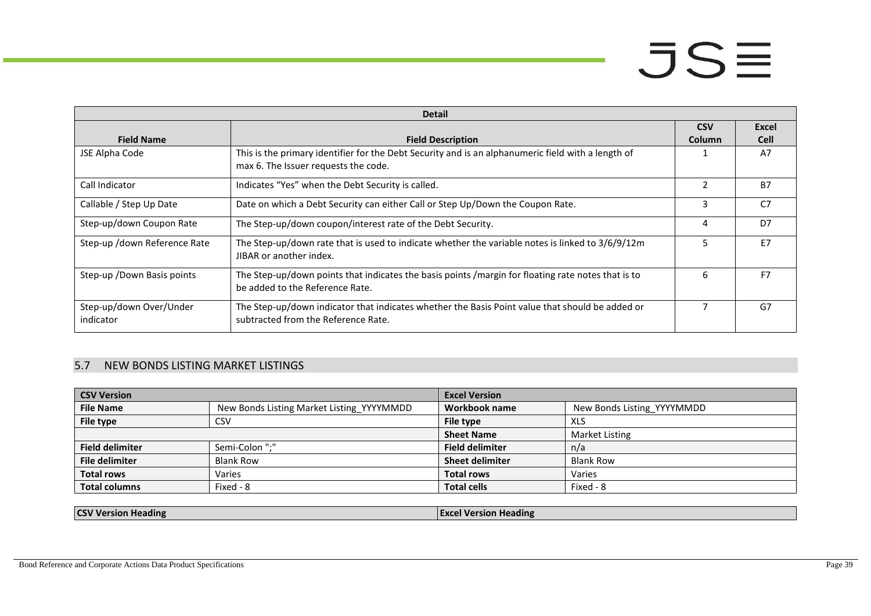|                                      | <b>Detail</b>                                                                                                                              |               |                |
|--------------------------------------|--------------------------------------------------------------------------------------------------------------------------------------------|---------------|----------------|
|                                      |                                                                                                                                            | <b>CSV</b>    | Excel          |
| <b>Field Name</b>                    | <b>Field Description</b>                                                                                                                   | <b>Column</b> | <b>Cell</b>    |
| JSE Alpha Code                       | This is the primary identifier for the Debt Security and is an alphanumeric field with a length of<br>max 6. The Issuer requests the code. |               | A7             |
| Call Indicator                       | Indicates "Yes" when the Debt Security is called.                                                                                          | $\mathfrak z$ | <b>B7</b>      |
| Callable / Step Up Date              | Date on which a Debt Security can either Call or Step Up/Down the Coupon Rate.                                                             | 3             | C <sub>7</sub> |
| Step-up/down Coupon Rate             | The Step-up/down coupon/interest rate of the Debt Security.                                                                                | 4             | D <sub>7</sub> |
| Step-up /down Reference Rate         | The Step-up/down rate that is used to indicate whether the variable notes is linked to 3/6/9/12m<br>JIBAR or another index.                | 5.            | E7             |
| Step-up / Down Basis points          | The Step-up/down points that indicates the basis points /margin for floating rate notes that is to<br>be added to the Reference Rate.      | 6             | F7             |
| Step-up/down Over/Under<br>indicator | The Step-up/down indicator that indicates whether the Basis Point value that should be added or<br>subtracted from the Reference Rate.     |               | G7             |

### 5.7 NEW BONDS LISTING MARKET LISTINGS

| <b>CSV Version</b>     |                                           | <b>Excel Version</b>   |                            |
|------------------------|-------------------------------------------|------------------------|----------------------------|
| <b>File Name</b>       | New Bonds Listing Market Listing YYYYMMDD | Workbook name          | New Bonds Listing YYYYMMDD |
| File type              | CSV                                       | File type              | <b>XLS</b>                 |
|                        |                                           | <b>Sheet Name</b>      | Market Listing             |
| <b>Field delimiter</b> | Semi-Colon ";"                            | <b>Field delimiter</b> | n/a                        |
| <b>File delimiter</b>  | <b>Blank Row</b>                          | <b>Sheet delimiter</b> | <b>Blank Row</b>           |
| <b>Total rows</b>      | Varies                                    | <b>Total rows</b>      | Varies                     |
| <b>Total columns</b>   | Fixed - 8                                 | <b>Total cells</b>     | Fixed - 8                  |

<span id="page-38-0"></span>

| . .<br>ıc<br>រាកេរ | . .<br>aine |
|--------------------|-------------|
|                    |             |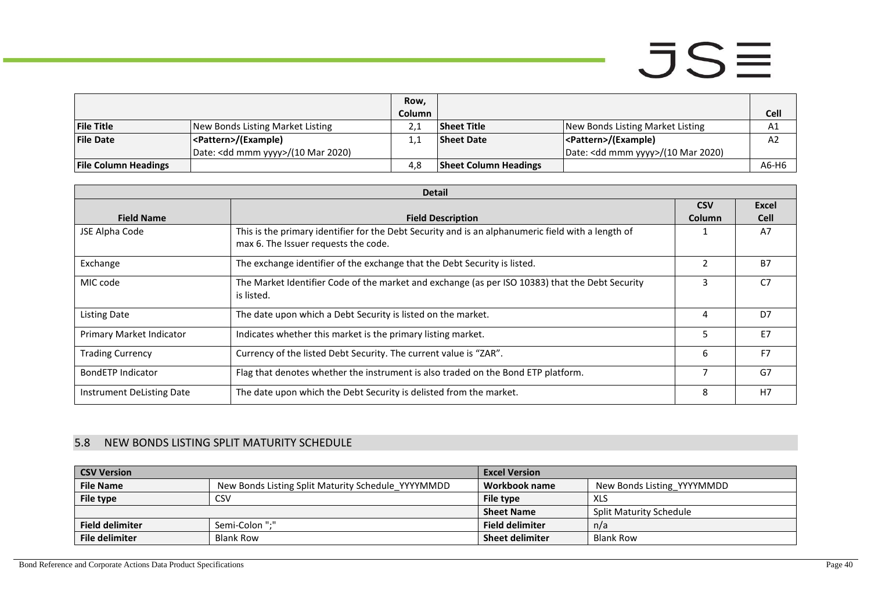|                             |                                              | Row,          |                              |                                              |                |
|-----------------------------|----------------------------------------------|---------------|------------------------------|----------------------------------------------|----------------|
|                             |                                              | <b>Column</b> |                              |                                              | Cell           |
| <b>File Title</b>           | New Bonds Listing Market Listing             |               | Sheet Title                  | New Bonds Listing Market Listing             | A1             |
| <b>File Date</b>            | <pattern>/(Example)</pattern>                |               | <b>Sheet Date</b>            | <pattern>/(Example)</pattern>                | A <sub>2</sub> |
|                             | Date: <dd mmm="" yyyy="">/(10 Mar 2020)</dd> |               |                              | Date: <dd mmm="" yyyy="">/(10 Mar 2020)</dd> |                |
| <b>File Column Headings</b> |                                              | 4.8           | <b>Sheet Column Headings</b> |                                              | A6-H6          |

|                           | <b>Detail</b>                                                                                      |               |                |  |  |
|---------------------------|----------------------------------------------------------------------------------------------------|---------------|----------------|--|--|
|                           |                                                                                                    | <b>CSV</b>    | <b>Excel</b>   |  |  |
| <b>Field Name</b>         | <b>Field Description</b>                                                                           | <b>Column</b> | <b>Cell</b>    |  |  |
| JSE Alpha Code            | This is the primary identifier for the Debt Security and is an alphanumeric field with a length of |               | A7             |  |  |
|                           | max 6. The Issuer requests the code.                                                               |               |                |  |  |
| Exchange                  | The exchange identifier of the exchange that the Debt Security is listed.                          | 2             | <b>B7</b>      |  |  |
| MIC code                  | The Market Identifier Code of the market and exchange (as per ISO 10383) that the Debt Security    | 3             | C7             |  |  |
|                           | is listed.                                                                                         |               |                |  |  |
| <b>Listing Date</b>       | The date upon which a Debt Security is listed on the market.                                       | 4             | D7             |  |  |
| Primary Market Indicator  | Indicates whether this market is the primary listing market.                                       | 5             | E7             |  |  |
| <b>Trading Currency</b>   | Currency of the listed Debt Security. The current value is "ZAR".                                  | 6             | F <sub>7</sub> |  |  |
| <b>BondETP Indicator</b>  | Flag that denotes whether the instrument is also traded on the Bond ETP platform.                  |               | G7             |  |  |
| Instrument DeListing Date | The date upon which the Debt Security is delisted from the market.                                 | 8             | H7             |  |  |

### 5.8 NEW BONDS LISTING SPLIT MATURITY SCHEDULE

<span id="page-39-0"></span>

| <b>CSV Version</b>     |                                                    | <b>Excel Version</b>   |                                |
|------------------------|----------------------------------------------------|------------------------|--------------------------------|
| <b>File Name</b>       | New Bonds Listing Split Maturity Schedule YYYYMMDD | Workbook name          | New Bonds Listing YYYYMMDD     |
| File type              | CSV                                                | File type              | <b>XLS</b>                     |
|                        |                                                    | <b>Sheet Name</b>      | <b>Split Maturity Schedule</b> |
| <b>Field delimiter</b> | Semi-Colon ";"                                     | <b>Field delimiter</b> | n/a                            |
| File delimiter         | <b>Blank Row</b>                                   | <b>Sheet delimiter</b> | <b>Blank Row</b>               |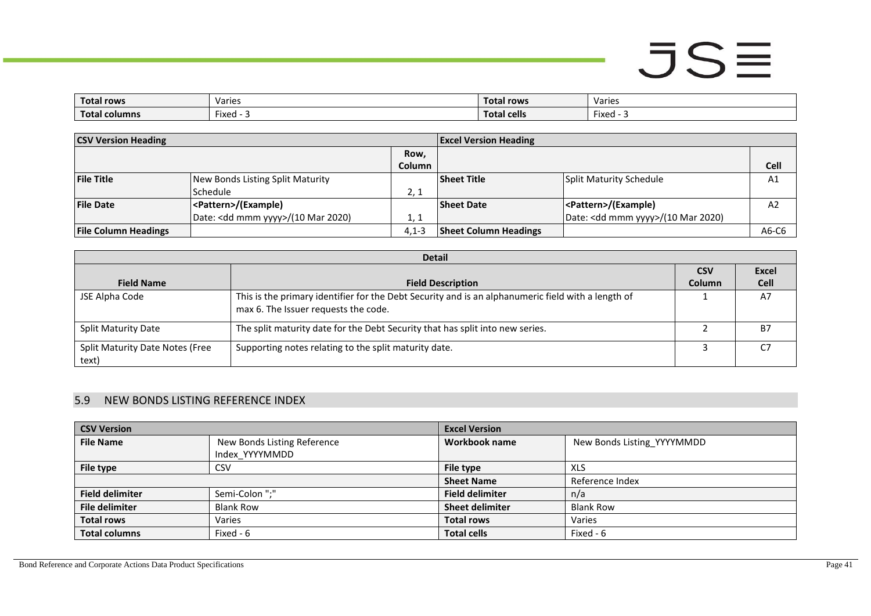| <b>Total rows</b>  | Varies                            | Total rows         | Varies             |
|--------------------|-----------------------------------|--------------------|--------------------|
| Total<br>l columns | $\overline{\phantom{a}}$<br>Fixed | <b>Total cells</b> | $- \cdot$<br>Fixed |

| <b>CSV Version Heading</b>  |                                              |               | <b>Excel Version Heading</b> |                                              |         |
|-----------------------------|----------------------------------------------|---------------|------------------------------|----------------------------------------------|---------|
|                             |                                              | Row,          |                              |                                              |         |
|                             |                                              | <b>Column</b> |                              |                                              | Cell    |
| <b>File Title</b>           | New Bonds Listing Split Maturity             |               | <b>Sheet Title</b>           | <b>Split Maturity Schedule</b>               | A1      |
|                             | <b>Schedule</b>                              | 2, 1          |                              |                                              |         |
| <b>File Date</b>            | <pattern>/(Example)</pattern>                |               | <b>Sheet Date</b>            | <pattern>/(Example)</pattern>                | A2      |
|                             | Date: <dd mmm="" yyyy="">/(10 Mar 2020)</dd> | 1, 1          |                              | Date: <dd mmm="" yyyy="">/(10 Mar 2020)</dd> |         |
| <b>File Column Headings</b> |                                              | $4.1 - 3$     | <b>Sheet Column Headings</b> |                                              | $A6-C6$ |

|                                          | <b>Detail</b>                                                                                                                              |               |              |  |  |  |
|------------------------------------------|--------------------------------------------------------------------------------------------------------------------------------------------|---------------|--------------|--|--|--|
|                                          |                                                                                                                                            | <b>CSV</b>    | <b>Excel</b> |  |  |  |
| <b>Field Name</b>                        | <b>Field Description</b>                                                                                                                   | <b>Column</b> | <b>Cell</b>  |  |  |  |
| JSE Alpha Code                           | This is the primary identifier for the Debt Security and is an alphanumeric field with a length of<br>max 6. The Issuer requests the code. |               | A7           |  |  |  |
| <b>Split Maturity Date</b>               | The split maturity date for the Debt Security that has split into new series.                                                              |               | Β7           |  |  |  |
| Split Maturity Date Notes (Free<br>text) | Supporting notes relating to the split maturity date.                                                                                      |               | C7           |  |  |  |

### 5.9 NEW BONDS LISTING REFERENCE INDEX

<span id="page-40-0"></span>

| <b>CSV Version</b>     |                             | <b>Excel Version</b>   |                            |
|------------------------|-----------------------------|------------------------|----------------------------|
| <b>File Name</b>       | New Bonds Listing Reference | Workbook name          | New Bonds Listing YYYYMMDD |
|                        | Index YYYYMMDD              |                        |                            |
| File type              | CSV                         | File type              | <b>XLS</b>                 |
|                        |                             | <b>Sheet Name</b>      | Reference Index            |
| <b>Field delimiter</b> | Semi-Colon ";"              | <b>Field delimiter</b> | n/a                        |
| <b>File delimiter</b>  | <b>Blank Row</b>            | <b>Sheet delimiter</b> | <b>Blank Row</b>           |
| <b>Total rows</b>      | Varies                      | <b>Total rows</b>      | Varies                     |
| <b>Total columns</b>   | Fixed - 6                   | <b>Total cells</b>     | Fixed - 6                  |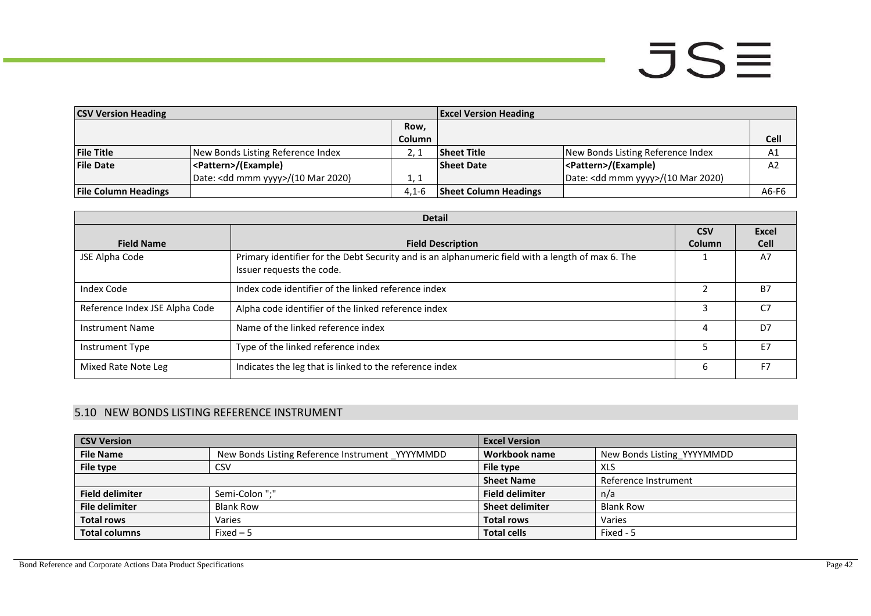| <b>CSV Version Heading</b>  |                                              |               | <b>Excel Version Heading</b> |                                              |             |
|-----------------------------|----------------------------------------------|---------------|------------------------------|----------------------------------------------|-------------|
|                             |                                              | Row,          |                              |                                              |             |
|                             |                                              | <b>Column</b> |                              |                                              | <b>Cell</b> |
| <b>File Title</b>           | New Bonds Listing Reference Index            |               | <b>Sheet Title</b>           | New Bonds Listing Reference Index            | A1          |
| <b>File Date</b>            | <pattern>/(Example)</pattern>                |               | <b>Sheet Date</b>            | <pattern>/(Example)</pattern>                | A2          |
|                             | Date: <dd mmm="" yyyy="">/(10 Mar 2020)</dd> | 1, 1          |                              | Date: <dd mmm="" yyyy="">/(10 Mar 2020)</dd> |             |
| <b>File Column Headings</b> |                                              | $4.1 - 6$     | <b>Sheet Column Headings</b> |                                              | A6-F6       |

|                                | <b>Detail</b>                                                                                                                  |               |              |  |  |  |
|--------------------------------|--------------------------------------------------------------------------------------------------------------------------------|---------------|--------------|--|--|--|
|                                |                                                                                                                                | <b>CSV</b>    | <b>Excel</b> |  |  |  |
| <b>Field Name</b>              | <b>Field Description</b>                                                                                                       | <b>Column</b> | <b>Cell</b>  |  |  |  |
| JSE Alpha Code                 | Primary identifier for the Debt Security and is an alphanumeric field with a length of max 6. The<br>Issuer requests the code. |               | A7           |  |  |  |
| <b>Index Code</b>              | Index code identifier of the linked reference index                                                                            |               | <b>B7</b>    |  |  |  |
| Reference Index JSE Alpha Code | Alpha code identifier of the linked reference index                                                                            |               | C7           |  |  |  |
| <b>Instrument Name</b>         | Name of the linked reference index                                                                                             | 4             | D7           |  |  |  |
| Instrument Type                | Type of the linked reference index                                                                                             |               | E7           |  |  |  |
| Mixed Rate Note Leg            | Indicates the leg that is linked to the reference index                                                                        | 6             | F7           |  |  |  |

### 5.10 NEW BONDS LISTING REFERENCE INSTRUMENT

<span id="page-41-0"></span>

| <b>CSV Version</b>     |                                                 | <b>Excel Version</b>   |                            |
|------------------------|-------------------------------------------------|------------------------|----------------------------|
| <b>File Name</b>       | New Bonds Listing Reference Instrument YYYYMMDD | Workbook name          | New Bonds Listing YYYYMMDD |
| File type              | <b>CSV</b>                                      | File type              | XLS                        |
|                        |                                                 | <b>Sheet Name</b>      | Reference Instrument       |
| <b>Field delimiter</b> | Semi-Colon ":"                                  | <b>Field delimiter</b> | n/a                        |
| <b>File delimiter</b>  | <b>Blank Row</b>                                | <b>Sheet delimiter</b> | <b>Blank Row</b>           |
| <b>Total rows</b>      | Varies                                          | <b>Total rows</b>      | Varies                     |
| <b>Total columns</b>   | Fixed $-5$                                      | <b>Total cells</b>     | Fixed - 5                  |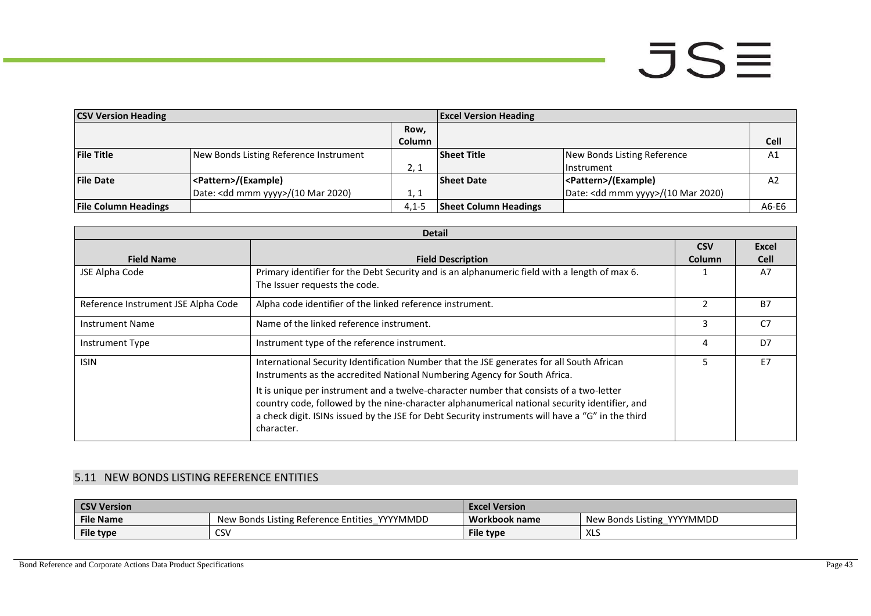| <b>CSV Version Heading</b>  |                                        |           | <b>Excel Version Heading</b> |                                              |                |
|-----------------------------|----------------------------------------|-----------|------------------------------|----------------------------------------------|----------------|
|                             |                                        | Row,      |                              |                                              |                |
|                             |                                        | Column    |                              |                                              | <b>Cell</b>    |
| <b>File Title</b>           | New Bonds Listing Reference Instrument |           | <b>Sheet Title</b>           | New Bonds Listing Reference                  | A1             |
|                             |                                        | 2, 1      |                              | <b>Instrument</b>                            |                |
| <b>File Date</b>            | <pattern>/(Example)</pattern>          |           | <b>Sheet Date</b>            | <pattern>/(Example)</pattern>                | A <sub>2</sub> |
|                             | Date: < dd mmm yyyy>/(10 Mar 2020)     | 1, 1      |                              | Date: <dd mmm="" yyyy="">/(10 Mar 2020)</dd> |                |
| <b>File Column Headings</b> |                                        | $4.1 - 5$ | <b>Sheet Column Headings</b> |                                              | A6-E6          |

|                                     | <b>Detail</b>                                                                                     |               |              |
|-------------------------------------|---------------------------------------------------------------------------------------------------|---------------|--------------|
|                                     |                                                                                                   | <b>CSV</b>    | <b>Excel</b> |
| <b>Field Name</b>                   | <b>Field Description</b>                                                                          | Column        | <b>Cell</b>  |
| JSE Alpha Code                      | Primary identifier for the Debt Security and is an alphanumeric field with a length of max 6.     |               | A7           |
|                                     | The Issuer requests the code.                                                                     |               |              |
| Reference Instrument JSE Alpha Code | Alpha code identifier of the linked reference instrument.                                         | $\mathcal{P}$ | <b>B7</b>    |
| <b>Instrument Name</b>              | Name of the linked reference instrument.                                                          | 3             | C7           |
| Instrument Type                     | Instrument type of the reference instrument.                                                      | 4             | D7           |
| <b>ISIN</b>                         | International Security Identification Number that the JSE generates for all South African         |               | F7           |
|                                     | Instruments as the accredited National Numbering Agency for South Africa.                         |               |              |
|                                     | It is unique per instrument and a twelve-character number that consists of a two-letter           |               |              |
|                                     | country code, followed by the nine-character alphanumerical national security identifier, and     |               |              |
|                                     | a check digit. ISINs issued by the JSE for Debt Security instruments will have a "G" in the third |               |              |
|                                     | character.                                                                                        |               |              |

### 5.11 NEW BONDS LISTING REFERENCE ENTITIES

<span id="page-42-0"></span>

| <b>CSV Version</b> |                                                  | <b>Excel Version</b> |                               |
|--------------------|--------------------------------------------------|----------------------|-------------------------------|
| <b>File Name</b>   | YYYYMMDD<br>New Bonds Listing Reference Entities | Workbook name        | YYYYMMDD<br>New Bonds Listing |
| File type          | CSV                                              | File type            | <b>YI</b><br>∧∟ວ              |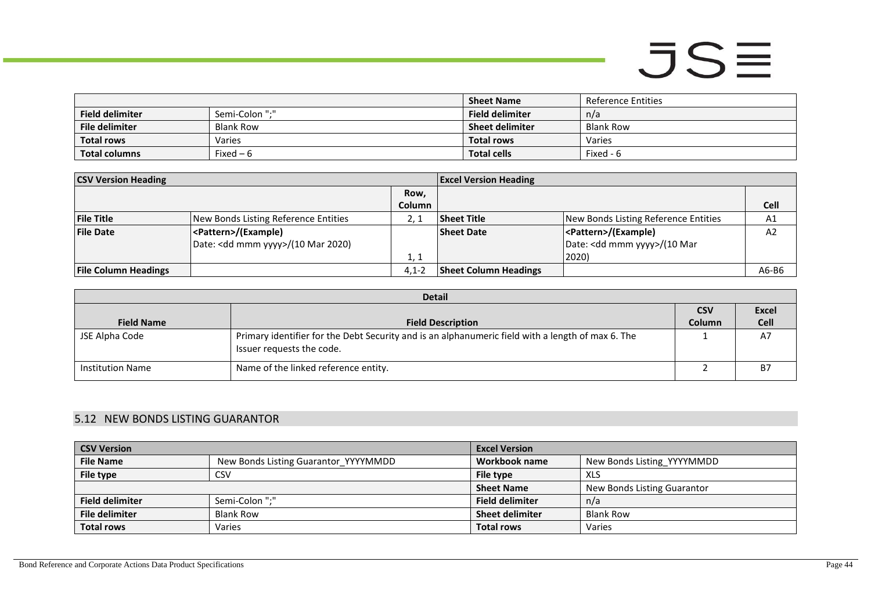|                        |                  | <b>Sheet Name</b>      | Reference Entities |
|------------------------|------------------|------------------------|--------------------|
| <b>Field delimiter</b> | Semi-Colon ":"   | <b>Field delimiter</b> | n/a                |
| File delimiter         | <b>Blank Row</b> | <b>Sheet delimiter</b> | Blank Row          |
| <b>Total rows</b>      | Varies           | <b>Total rows</b>      | Varies             |
| <b>Total columns</b>   | Fixed $-6$       | <b>Total cells</b>     | Fixed - 6          |

| <b>CSV Version Heading</b>  |                                              | <b>Excel Version Heading</b> |                              |                                        |                |
|-----------------------------|----------------------------------------------|------------------------------|------------------------------|----------------------------------------|----------------|
|                             |                                              | Row,                         |                              |                                        |                |
|                             |                                              | <b>Column</b>                |                              |                                        | <b>Cell</b>    |
| <b>File Title</b>           | New Bonds Listing Reference Entities         |                              | <b>Sheet Title</b>           | New Bonds Listing Reference Entities   | A1             |
| <b>File Date</b>            | <pattern>/(Example)</pattern>                |                              | <b>Sheet Date</b>            | <pattern>/(Example)</pattern>          | A <sub>2</sub> |
|                             | Date: <dd mmm="" yyyy="">/(10 Mar 2020)</dd> |                              |                              | Date: <dd mmm="" yyyy="">/(10 Mar</dd> |                |
|                             |                                              | 1, 1                         |                              | 2020)                                  |                |
| <b>File Column Headings</b> |                                              | $4.1 - 2$                    | <b>Sheet Column Headings</b> |                                        | A6-B6          |

| <b>Detail</b>           |                                                                                                                                |               |              |  |
|-------------------------|--------------------------------------------------------------------------------------------------------------------------------|---------------|--------------|--|
|                         |                                                                                                                                | <b>CSV</b>    | <b>Excel</b> |  |
| <b>Field Name</b>       | <b>Field Description</b>                                                                                                       | <b>Column</b> | <b>Cell</b>  |  |
| JSE Alpha Code          | Primary identifier for the Debt Security and is an alphanumeric field with a length of max 6. The<br>Issuer requests the code. |               | A7           |  |
| <b>Institution Name</b> | Name of the linked reference entity.                                                                                           |               | <b>B7</b>    |  |

### 5.12 NEW BONDS LISTING GUARANTOR

<span id="page-43-0"></span>

| <b>CSV Version</b>     |                                      | <b>Excel Version</b>   |                             |
|------------------------|--------------------------------------|------------------------|-----------------------------|
| <b>File Name</b>       | New Bonds Listing Guarantor YYYYMMDD | Workbook name          | New Bonds Listing YYYYMMDD  |
| File type              | <b>CSV</b>                           | File type              | <b>XLS</b>                  |
|                        |                                      | <b>Sheet Name</b>      | New Bonds Listing Guarantor |
| <b>Field delimiter</b> | Semi-Colon ";"                       | <b>Field delimiter</b> | n/a                         |
| <b>File delimiter</b>  | <b>Blank Row</b>                     | <b>Sheet delimiter</b> | <b>Blank Row</b>            |
| <b>Total rows</b>      | Varies                               | <b>Total rows</b>      | Varies                      |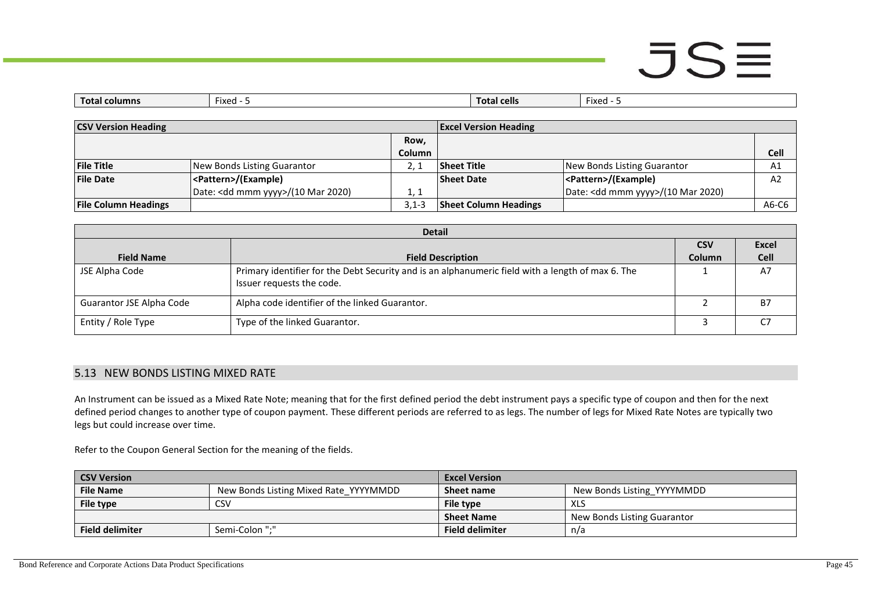## $JSE$

| $\overline{\phantom{a}}$<br>Tota.<br>columns | $\sim$<br>Fixed | tal cells<br>тота. | --<br>Fixed |
|----------------------------------------------|-----------------|--------------------|-------------|
|                                              |                 |                    |             |

| <b>CSV Version Heading</b>  |                                              | <b>Excel Version Heading</b> |                              |                                              |                |
|-----------------------------|----------------------------------------------|------------------------------|------------------------------|----------------------------------------------|----------------|
|                             |                                              | Row,                         |                              |                                              |                |
|                             |                                              | Column                       |                              |                                              | Cell           |
| <b>File Title</b>           | New Bonds Listing Guarantor                  |                              | <b>Sheet Title</b>           | New Bonds Listing Guarantor                  | A <sub>1</sub> |
| <b>File Date</b>            | <pattern>/(Example)</pattern>                |                              | <b>Sheet Date</b>            | <pattern>/(Example)</pattern>                | A <sub>2</sub> |
|                             | Date: <dd mmm="" yyyy="">/(10 Mar 2020)</dd> | 1, 1                         |                              | Date: <dd mmm="" yyyy="">/(10 Mar 2020)</dd> |                |
| <b>File Column Headings</b> |                                              | $3.1 - 3$                    | <b>Sheet Column Headings</b> |                                              | A6-C6          |

| <b>Detail</b>            |                                                                                                                                |               |              |  |
|--------------------------|--------------------------------------------------------------------------------------------------------------------------------|---------------|--------------|--|
|                          |                                                                                                                                | <b>CSV</b>    | <b>Excel</b> |  |
| <b>Field Name</b>        | <b>Field Description</b>                                                                                                       | <b>Column</b> | <b>Cell</b>  |  |
| JSE Alpha Code           | Primary identifier for the Debt Security and is an alphanumeric field with a length of max 6. The<br>Issuer requests the code. |               | A7           |  |
| Guarantor JSE Alpha Code | Alpha code identifier of the linked Guarantor.                                                                                 |               | <b>B7</b>    |  |
| Entity / Role Type       | Type of the linked Guarantor.                                                                                                  |               | С7           |  |

#### 5.13 NEW BONDS LISTING MIXED RATE

An Instrument can be issued as a Mixed Rate Note; meaning that for the first defined period the debt instrument pays a specific type of coupon and then for the next defined period changes to another type of coupon payment. These different periods are referred to as legs. The number of legs for Mixed Rate Notes are typically two legs but could increase over time.

Refer to the Coupon General Section for the meaning of the fields.

<span id="page-44-0"></span>

| <b>CSV Version</b>     |                                       | <b>Excel Version</b>   |                             |
|------------------------|---------------------------------------|------------------------|-----------------------------|
| <b>File Name</b>       | New Bonds Listing Mixed Rate YYYYMMDD | Sheet name             | New Bonds Listing YYYYMMDD  |
| File type              | CSV                                   | File type              | XLS                         |
|                        |                                       | <b>Sheet Name</b>      | New Bonds Listing Guarantor |
| <b>Field delimiter</b> | Semi-Colon ":"                        | <b>Field delimiter</b> | n/a                         |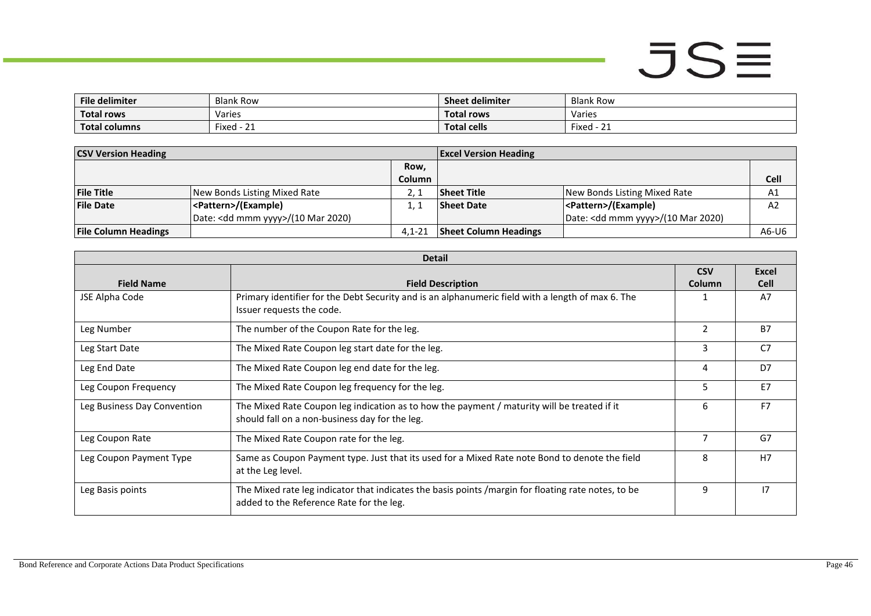| <b>File delimiter</b>      | <b>Blank Row</b>                         | <b>Sheet delimiter</b> | <b>Blank Row</b>              |
|----------------------------|------------------------------------------|------------------------|-------------------------------|
| <b>Total rows</b>          | Varies                                   | Total rows             | Varies                        |
| <b>Total</b><br>al columns | $\overline{\phantom{a}}$<br>Fixed - $21$ | <b>Total cells</b>     | $\sim$<br>Fixed<br><u>_ _</u> |

| <b>CSV Version Heading</b>  |                                              | <b>Excel Version Heading</b> |                              |                                              |       |
|-----------------------------|----------------------------------------------|------------------------------|------------------------------|----------------------------------------------|-------|
|                             |                                              | Row,                         |                              |                                              |       |
|                             |                                              | Column                       |                              |                                              | Cell  |
| <b>File Title</b>           | New Bonds Listing Mixed Rate                 |                              | <b>Sheet Title</b>           | New Bonds Listing Mixed Rate                 | A1    |
| <b>File Date</b>            | <pattern>/(Example)</pattern>                |                              | <b>Sheet Date</b>            | <pattern>/(Example)</pattern>                | A2    |
|                             | Date: <dd mmm="" yyyy="">/(10 Mar 2020)</dd> |                              |                              | Date: <dd mmm="" yyyy="">/(10 Mar 2020)</dd> |       |
| <b>File Column Headings</b> |                                              | $4.1 - 21$                   | <b>Sheet Column Headings</b> |                                              | A6-U6 |

|                             | <b>Detail</b>                                                                                                                                    |                |                |
|-----------------------------|--------------------------------------------------------------------------------------------------------------------------------------------------|----------------|----------------|
|                             |                                                                                                                                                  | <b>CSV</b>     | <b>Excel</b>   |
| <b>Field Name</b>           | <b>Field Description</b>                                                                                                                         | Column         | <b>Cell</b>    |
| JSE Alpha Code              | Primary identifier for the Debt Security and is an alphanumeric field with a length of max 6. The<br>Issuer requests the code.                   |                | A7             |
| Leg Number                  | The number of the Coupon Rate for the leg.                                                                                                       | $\overline{2}$ | <b>B7</b>      |
| Leg Start Date              | The Mixed Rate Coupon leg start date for the leg.                                                                                                | 3              | C <sub>7</sub> |
| Leg End Date                | The Mixed Rate Coupon leg end date for the leg.                                                                                                  | 4              | D <sub>7</sub> |
| Leg Coupon Frequency        | The Mixed Rate Coupon leg frequency for the leg.                                                                                                 | 5              | E7             |
| Leg Business Day Convention | The Mixed Rate Coupon leg indication as to how the payment / maturity will be treated if it<br>should fall on a non-business day for the leg.    | 6              | F7             |
| Leg Coupon Rate             | The Mixed Rate Coupon rate for the leg.                                                                                                          | 7              | G7             |
| Leg Coupon Payment Type     | Same as Coupon Payment type. Just that its used for a Mixed Rate note Bond to denote the field<br>at the Leg level.                              | 8              | H7             |
| Leg Basis points            | The Mixed rate leg indicator that indicates the basis points / margin for floating rate notes, to be<br>added to the Reference Rate for the leg. | 9              | 17             |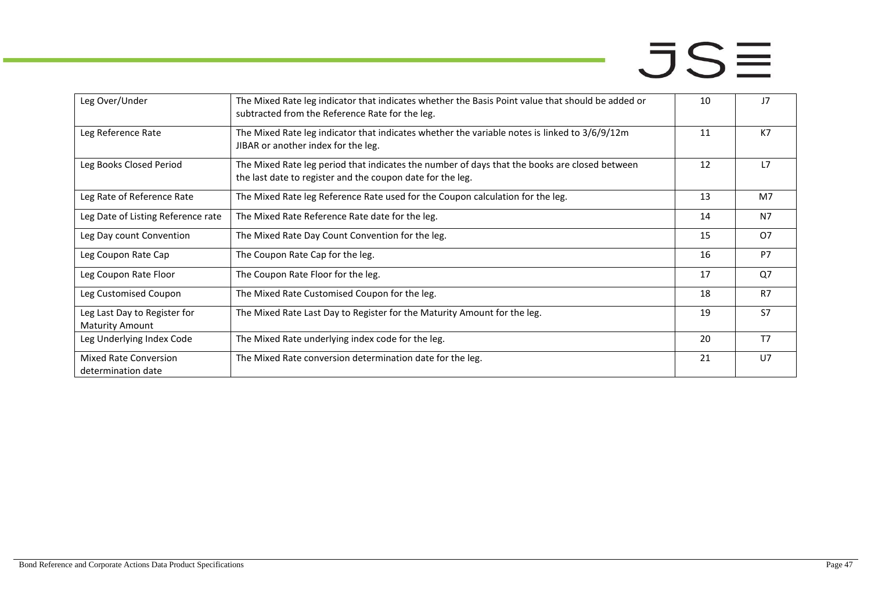| Leg Over/Under                                         | The Mixed Rate leg indicator that indicates whether the Basis Point value that should be added or<br>subtracted from the Reference Rate for the leg.        | 10 | J <sub>7</sub> |
|--------------------------------------------------------|-------------------------------------------------------------------------------------------------------------------------------------------------------------|----|----------------|
| Leg Reference Rate                                     | The Mixed Rate leg indicator that indicates whether the variable notes is linked to 3/6/9/12m<br>JIBAR or another index for the leg.                        | 11 | K7             |
| Leg Books Closed Period                                | The Mixed Rate leg period that indicates the number of days that the books are closed between<br>the last date to register and the coupon date for the leg. | 12 | 17             |
| Leg Rate of Reference Rate                             | The Mixed Rate leg Reference Rate used for the Coupon calculation for the leg.                                                                              | 13 | M <sub>7</sub> |
| Leg Date of Listing Reference rate                     | The Mixed Rate Reference Rate date for the leg.                                                                                                             | 14 | N <sub>7</sub> |
| Leg Day count Convention                               | The Mixed Rate Day Count Convention for the leg.                                                                                                            | 15 | <b>O7</b>      |
| Leg Coupon Rate Cap                                    | The Coupon Rate Cap for the leg.                                                                                                                            | 16 | P7             |
| Leg Coupon Rate Floor                                  | The Coupon Rate Floor for the leg.                                                                                                                          | 17 | Q7             |
| Leg Customised Coupon                                  | The Mixed Rate Customised Coupon for the leg.                                                                                                               | 18 | R7             |
| Leg Last Day to Register for<br><b>Maturity Amount</b> | The Mixed Rate Last Day to Register for the Maturity Amount for the leg.                                                                                    | 19 | S7             |
| Leg Underlying Index Code                              | The Mixed Rate underlying index code for the leg.                                                                                                           | 20 | T <sub>7</sub> |
| <b>Mixed Rate Conversion</b><br>determination date     | The Mixed Rate conversion determination date for the leg.                                                                                                   | 21 | U <sub>7</sub> |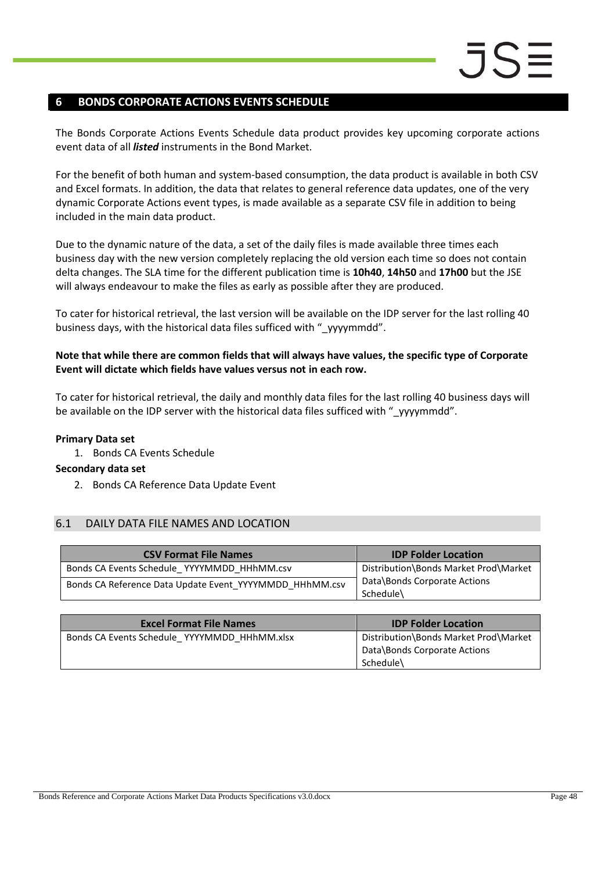### <span id="page-47-0"></span>**6 BONDS CORPORATE ACTIONS EVENTS SCHEDULE**

The Bonds Corporate Actions Events Schedule data product provides key upcoming corporate actions event data of all *listed* instruments in the Bond Market.

For the benefit of both human and system-based consumption, the data product is available in both CSV and Excel formats. In addition, the data that relates to general reference data updates, one of the very dynamic Corporate Actions event types, is made available as a separate CSV file in addition to being included in the main data product.

Due to the dynamic nature of the data, a set of the daily files is made available three times each business day with the new version completely replacing the old version each time so does not contain delta changes. The SLA time for the different publication time is **10h40**, **14h50** and **17h00** but the JSE will always endeavour to make the files as early as possible after they are produced.

To cater for historical retrieval, the last version will be available on the IDP server for the last rolling 40 business days, with the historical data files sufficed with " yyyymmdd".

#### **Note that while there are common fields that will always have values, the specific type of Corporate Event will dictate which fields have values versus not in each row.**

To cater for historical retrieval, the daily and monthly data files for the last rolling 40 business days will be available on the IDP server with the historical data files sufficed with " yyyymmdd".

### **Primary Data set**

1. Bonds CA Events Schedule

### **Secondary data set**

2. Bonds CA Reference Data Update Event

### <span id="page-47-1"></span>6.1 DAILY DATA FILE NAMES AND LOCATION

| <b>CSV Format File Names</b>                            | <b>IDP Folder Location</b>                |
|---------------------------------------------------------|-------------------------------------------|
| Bonds CA Events Schedule YYYYMMDD HHhMM.csv             | Distribution\Bonds Market Prod\Market     |
| Bonds CA Reference Data Update Event YYYYMMDD HHhMM.csv | Data\Bonds Corporate Actions<br>Schedule\ |

| <b>Excel Format File Names</b>               | <b>IDP Folder Location</b>                                                         |
|----------------------------------------------|------------------------------------------------------------------------------------|
| Bonds CA Events Schedule YYYYMMDD HHhMM.xlsx | Distribution\Bonds Market Prod\Market<br>Data\Bonds Corporate Actions<br>Schedule\ |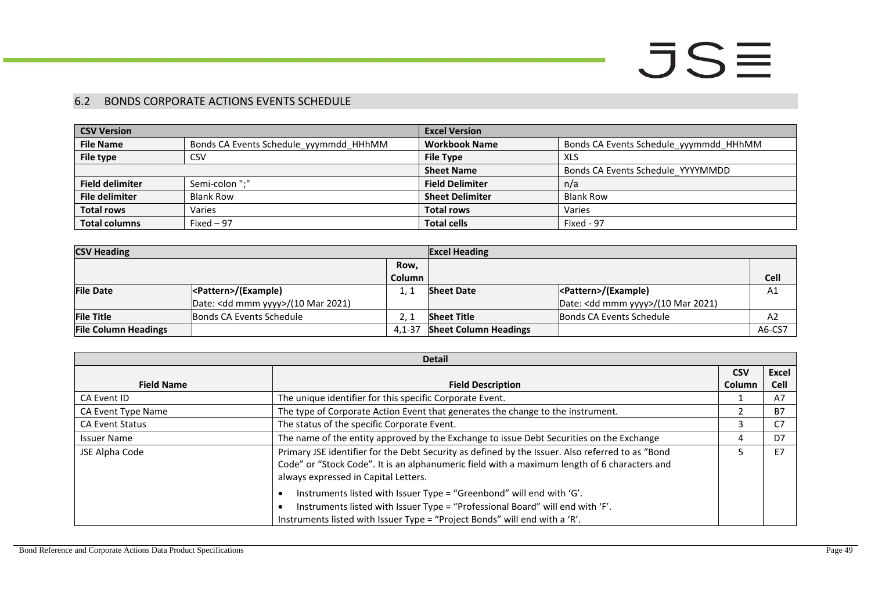### 6.2 BONDS CORPORATE ACTIONS EVENTS SCHEDULE

| <b>CSV Version</b>     |                                        | <b>Excel Version</b>   |                                        |
|------------------------|----------------------------------------|------------------------|----------------------------------------|
| <b>File Name</b>       | Bonds CA Events Schedule_yyymmdd_HHhMM | <b>Workbook Name</b>   | Bonds CA Events Schedule_yyymmdd_HHhMM |
| File type              | CSV                                    | <b>File Type</b>       | XLS                                    |
|                        |                                        | <b>Sheet Name</b>      | Bonds CA Events Schedule YYYYMMDD      |
| <b>Field delimiter</b> | Semi-colon ":"                         | <b>Field Delimiter</b> | n/a                                    |
| <b>File delimiter</b>  | <b>Blank Row</b>                       | <b>Sheet Delimiter</b> | <b>Blank Row</b>                       |
| <b>Total rows</b>      | Varies                                 | <b>Total rows</b>      | Varies                                 |
| <b>Total columns</b>   | Fixed $-97$                            | <b>Total cells</b>     | Fixed - 97                             |

| <b>CSV Heading</b>          |                                              | <b>Excel Heading</b> |                              |                                              |             |
|-----------------------------|----------------------------------------------|----------------------|------------------------------|----------------------------------------------|-------------|
|                             |                                              | Row,                 |                              |                                              |             |
|                             |                                              | Column               |                              |                                              | <b>Cell</b> |
| <b>File Date</b>            |                                              |                      | <b>Sheet Date</b>            | <pattern>/(Example)</pattern>                | A1          |
|                             | Date: <dd mmm="" yyyy="">/(10 Mar 2021)</dd> |                      |                              | Date: <dd mmm="" yyyy="">/(10 Mar 2021)</dd> |             |
| <b>File Title</b>           | Bonds CA Events Schedule                     |                      | <b>Sheet Title</b>           | Bonds CA Events Schedule                     | A2          |
| <b>File Column Headings</b> |                                              | $4.1 - 37$           | <b>Sheet Column Headings</b> |                                              | A6-CS7      |

<span id="page-48-0"></span>

| <b>Detail</b>          |                                                                                                                                                                                                                                          |            |             |
|------------------------|------------------------------------------------------------------------------------------------------------------------------------------------------------------------------------------------------------------------------------------|------------|-------------|
|                        |                                                                                                                                                                                                                                          | <b>CSV</b> | Excel       |
| <b>Field Name</b>      | <b>Field Description</b>                                                                                                                                                                                                                 | Column     | <b>Cell</b> |
| CA Event ID            | The unique identifier for this specific Corporate Event.                                                                                                                                                                                 |            | A7          |
| CA Event Type Name     | The type of Corporate Action Event that generates the change to the instrument.                                                                                                                                                          |            | <b>B7</b>   |
| <b>CA Event Status</b> | The status of the specific Corporate Event.                                                                                                                                                                                              |            |             |
| <b>Issuer Name</b>     | The name of the entity approved by the Exchange to issue Debt Securities on the Exchange                                                                                                                                                 |            | D7          |
| JSE Alpha Code         | Primary JSE identifier for the Debt Security as defined by the Issuer. Also referred to as "Bond<br>Code" or "Stock Code". It is an alphanumeric field with a maximum length of 6 characters and<br>always expressed in Capital Letters. |            | E7          |
|                        | Instruments listed with Issuer Type = "Greenbond" will end with 'G'.<br>Instruments listed with Issuer Type = "Professional Board" will end with 'F'.<br>Instruments listed with Issuer Type = "Project Bonds" will end with a 'R'.      |            |             |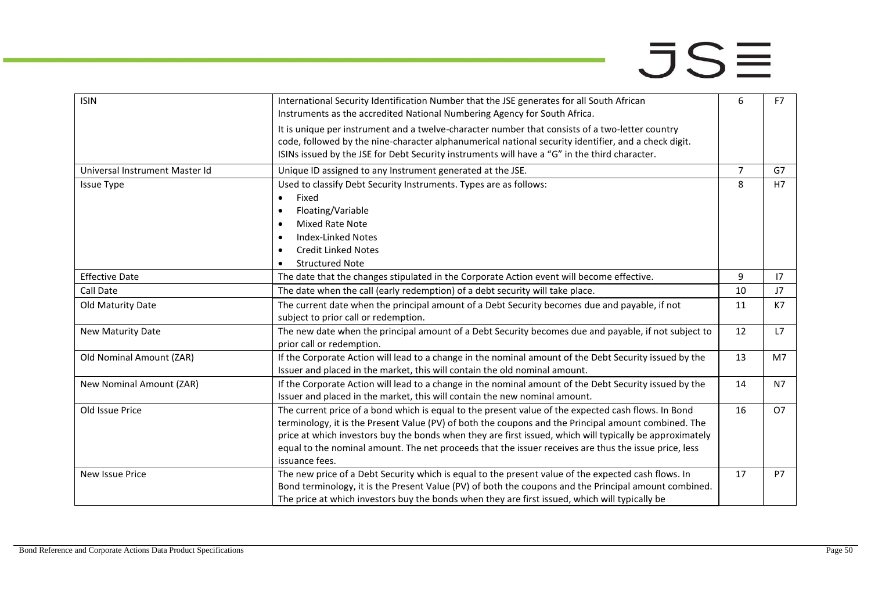| <b>ISIN</b>                    | International Security Identification Number that the JSE generates for all South African<br>Instruments as the accredited National Numbering Agency for South Africa. | 6  | F7             |
|--------------------------------|------------------------------------------------------------------------------------------------------------------------------------------------------------------------|----|----------------|
|                                | It is unique per instrument and a twelve-character number that consists of a two-letter country                                                                        |    |                |
|                                | code, followed by the nine-character alphanumerical national security identifier, and a check digit.                                                                   |    |                |
|                                | ISINs issued by the JSE for Debt Security instruments will have a "G" in the third character.                                                                          |    |                |
| Universal Instrument Master Id | Unique ID assigned to any Instrument generated at the JSE.                                                                                                             | 7  | G7             |
| <b>Issue Type</b>              | Used to classify Debt Security Instruments. Types are as follows:                                                                                                      | 8  | H7             |
|                                | Fixed<br>$\bullet$                                                                                                                                                     |    |                |
|                                | Floating/Variable<br>$\bullet$                                                                                                                                         |    |                |
|                                | Mixed Rate Note<br>$\bullet$                                                                                                                                           |    |                |
|                                | <b>Index-Linked Notes</b><br>$\bullet$                                                                                                                                 |    |                |
|                                | <b>Credit Linked Notes</b><br>$\bullet$                                                                                                                                |    |                |
|                                | <b>Structured Note</b>                                                                                                                                                 |    |                |
| <b>Effective Date</b>          | The date that the changes stipulated in the Corporate Action event will become effective.                                                                              | 9  | 17             |
| Call Date                      | The date when the call (early redemption) of a debt security will take place.                                                                                          | 10 | J <sub>7</sub> |
| Old Maturity Date              | The current date when the principal amount of a Debt Security becomes due and payable, if not                                                                          | 11 | K7             |
|                                | subject to prior call or redemption.                                                                                                                                   |    |                |
| New Maturity Date              | The new date when the principal amount of a Debt Security becomes due and payable, if not subject to                                                                   | 12 | L7             |
|                                | prior call or redemption.                                                                                                                                              |    |                |
| Old Nominal Amount (ZAR)       | If the Corporate Action will lead to a change in the nominal amount of the Debt Security issued by the                                                                 | 13 | M7             |
|                                | Issuer and placed in the market, this will contain the old nominal amount.                                                                                             |    |                |
| New Nominal Amount (ZAR)       | If the Corporate Action will lead to a change in the nominal amount of the Debt Security issued by the                                                                 | 14 | N7             |
|                                | Issuer and placed in the market, this will contain the new nominal amount.                                                                                             |    |                |
| Old Issue Price                | The current price of a bond which is equal to the present value of the expected cash flows. In Bond                                                                    | 16 | O7             |
|                                | terminology, it is the Present Value (PV) of both the coupons and the Principal amount combined. The                                                                   |    |                |
|                                | price at which investors buy the bonds when they are first issued, which will typically be approximately                                                               |    |                |
|                                | equal to the nominal amount. The net proceeds that the issuer receives are thus the issue price, less                                                                  |    |                |
|                                | issuance fees.                                                                                                                                                         |    |                |
| <b>New Issue Price</b>         | The new price of a Debt Security which is equal to the present value of the expected cash flows. In                                                                    | 17 | <b>P7</b>      |
|                                | Bond terminology, it is the Present Value (PV) of both the coupons and the Principal amount combined.                                                                  |    |                |
|                                | The price at which investors buy the bonds when they are first issued, which will typically be                                                                         |    |                |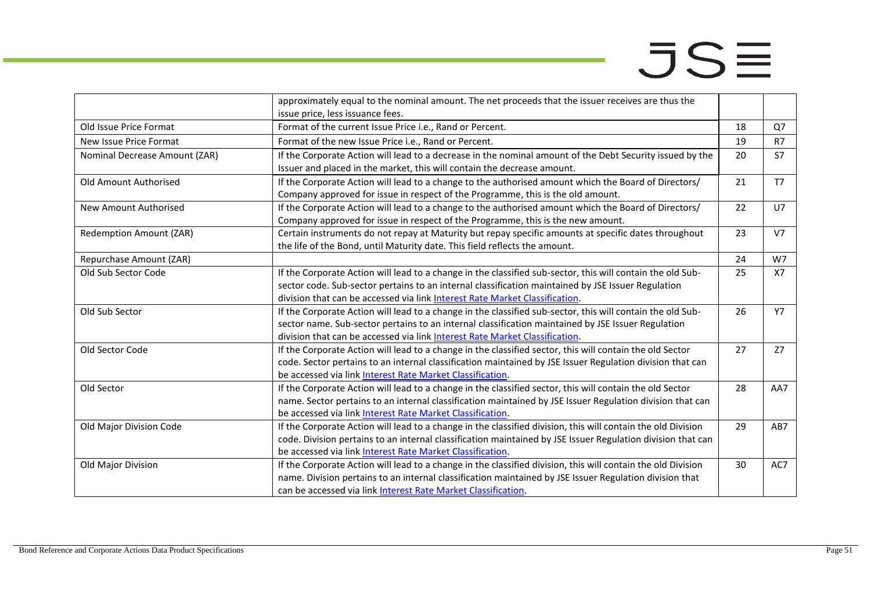|                               | approximately equal to the nominal amount. The net proceeds that the issuer receives are thus the            |    |                |
|-------------------------------|--------------------------------------------------------------------------------------------------------------|----|----------------|
|                               | issue price, less issuance fees.                                                                             |    |                |
| Old Issue Price Format        | Format of the current Issue Price i.e., Rand or Percent.                                                     | 18 | Q7             |
| New Issue Price Format        | Format of the new Issue Price i.e., Rand or Percent.                                                         | 19 | R7             |
| Nominal Decrease Amount (ZAR) | If the Corporate Action will lead to a decrease in the nominal amount of the Debt Security issued by the     | 20 | S7             |
|                               | Issuer and placed in the market, this will contain the decrease amount.                                      |    |                |
| Old Amount Authorised         | If the Corporate Action will lead to a change to the authorised amount which the Board of Directors/         | 21 | T <sub>7</sub> |
|                               | Company approved for issue in respect of the Programme, this is the old amount.                              |    |                |
| New Amount Authorised         | If the Corporate Action will lead to a change to the authorised amount which the Board of Directors/         | 22 | U7             |
|                               | Company approved for issue in respect of the Programme, this is the new amount.                              |    |                |
| Redemption Amount (ZAR)       | Certain instruments do not repay at Maturity but repay specific amounts at specific dates throughout         | 23 | V <sub>7</sub> |
|                               | the life of the Bond, until Maturity date. This field reflects the amount.                                   |    |                |
| Repurchase Amount (ZAR)       |                                                                                                              | 24 | W7             |
| Old Sub Sector Code           | If the Corporate Action will lead to a change in the classified sub-sector, this will contain the old Sub-   | 25 | <b>X7</b>      |
|                               | sector code. Sub-sector pertains to an internal classification maintained by JSE Issuer Regulation           |    |                |
|                               | division that can be accessed via link Interest Rate Market Classification.                                  |    |                |
| Old Sub Sector                | If the Corporate Action will lead to a change in the classified sub-sector, this will contain the old Sub-   | 26 | <b>Y7</b>      |
|                               | sector name. Sub-sector pertains to an internal classification maintained by JSE Issuer Regulation           |    |                |
|                               | division that can be accessed via link Interest Rate Market Classification.                                  |    |                |
| Old Sector Code               | If the Corporate Action will lead to a change in the classified sector, this will contain the old Sector     | 27 | Z7             |
|                               | code. Sector pertains to an internal classification maintained by JSE Issuer Regulation division that can    |    |                |
|                               | be accessed via link Interest Rate Market Classification.                                                    |    |                |
| Old Sector                    | If the Corporate Action will lead to a change in the classified sector, this will contain the old Sector     | 28 | AA7            |
|                               | name. Sector pertains to an internal classification maintained by JSE Issuer Regulation division that can    |    |                |
|                               | be accessed via link Interest Rate Market Classification.                                                    |    |                |
| Old Major Division Code       | If the Corporate Action will lead to a change in the classified division, this will contain the old Division | 29 | AB7            |
|                               | code. Division pertains to an internal classification maintained by JSE Issuer Regulation division that can  |    |                |
|                               | be accessed via link Interest Rate Market Classification.                                                    |    |                |
| Old Major Division            | If the Corporate Action will lead to a change in the classified division, this will contain the old Division | 30 | AC7            |
|                               | name. Division pertains to an internal classification maintained by JSE Issuer Regulation division that      |    |                |
|                               | can be accessed via link Interest Rate Market Classification.                                                |    |                |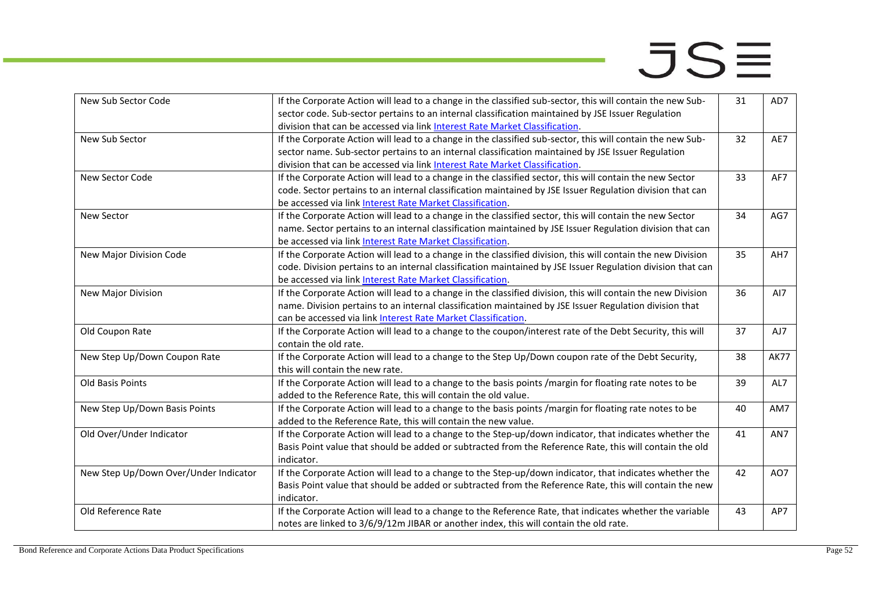| New Sub Sector Code                   | If the Corporate Action will lead to a change in the classified sub-sector, this will contain the new Sub-<br>sector code. Sub-sector pertains to an internal classification maintained by JSE Issuer Regulation                                                                                | 31 | AD7         |
|---------------------------------------|-------------------------------------------------------------------------------------------------------------------------------------------------------------------------------------------------------------------------------------------------------------------------------------------------|----|-------------|
|                                       | division that can be accessed via link Interest Rate Market Classification.                                                                                                                                                                                                                     |    |             |
| New Sub Sector                        | If the Corporate Action will lead to a change in the classified sub-sector, this will contain the new Sub-<br>sector name. Sub-sector pertains to an internal classification maintained by JSE Issuer Regulation<br>division that can be accessed via link Interest Rate Market Classification. | 32 | AE7         |
| New Sector Code                       | If the Corporate Action will lead to a change in the classified sector, this will contain the new Sector<br>code. Sector pertains to an internal classification maintained by JSE Issuer Regulation division that can<br>be accessed via link Interest Rate Market Classification.              | 33 | AF7         |
| New Sector                            | If the Corporate Action will lead to a change in the classified sector, this will contain the new Sector<br>name. Sector pertains to an internal classification maintained by JSE Issuer Regulation division that can<br>be accessed via link Interest Rate Market Classification.              | 34 | AG7         |
| New Major Division Code               | If the Corporate Action will lead to a change in the classified division, this will contain the new Division<br>code. Division pertains to an internal classification maintained by JSE Issuer Regulation division that can<br>be accessed via link Interest Rate Market Classification.        | 35 | AH7         |
| New Major Division                    | If the Corporate Action will lead to a change in the classified division, this will contain the new Division<br>name. Division pertains to an internal classification maintained by JSE Issuer Regulation division that<br>can be accessed via link Interest Rate Market Classification.        | 36 | AI7         |
| Old Coupon Rate                       | If the Corporate Action will lead to a change to the coupon/interest rate of the Debt Security, this will<br>contain the old rate.                                                                                                                                                              | 37 | AJ7         |
| New Step Up/Down Coupon Rate          | If the Corporate Action will lead to a change to the Step Up/Down coupon rate of the Debt Security,<br>this will contain the new rate.                                                                                                                                                          | 38 | <b>AK77</b> |
| Old Basis Points                      | If the Corporate Action will lead to a change to the basis points /margin for floating rate notes to be<br>added to the Reference Rate, this will contain the old value.                                                                                                                        | 39 | AL7         |
| New Step Up/Down Basis Points         | If the Corporate Action will lead to a change to the basis points /margin for floating rate notes to be<br>added to the Reference Rate, this will contain the new value.                                                                                                                        | 40 | AM7         |
| Old Over/Under Indicator              | If the Corporate Action will lead to a change to the Step-up/down indicator, that indicates whether the<br>Basis Point value that should be added or subtracted from the Reference Rate, this will contain the old<br>indicator.                                                                | 41 | AN7         |
| New Step Up/Down Over/Under Indicator | If the Corporate Action will lead to a change to the Step-up/down indicator, that indicates whether the<br>Basis Point value that should be added or subtracted from the Reference Rate, this will contain the new<br>indicator.                                                                | 42 | AO7         |
| Old Reference Rate                    | If the Corporate Action will lead to a change to the Reference Rate, that indicates whether the variable<br>notes are linked to 3/6/9/12m JIBAR or another index, this will contain the old rate.                                                                                               | 43 | AP7         |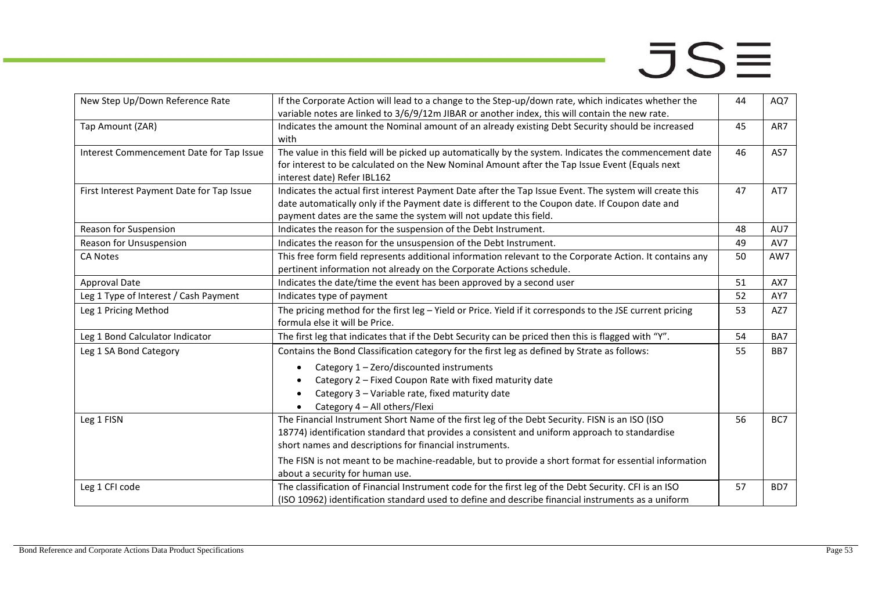| New Step Up/Down Reference Rate           | If the Corporate Action will lead to a change to the Step-up/down rate, which indicates whether the<br>variable notes are linked to 3/6/9/12m JIBAR or another index, this will contain the new rate.                                                                                                                                                                                                  | 44 | AQ7 |
|-------------------------------------------|--------------------------------------------------------------------------------------------------------------------------------------------------------------------------------------------------------------------------------------------------------------------------------------------------------------------------------------------------------------------------------------------------------|----|-----|
| Tap Amount (ZAR)                          | Indicates the amount the Nominal amount of an already existing Debt Security should be increased<br>with                                                                                                                                                                                                                                                                                               | 45 | AR7 |
| Interest Commencement Date for Tap Issue  | The value in this field will be picked up automatically by the system. Indicates the commencement date<br>for interest to be calculated on the New Nominal Amount after the Tap Issue Event (Equals next<br>interest date) Refer IBL162                                                                                                                                                                | 46 | AS7 |
| First Interest Payment Date for Tap Issue | Indicates the actual first interest Payment Date after the Tap Issue Event. The system will create this<br>date automatically only if the Payment date is different to the Coupon date. If Coupon date and<br>payment dates are the same the system will not update this field.                                                                                                                        | 47 | AT7 |
| Reason for Suspension                     | Indicates the reason for the suspension of the Debt Instrument.                                                                                                                                                                                                                                                                                                                                        | 48 | AU7 |
| Reason for Unsuspension                   | Indicates the reason for the unsuspension of the Debt Instrument.                                                                                                                                                                                                                                                                                                                                      | 49 | AV7 |
| <b>CA Notes</b>                           | This free form field represents additional information relevant to the Corporate Action. It contains any<br>pertinent information not already on the Corporate Actions schedule.                                                                                                                                                                                                                       | 50 | AW7 |
| Approval Date                             | Indicates the date/time the event has been approved by a second user                                                                                                                                                                                                                                                                                                                                   | 51 | AX7 |
| Leg 1 Type of Interest / Cash Payment     | Indicates type of payment                                                                                                                                                                                                                                                                                                                                                                              | 52 | AY7 |
| Leg 1 Pricing Method                      | The pricing method for the first leg - Yield or Price. Yield if it corresponds to the JSE current pricing<br>formula else it will be Price.                                                                                                                                                                                                                                                            | 53 | AZ7 |
| Leg 1 Bond Calculator Indicator           | The first leg that indicates that if the Debt Security can be priced then this is flagged with "Y".                                                                                                                                                                                                                                                                                                    | 54 | BA7 |
| Leg 1 SA Bond Category                    | Contains the Bond Classification category for the first leg as defined by Strate as follows:                                                                                                                                                                                                                                                                                                           | 55 | BB7 |
|                                           | Category 1 - Zero/discounted instruments<br>$\bullet$<br>Category 2 - Fixed Coupon Rate with fixed maturity date<br>Category 3 - Variable rate, fixed maturity date<br>Category 4 - All others/Flexi                                                                                                                                                                                                   |    |     |
| Leg 1 FISN                                | The Financial Instrument Short Name of the first leg of the Debt Security. FISN is an ISO (ISO<br>18774) identification standard that provides a consistent and uniform approach to standardise<br>short names and descriptions for financial instruments.<br>The FISN is not meant to be machine-readable, but to provide a short format for essential information<br>about a security for human use. | 56 | BC7 |
| Leg 1 CFI code                            | The classification of Financial Instrument code for the first leg of the Debt Security. CFI is an ISO<br>(ISO 10962) identification standard used to define and describe financial instruments as a uniform                                                                                                                                                                                            | 57 | BD7 |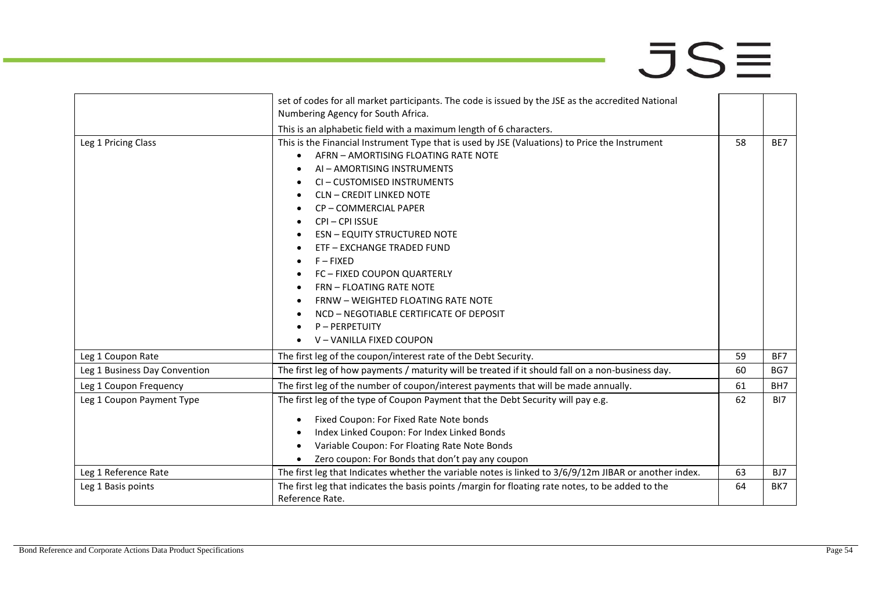|                               | set of codes for all market participants. The code is issued by the JSE as the accredited National     |    |                 |
|-------------------------------|--------------------------------------------------------------------------------------------------------|----|-----------------|
|                               | Numbering Agency for South Africa.                                                                     |    |                 |
|                               | This is an alphabetic field with a maximum length of 6 characters.                                     |    |                 |
| Leg 1 Pricing Class           | This is the Financial Instrument Type that is used by JSE (Valuations) to Price the Instrument         | 58 | BE7             |
|                               | AFRN - AMORTISING FLOATING RATE NOTE                                                                   |    |                 |
|                               | AI - AMORTISING INSTRUMENTS                                                                            |    |                 |
|                               | CI-CUSTOMISED INSTRUMENTS                                                                              |    |                 |
|                               | <b>CLN - CREDIT LINKED NOTE</b><br>٠                                                                   |    |                 |
|                               | CP-COMMERCIAL PAPER                                                                                    |    |                 |
|                               | CPI-CPI ISSUE                                                                                          |    |                 |
|                               | <b>ESN - EQUITY STRUCTURED NOTE</b>                                                                    |    |                 |
|                               | ETF - EXCHANGE TRADED FUND                                                                             |    |                 |
|                               | $F - FIXED$                                                                                            |    |                 |
|                               | FC - FIXED COUPON QUARTERLY                                                                            |    |                 |
|                               | <b>FRN - FLOATING RATE NOTE</b>                                                                        |    |                 |
|                               | FRNW - WEIGHTED FLOATING RATE NOTE                                                                     |    |                 |
|                               | NCD - NEGOTIABLE CERTIFICATE OF DEPOSIT                                                                |    |                 |
|                               | P-PERPETUITY                                                                                           |    |                 |
|                               | V-VANILLA FIXED COUPON                                                                                 |    |                 |
| Leg 1 Coupon Rate             | The first leg of the coupon/interest rate of the Debt Security.                                        | 59 | BF7             |
| Leg 1 Business Day Convention | The first leg of how payments / maturity will be treated if it should fall on a non-business day.      | 60 | BG7             |
| Leg 1 Coupon Frequency        | The first leg of the number of coupon/interest payments that will be made annually.                    | 61 | BH <sub>7</sub> |
| Leg 1 Coupon Payment Type     | The first leg of the type of Coupon Payment that the Debt Security will pay e.g.                       | 62 | BI7             |
|                               | Fixed Coupon: For Fixed Rate Note bonds<br>$\bullet$                                                   |    |                 |
|                               | Index Linked Coupon: For Index Linked Bonds                                                            |    |                 |
|                               | Variable Coupon: For Floating Rate Note Bonds                                                          |    |                 |
|                               | Zero coupon: For Bonds that don't pay any coupon                                                       |    |                 |
| Leg 1 Reference Rate          | The first leg that Indicates whether the variable notes is linked to 3/6/9/12m JIBAR or another index. | 63 | BJ7             |
| Leg 1 Basis points            | The first leg that indicates the basis points /margin for floating rate notes, to be added to the      | 64 | BK7             |
|                               | Reference Rate.                                                                                        |    |                 |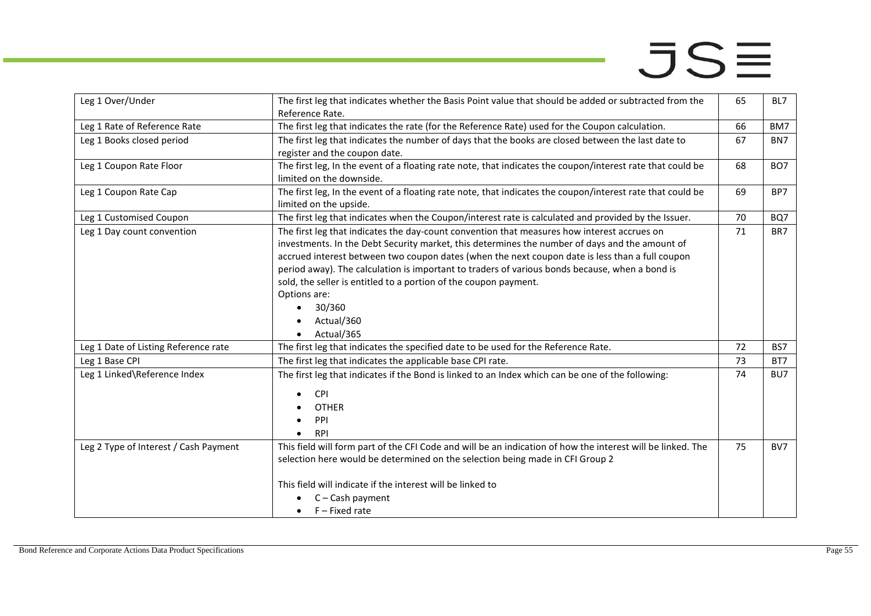| Leg 1 Over/Under                      | The first leg that indicates whether the Basis Point value that should be added or subtracted from the<br>Reference Rate.                                                                                                                                                                                                                                                                                                                                                                                                                              | 65 | BL7             |
|---------------------------------------|--------------------------------------------------------------------------------------------------------------------------------------------------------------------------------------------------------------------------------------------------------------------------------------------------------------------------------------------------------------------------------------------------------------------------------------------------------------------------------------------------------------------------------------------------------|----|-----------------|
| Leg 1 Rate of Reference Rate          | The first leg that indicates the rate (for the Reference Rate) used for the Coupon calculation.                                                                                                                                                                                                                                                                                                                                                                                                                                                        | 66 | BM7             |
| Leg 1 Books closed period             | The first leg that indicates the number of days that the books are closed between the last date to<br>register and the coupon date.                                                                                                                                                                                                                                                                                                                                                                                                                    | 67 | BN7             |
| Leg 1 Coupon Rate Floor               | The first leg, In the event of a floating rate note, that indicates the coupon/interest rate that could be<br>limited on the downside.                                                                                                                                                                                                                                                                                                                                                                                                                 | 68 | BO <sub>7</sub> |
| Leg 1 Coupon Rate Cap                 | The first leg, In the event of a floating rate note, that indicates the coupon/interest rate that could be<br>limited on the upside.                                                                                                                                                                                                                                                                                                                                                                                                                   | 69 | BP7             |
| Leg 1 Customised Coupon               | The first leg that indicates when the Coupon/interest rate is calculated and provided by the Issuer.                                                                                                                                                                                                                                                                                                                                                                                                                                                   | 70 | BQ7             |
| Leg 1 Day count convention            | The first leg that indicates the day-count convention that measures how interest accrues on<br>investments. In the Debt Security market, this determines the number of days and the amount of<br>accrued interest between two coupon dates (when the next coupon date is less than a full coupon<br>period away). The calculation is important to traders of various bonds because, when a bond is<br>sold, the seller is entitled to a portion of the coupon payment.<br>Options are:<br>30/360<br>$\bullet$<br>Actual/360<br>Actual/365<br>$\bullet$ | 71 | BR7             |
| Leg 1 Date of Listing Reference rate  | The first leg that indicates the specified date to be used for the Reference Rate.                                                                                                                                                                                                                                                                                                                                                                                                                                                                     | 72 | BS7             |
| Leg 1 Base CPI                        | The first leg that indicates the applicable base CPI rate.                                                                                                                                                                                                                                                                                                                                                                                                                                                                                             | 73 | BT7             |
| Leg 1 Linked\Reference Index          | The first leg that indicates if the Bond is linked to an Index which can be one of the following:<br><b>CPI</b><br><b>OTHER</b><br>PPI<br><b>RPI</b>                                                                                                                                                                                                                                                                                                                                                                                                   | 74 | BU7             |
| Leg 2 Type of Interest / Cash Payment | This field will form part of the CFI Code and will be an indication of how the interest will be linked. The<br>selection here would be determined on the selection being made in CFI Group 2<br>This field will indicate if the interest will be linked to<br>$C - Cash$ payment<br>$F$ – Fixed rate<br>$\bullet$                                                                                                                                                                                                                                      | 75 | BV7             |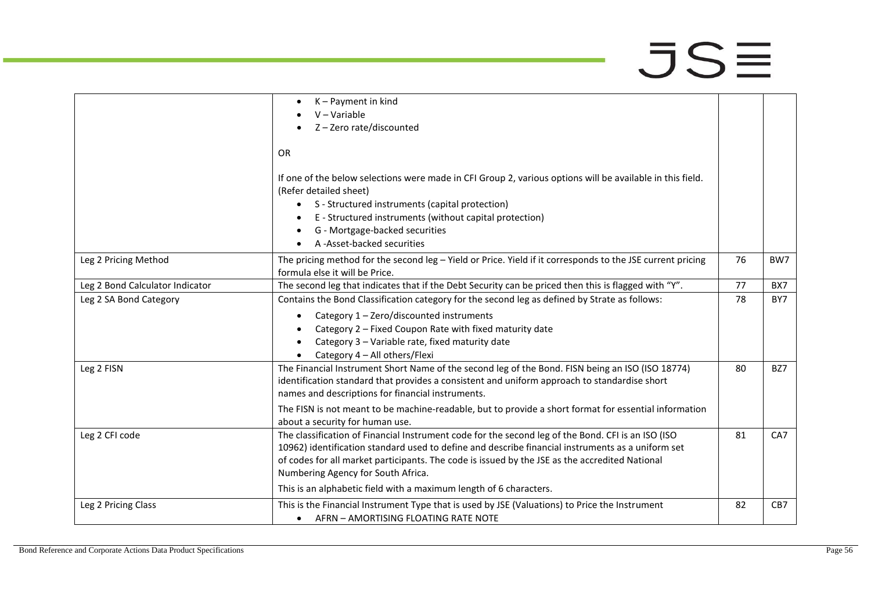|                                 | K-Payment in kind<br>$\bullet$                                                                                                                                                                                                                                                                                                                  |    |     |
|---------------------------------|-------------------------------------------------------------------------------------------------------------------------------------------------------------------------------------------------------------------------------------------------------------------------------------------------------------------------------------------------|----|-----|
|                                 | $V - Variable$                                                                                                                                                                                                                                                                                                                                  |    |     |
|                                 | Z-Zero rate/discounted                                                                                                                                                                                                                                                                                                                          |    |     |
|                                 | <b>OR</b>                                                                                                                                                                                                                                                                                                                                       |    |     |
|                                 | If one of the below selections were made in CFI Group 2, various options will be available in this field.<br>(Refer detailed sheet)<br>• S - Structured instruments (capital protection)<br>E - Structured instruments (without capital protection)                                                                                             |    |     |
|                                 | G - Mortgage-backed securities                                                                                                                                                                                                                                                                                                                  |    |     |
|                                 | A -Asset-backed securities                                                                                                                                                                                                                                                                                                                      |    |     |
| Leg 2 Pricing Method            | The pricing method for the second leg - Yield or Price. Yield if it corresponds to the JSE current pricing<br>formula else it will be Price.                                                                                                                                                                                                    | 76 | BW7 |
| Leg 2 Bond Calculator Indicator | The second leg that indicates that if the Debt Security can be priced then this is flagged with "Y".                                                                                                                                                                                                                                            | 77 | BX7 |
| Leg 2 SA Bond Category          | Contains the Bond Classification category for the second leg as defined by Strate as follows:                                                                                                                                                                                                                                                   | 78 | BY7 |
|                                 | Category 1 - Zero/discounted instruments<br>$\bullet$                                                                                                                                                                                                                                                                                           |    |     |
|                                 | Category 2 - Fixed Coupon Rate with fixed maturity date                                                                                                                                                                                                                                                                                         |    |     |
|                                 | Category 3 - Variable rate, fixed maturity date                                                                                                                                                                                                                                                                                                 |    |     |
|                                 | Category 4 - All others/Flexi                                                                                                                                                                                                                                                                                                                   |    |     |
| Leg 2 FISN                      | The Financial Instrument Short Name of the second leg of the Bond. FISN being an ISO (ISO 18774)<br>identification standard that provides a consistent and uniform approach to standardise short<br>names and descriptions for financial instruments.                                                                                           | 80 | BZ7 |
|                                 | The FISN is not meant to be machine-readable, but to provide a short format for essential information<br>about a security for human use.                                                                                                                                                                                                        |    |     |
| Leg 2 CFI code                  | The classification of Financial Instrument code for the second leg of the Bond. CFI is an ISO (ISO<br>10962) identification standard used to define and describe financial instruments as a uniform set<br>of codes for all market participants. The code is issued by the JSE as the accredited National<br>Numbering Agency for South Africa. | 81 | CA7 |
|                                 | This is an alphabetic field with a maximum length of 6 characters.                                                                                                                                                                                                                                                                              |    |     |
| Leg 2 Pricing Class             | This is the Financial Instrument Type that is used by JSE (Valuations) to Price the Instrument<br>• AFRN - AMORTISING FLOATING RATE NOTE                                                                                                                                                                                                        | 82 | CB7 |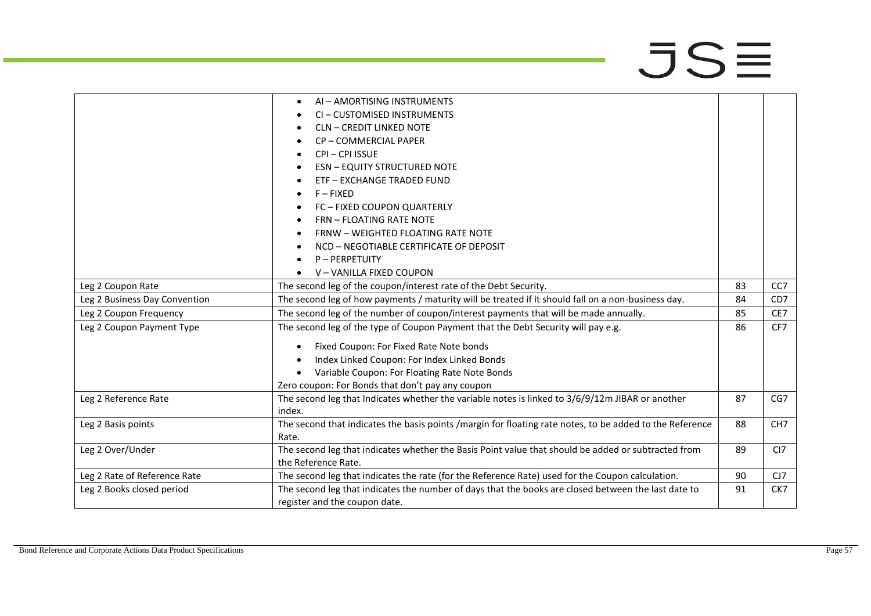|                               | AI - AMORTISING INSTRUMENTS<br>$\bullet$                                                                 |    |                 |
|-------------------------------|----------------------------------------------------------------------------------------------------------|----|-----------------|
|                               | CI-CUSTOMISED INSTRUMENTS                                                                                |    |                 |
|                               | <b>CLN - CREDIT LINKED NOTE</b>                                                                          |    |                 |
|                               | CP-COMMERCIAL PAPER<br>٠                                                                                 |    |                 |
|                               | CPI-CPI ISSUE                                                                                            |    |                 |
|                               | <b>ESN - EQUITY STRUCTURED NOTE</b>                                                                      |    |                 |
|                               | ETF - EXCHANGE TRADED FUND                                                                               |    |                 |
|                               | $F - FIXED$                                                                                              |    |                 |
|                               | FC - FIXED COUPON QUARTERLY                                                                              |    |                 |
|                               | <b>FRN - FLOATING RATE NOTE</b>                                                                          |    |                 |
|                               | <b>FRNW - WEIGHTED FLOATING RATE NOTE</b>                                                                |    |                 |
|                               | NCD - NEGOTIABLE CERTIFICATE OF DEPOSIT                                                                  |    |                 |
|                               | <b>P-PERPETUITY</b>                                                                                      |    |                 |
|                               | V-VANILLA FIXED COUPON                                                                                   |    |                 |
| Leg 2 Coupon Rate             | The second leg of the coupon/interest rate of the Debt Security.                                         | 83 | CC <sub>7</sub> |
| Leg 2 Business Day Convention | The second leg of how payments / maturity will be treated if it should fall on a non-business day.       | 84 | CD <sub>7</sub> |
| Leg 2 Coupon Frequency        | The second leg of the number of coupon/interest payments that will be made annually.                     | 85 | CE7             |
| Leg 2 Coupon Payment Type     | The second leg of the type of Coupon Payment that the Debt Security will pay e.g.                        | 86 | CF7             |
|                               | Fixed Coupon: For Fixed Rate Note bonds                                                                  |    |                 |
|                               | Index Linked Coupon: For Index Linked Bonds                                                              |    |                 |
|                               | Variable Coupon: For Floating Rate Note Bonds                                                            |    |                 |
|                               | Zero coupon: For Bonds that don't pay any coupon                                                         |    |                 |
| Leg 2 Reference Rate          | The second leg that Indicates whether the variable notes is linked to 3/6/9/12m JIBAR or another         | 87 | CG7             |
|                               | index.                                                                                                   |    |                 |
| Leg 2 Basis points            | The second that indicates the basis points /margin for floating rate notes, to be added to the Reference | 88 | CH <sub>7</sub> |
|                               | Rate.                                                                                                    |    |                 |
| Leg 2 Over/Under              | The second leg that indicates whether the Basis Point value that should be added or subtracted from      | 89 | CI <sub>7</sub> |
|                               | the Reference Rate.                                                                                      |    |                 |
| Leg 2 Rate of Reference Rate  | The second leg that indicates the rate (for the Reference Rate) used for the Coupon calculation.         | 90 | CJ7             |
| Leg 2 Books closed period     | The second leg that indicates the number of days that the books are closed between the last date to      | 91 | CK7             |
|                               | register and the coupon date.                                                                            |    |                 |
|                               |                                                                                                          |    |                 |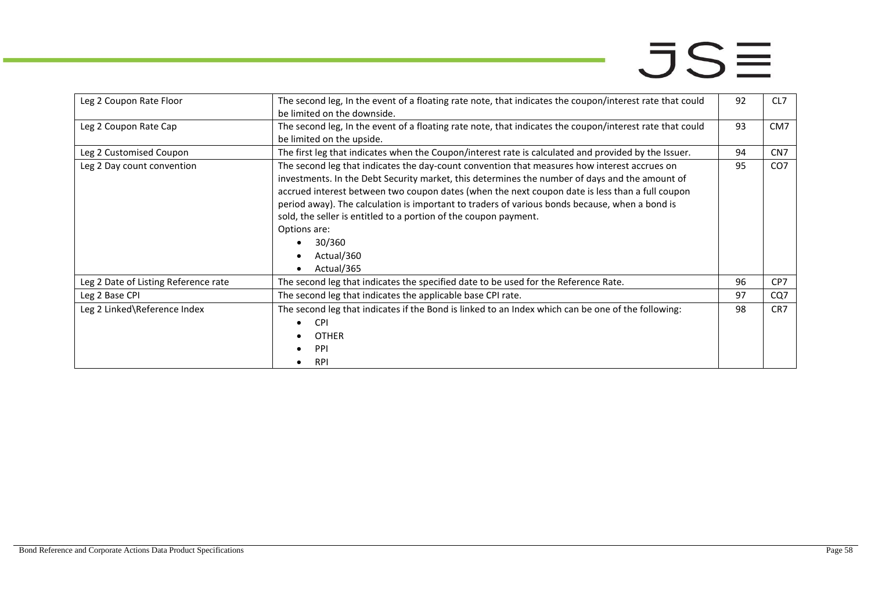| Leg 2 Coupon Rate Floor              | The second leg, In the event of a floating rate note, that indicates the coupon/interest rate that could<br>be limited on the downside.                                                                                                                                                                                                                                                                                                                                                                                       | 92 | CL7             |
|--------------------------------------|-------------------------------------------------------------------------------------------------------------------------------------------------------------------------------------------------------------------------------------------------------------------------------------------------------------------------------------------------------------------------------------------------------------------------------------------------------------------------------------------------------------------------------|----|-----------------|
| Leg 2 Coupon Rate Cap                | The second leg, In the event of a floating rate note, that indicates the coupon/interest rate that could<br>be limited on the upside.                                                                                                                                                                                                                                                                                                                                                                                         | 93 | CM <sub>7</sub> |
| Leg 2 Customised Coupon              | The first leg that indicates when the Coupon/interest rate is calculated and provided by the Issuer.                                                                                                                                                                                                                                                                                                                                                                                                                          | 94 | CN <sub>7</sub> |
| Leg 2 Day count convention           | The second leg that indicates the day-count convention that measures how interest accrues on<br>investments. In the Debt Security market, this determines the number of days and the amount of<br>accrued interest between two coupon dates (when the next coupon date is less than a full coupon<br>period away). The calculation is important to traders of various bonds because, when a bond is<br>sold, the seller is entitled to a portion of the coupon payment.<br>Options are:<br>30/360<br>Actual/360<br>Actual/365 | 95 | CO <sub>7</sub> |
| Leg 2 Date of Listing Reference rate | The second leg that indicates the specified date to be used for the Reference Rate.                                                                                                                                                                                                                                                                                                                                                                                                                                           | 96 | CP7             |
| Leg 2 Base CPI                       | The second leg that indicates the applicable base CPI rate.                                                                                                                                                                                                                                                                                                                                                                                                                                                                   | 97 | CQ7             |
| Leg 2 Linked\Reference Index         | The second leg that indicates if the Bond is linked to an Index which can be one of the following:<br><b>CPI</b><br><b>OTHER</b><br><b>PPI</b><br><b>RPI</b>                                                                                                                                                                                                                                                                                                                                                                  | 98 | CR <sub>7</sub> |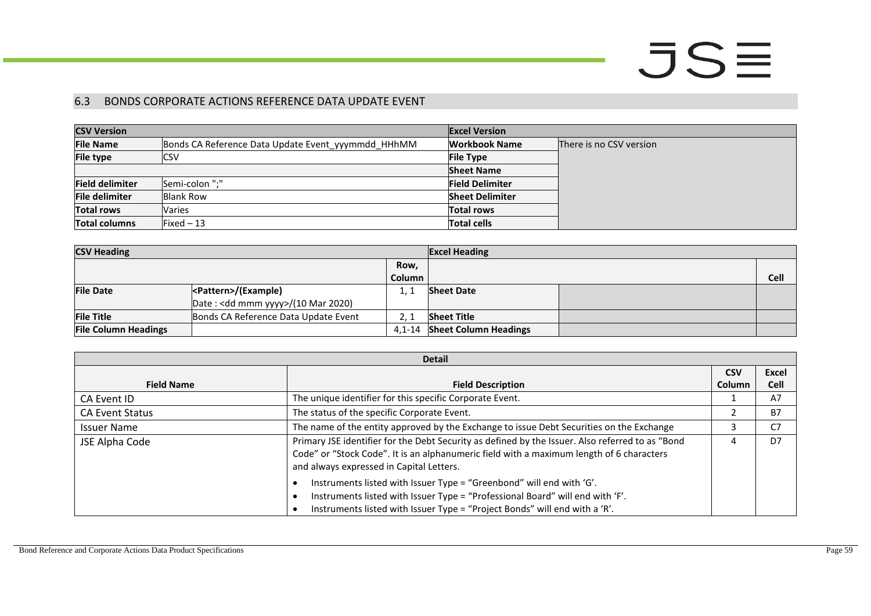### 6.3 BONDS CORPORATE ACTIONS REFERENCE DATA UPDATE EVENT

| <b>CSV Version</b>     |                                                    | <b>Excel Version</b>   |                         |
|------------------------|----------------------------------------------------|------------------------|-------------------------|
| <b>File Name</b>       | Bonds CA Reference Data Update Event yyymmdd HHhMM | <b>Workbook Name</b>   | There is no CSV version |
| <b>File type</b>       | CSV                                                | <b>File Type</b>       |                         |
|                        |                                                    | <b>Sheet Name</b>      |                         |
| <b>Field delimiter</b> | Semi-colon ":"                                     | <b>Field Delimiter</b> |                         |
| <b>File delimiter</b>  | Blank Row                                          | <b>Sheet Delimiter</b> |                         |
| <b>Total rows</b>      | Varies                                             | <b>Total rows</b>      |                         |
| <b>Total columns</b>   | Fixed – 13                                         | <b>Total cells</b>     |                         |

| <b>CSV Heading</b>          |                                              | <b>Excel Heading</b> |                              |      |
|-----------------------------|----------------------------------------------|----------------------|------------------------------|------|
|                             |                                              | Row,                 |                              |      |
|                             |                                              | Column               |                              | Cell |
| <b>File Date</b>            | <pattern>/(Example)</pattern>                |                      | <b>Sheet Date</b>            |      |
|                             | Date: <dd mmm="" yyyy="">/(10 Mar 2020)</dd> |                      |                              |      |
| <b>File Title</b>           | Bonds CA Reference Data Update Event         |                      | <b>Sheet Title</b>           |      |
| <b>File Column Headings</b> |                                              | $4.1 - 14$           | <b>Sheet Column Headings</b> |      |

<span id="page-58-0"></span>

| <b>Detail</b>          |                                                                                                                                                                                                                                          |            |             |
|------------------------|------------------------------------------------------------------------------------------------------------------------------------------------------------------------------------------------------------------------------------------|------------|-------------|
|                        |                                                                                                                                                                                                                                          | <b>CSV</b> | Excel       |
| <b>Field Name</b>      | <b>Field Description</b>                                                                                                                                                                                                                 | Column     | <b>Cell</b> |
| CA Event ID            | The unique identifier for this specific Corporate Event.                                                                                                                                                                                 |            | A7          |
| <b>CA Event Status</b> | The status of the specific Corporate Event.                                                                                                                                                                                              |            | <b>B7</b>   |
| <b>Issuer Name</b>     | The name of the entity approved by the Exchange to issue Debt Securities on the Exchange                                                                                                                                                 |            | C7          |
| JSE Alpha Code         | Primary JSE identifier for the Debt Security as defined by the Issuer. Also referred to as "Bond<br>Code" or "Stock Code". It is an alphanumeric field with a maximum length of 6 characters<br>and always expressed in Capital Letters. | 4          | D7          |
|                        | Instruments listed with Issuer Type = "Greenbond" will end with 'G'.<br>Instruments listed with Issuer Type = "Professional Board" will end with 'F'.<br>Instruments listed with Issuer Type = "Project Bonds" will end with a 'R'.      |            |             |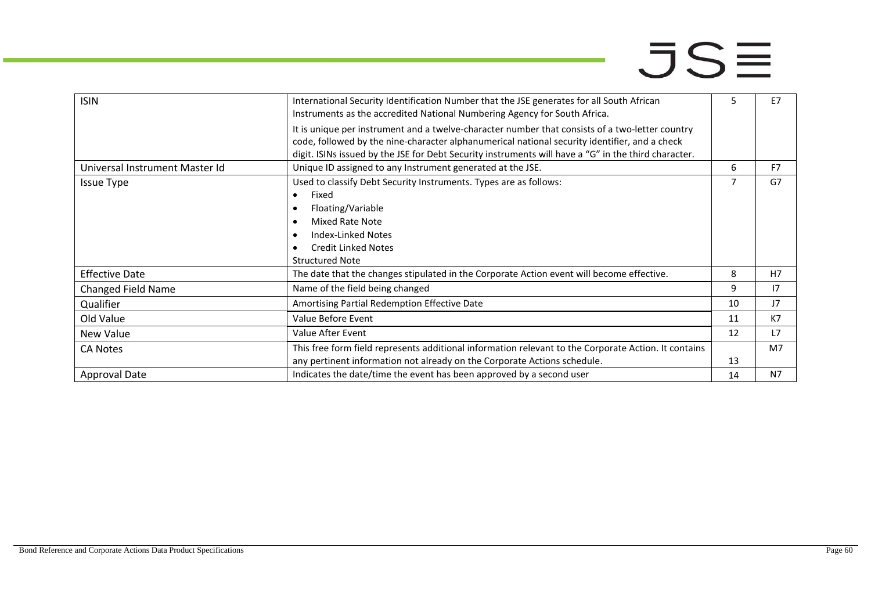| <b>ISIN</b><br>International Security Identification Number that the JSE generates for all South African<br>5<br>Instruments as the accredited National Numbering Agency for South Africa.<br>It is unique per instrument and a twelve-character number that consists of a two-letter country<br>code, followed by the nine-character alphanumerical national security identifier, and a check<br>digit. ISINs issued by the JSE for Debt Security instruments will have a "G" in the third character.<br>Unique ID assigned to any Instrument generated at the JSE.<br>Universal Instrument Master Id<br>6<br>Used to classify Debt Security Instruments. Types are as follows:<br><b>Issue Type</b><br>Fixed<br>$\bullet$<br>Floating/Variable<br>Mixed Rate Note<br>Index-Linked Notes |                |
|-------------------------------------------------------------------------------------------------------------------------------------------------------------------------------------------------------------------------------------------------------------------------------------------------------------------------------------------------------------------------------------------------------------------------------------------------------------------------------------------------------------------------------------------------------------------------------------------------------------------------------------------------------------------------------------------------------------------------------------------------------------------------------------------|----------------|
|                                                                                                                                                                                                                                                                                                                                                                                                                                                                                                                                                                                                                                                                                                                                                                                           | E7             |
|                                                                                                                                                                                                                                                                                                                                                                                                                                                                                                                                                                                                                                                                                                                                                                                           |                |
|                                                                                                                                                                                                                                                                                                                                                                                                                                                                                                                                                                                                                                                                                                                                                                                           | F7             |
|                                                                                                                                                                                                                                                                                                                                                                                                                                                                                                                                                                                                                                                                                                                                                                                           | G7             |
|                                                                                                                                                                                                                                                                                                                                                                                                                                                                                                                                                                                                                                                                                                                                                                                           |                |
|                                                                                                                                                                                                                                                                                                                                                                                                                                                                                                                                                                                                                                                                                                                                                                                           |                |
|                                                                                                                                                                                                                                                                                                                                                                                                                                                                                                                                                                                                                                                                                                                                                                                           |                |
|                                                                                                                                                                                                                                                                                                                                                                                                                                                                                                                                                                                                                                                                                                                                                                                           |                |
| <b>Credit Linked Notes</b>                                                                                                                                                                                                                                                                                                                                                                                                                                                                                                                                                                                                                                                                                                                                                                |                |
| <b>Structured Note</b>                                                                                                                                                                                                                                                                                                                                                                                                                                                                                                                                                                                                                                                                                                                                                                    |                |
| <b>Effective Date</b><br>The date that the changes stipulated in the Corporate Action event will become effective.<br>8                                                                                                                                                                                                                                                                                                                                                                                                                                                                                                                                                                                                                                                                   | H <sub>7</sub> |
| Name of the field being changed<br>9<br><b>Changed Field Name</b>                                                                                                                                                                                                                                                                                                                                                                                                                                                                                                                                                                                                                                                                                                                         | 17             |
| Amortising Partial Redemption Effective Date<br>10<br>Qualifier                                                                                                                                                                                                                                                                                                                                                                                                                                                                                                                                                                                                                                                                                                                           | J7             |
| Old Value<br>Value Before Event<br>11                                                                                                                                                                                                                                                                                                                                                                                                                                                                                                                                                                                                                                                                                                                                                     | K7             |
| Value After Event<br>12<br>New Value                                                                                                                                                                                                                                                                                                                                                                                                                                                                                                                                                                                                                                                                                                                                                      | L7             |
| This free form field represents additional information relevant to the Corporate Action. It contains<br><b>CA Notes</b>                                                                                                                                                                                                                                                                                                                                                                                                                                                                                                                                                                                                                                                                   | M7             |
| any pertinent information not already on the Corporate Actions schedule.<br>13                                                                                                                                                                                                                                                                                                                                                                                                                                                                                                                                                                                                                                                                                                            |                |
| Indicates the date/time the event has been approved by a second user<br>Approval Date<br>14                                                                                                                                                                                                                                                                                                                                                                                                                                                                                                                                                                                                                                                                                               | N7             |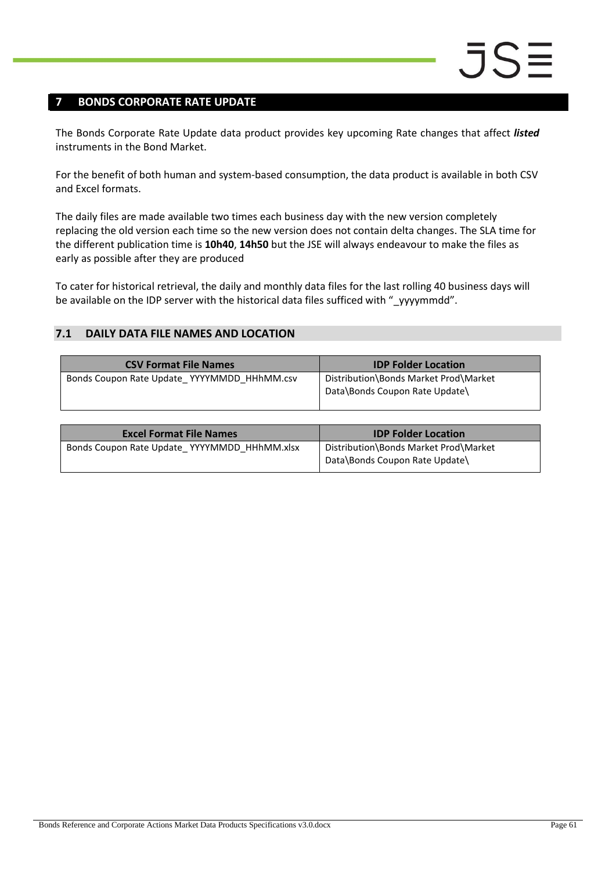### <span id="page-60-0"></span>**7 BONDS CORPORATE RATE UPDATE**

The Bonds Corporate Rate Update data product provides key upcoming Rate changes that affect *listed* instruments in the Bond Market.

For the benefit of both human and system-based consumption, the data product is available in both CSV and Excel formats.

The daily files are made available two times each business day with the new version completely replacing the old version each time so the new version does not contain delta changes. The SLA time for the different publication time is **10h40**, **14h50** but the JSE will always endeavour to make the files as early as possible after they are produced

To cater for historical retrieval, the daily and monthly data files for the last rolling 40 business days will be available on the IDP server with the historical data files sufficed with "\_yyyymmdd".

### <span id="page-60-1"></span>**7.1 DAILY DATA FILE NAMES AND LOCATION**

| <b>CSV Format File Names</b>                | <b>IDP Folder Location</b>                                              |
|---------------------------------------------|-------------------------------------------------------------------------|
| Bonds Coupon Rate Update YYYYMMDD HHhMM.csv | Distribution\Bonds Market Prod\Market<br>Data\Bonds Coupon Rate Update\ |

| <b>Excel Format File Names</b>               | <b>IDP Folder Location</b>                                              |
|----------------------------------------------|-------------------------------------------------------------------------|
| Bonds Coupon Rate Update YYYYMMDD HHhMM.xlsx | Distribution\Bonds Market Prod\Market<br>Data\Bonds Coupon Rate Update\ |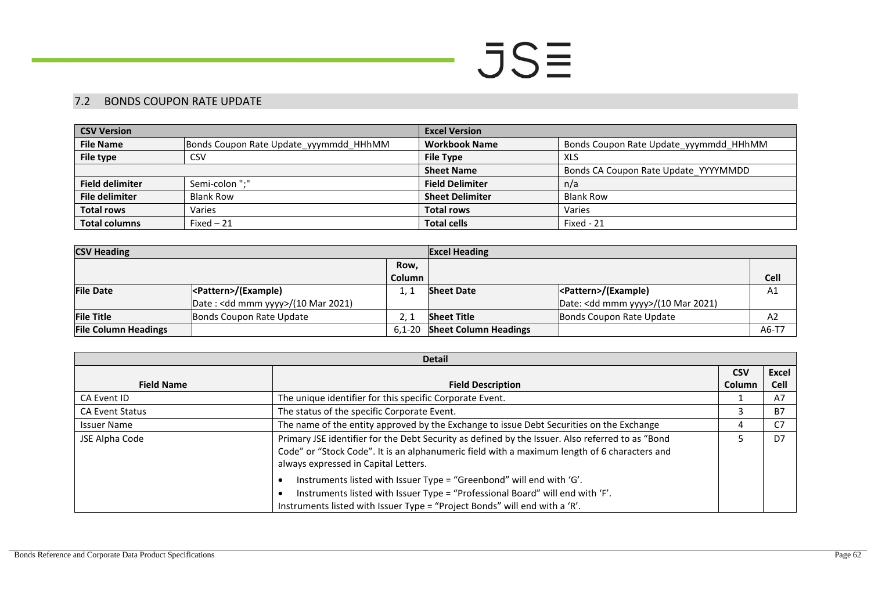### $JSE$

#### 7.2 BONDS COUPON RATE UPDATE

| <b>CSV Version</b>     |                                        | <b>Excel Version</b>   |                                        |  |
|------------------------|----------------------------------------|------------------------|----------------------------------------|--|
| <b>File Name</b>       | Bonds Coupon Rate Update yyymmdd HHhMM | <b>Workbook Name</b>   | Bonds Coupon Rate Update yyymmdd HHhMM |  |
| File type              | CSV                                    | <b>File Type</b>       | XLS                                    |  |
|                        |                                        | <b>Sheet Name</b>      | Bonds CA Coupon Rate Update YYYYMMDD   |  |
| <b>Field delimiter</b> | Semi-colon ";"                         | <b>Field Delimiter</b> | n/a                                    |  |
| <b>File delimiter</b>  | <b>Blank Row</b>                       | <b>Sheet Delimiter</b> | <b>Blank Row</b>                       |  |
| <b>Total rows</b>      | Varies                                 | <b>Total rows</b>      | Varies                                 |  |
| <b>Total columns</b>   | Fixed $-21$                            | <b>Total cells</b>     | Fixed - 21                             |  |

| <b>CSV Heading</b>          |                                              |            | <b>Excel Heading</b>         |                                              |             |
|-----------------------------|----------------------------------------------|------------|------------------------------|----------------------------------------------|-------------|
|                             |                                              | Row,       |                              |                                              |             |
|                             |                                              | Column     |                              |                                              | <b>Cell</b> |
| <b>File Date</b>            | <pattern>/(Example)</pattern>                |            | <b>Sheet Date</b>            | <pattern>/(Example)</pattern>                | A1          |
|                             | Date: <dd mmm="" yyyy="">/(10 Mar 2021)</dd> |            |                              | Date: <dd mmm="" yyyy="">/(10 Mar 2021)</dd> |             |
| <b>File Title</b>           | Bonds Coupon Rate Update                     |            | <b>Sheet Title</b>           | Bonds Coupon Rate Update                     | A2          |
| <b>File Column Headings</b> |                                              | $6.1 - 20$ | <b>Sheet Column Headings</b> |                                              | A6-T7       |

<span id="page-61-0"></span>

| <b>Detail</b>          |                                                                                                                                                                                                                                          |            |                |
|------------------------|------------------------------------------------------------------------------------------------------------------------------------------------------------------------------------------------------------------------------------------|------------|----------------|
|                        |                                                                                                                                                                                                                                          | <b>CSV</b> | <b>Excel</b>   |
| <b>Field Name</b>      | <b>Field Description</b>                                                                                                                                                                                                                 | Column     | <b>Cell</b>    |
| CA Event ID            | The unique identifier for this specific Corporate Event.                                                                                                                                                                                 |            | A7             |
| <b>CA Event Status</b> | The status of the specific Corporate Event.                                                                                                                                                                                              |            | <b>B7</b>      |
| <b>Issuer Name</b>     | The name of the entity approved by the Exchange to issue Debt Securities on the Exchange                                                                                                                                                 |            | C7             |
| JSE Alpha Code         | Primary JSE identifier for the Debt Security as defined by the Issuer. Also referred to as "Bond<br>Code" or "Stock Code". It is an alphanumeric field with a maximum length of 6 characters and<br>always expressed in Capital Letters. |            | D <sub>7</sub> |
|                        | Instruments listed with Issuer Type = "Greenbond" will end with 'G'.<br>Instruments listed with Issuer Type = "Professional Board" will end with 'F'.<br>Instruments listed with Issuer Type = "Project Bonds" will end with a 'R'.      |            |                |